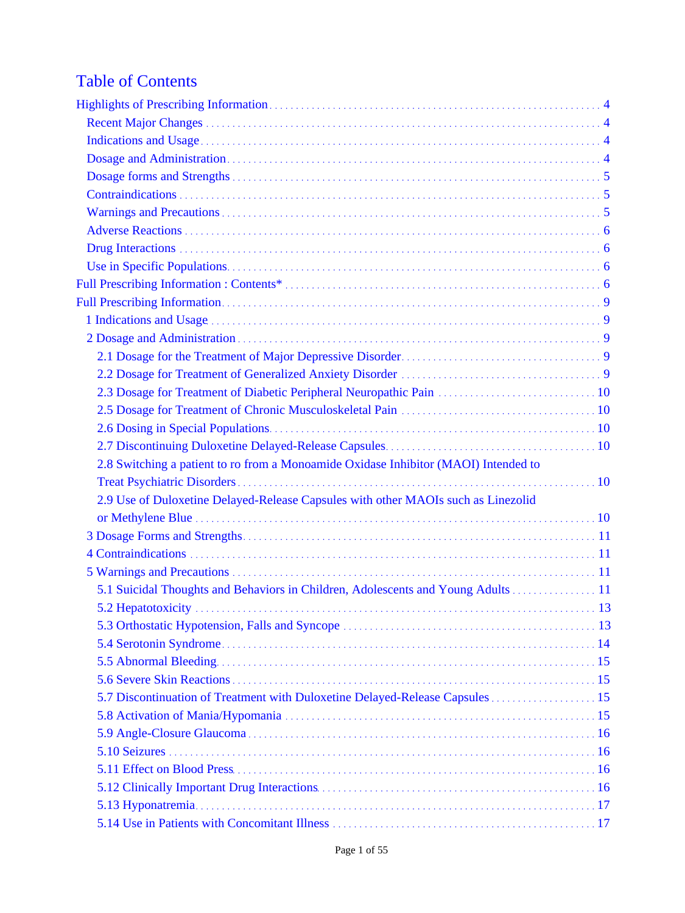# Table of Contents

| 2.3 Dosage for Treatment of Diabetic Peripheral Neuropathic Pain  10                |
|-------------------------------------------------------------------------------------|
|                                                                                     |
|                                                                                     |
|                                                                                     |
| 2.8 Switching a patient to ro from a Monoamide Oxidase Inhibitor (MAOI) Intended to |
|                                                                                     |
| 2.9 Use of Duloxetine Delayed-Release Capsules with other MAOIs such as Linezolid   |
|                                                                                     |
|                                                                                     |
|                                                                                     |
|                                                                                     |
| 5.1 Suicidal Thoughts and Behaviors in Children, Adolescents and Young Adults  11   |
|                                                                                     |
|                                                                                     |
|                                                                                     |
|                                                                                     |
|                                                                                     |
| 5.7 Discontinuation of Treatment with Duloxetine Delayed-Release Capsules 15        |
|                                                                                     |
|                                                                                     |
|                                                                                     |
|                                                                                     |
|                                                                                     |
|                                                                                     |
|                                                                                     |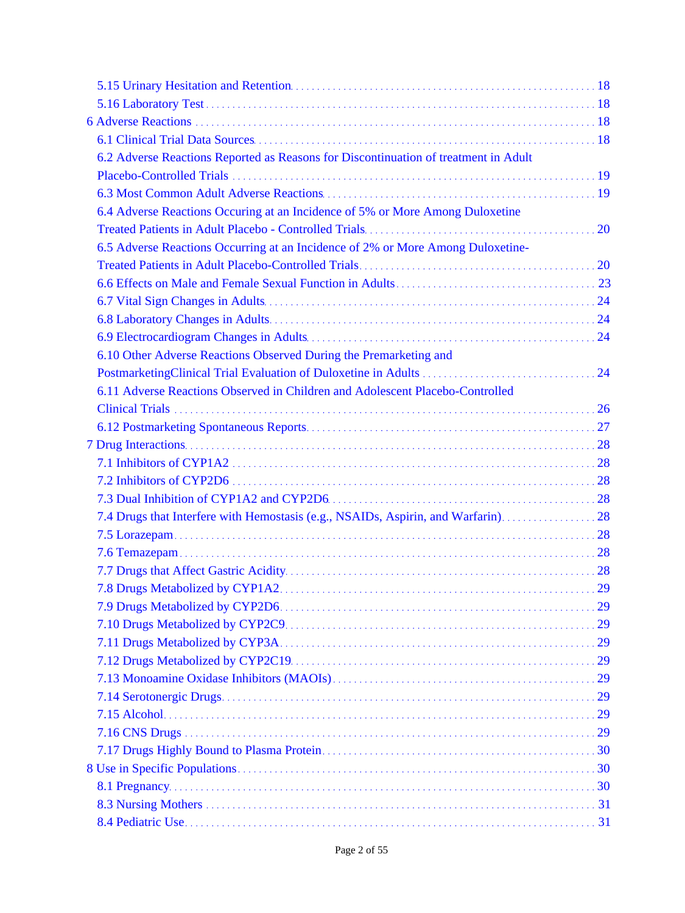| 6.2 Adverse Reactions Reported as Reasons for Discontinuation of treatment in Adult |  |
|-------------------------------------------------------------------------------------|--|
|                                                                                     |  |
|                                                                                     |  |
| 6.4 Adverse Reactions Occuring at an Incidence of 5% or More Among Duloxetine       |  |
|                                                                                     |  |
| 6.5 Adverse Reactions Occurring at an Incidence of 2% or More Among Duloxetine-     |  |
|                                                                                     |  |
|                                                                                     |  |
|                                                                                     |  |
|                                                                                     |  |
|                                                                                     |  |
| 6.10 Other Adverse Reactions Observed During the Premarketing and                   |  |
|                                                                                     |  |
| 6.11 Adverse Reactions Observed in Children and Adolescent Placebo-Controlled       |  |
|                                                                                     |  |
|                                                                                     |  |
|                                                                                     |  |
|                                                                                     |  |
|                                                                                     |  |
|                                                                                     |  |
| 7.4 Drugs that Interfere with Hemostasis (e.g., NSAIDs, Aspirin, and Warfarin) 28   |  |
|                                                                                     |  |
|                                                                                     |  |
|                                                                                     |  |
|                                                                                     |  |
|                                                                                     |  |
|                                                                                     |  |
|                                                                                     |  |
|                                                                                     |  |
|                                                                                     |  |
|                                                                                     |  |
|                                                                                     |  |
|                                                                                     |  |
|                                                                                     |  |
|                                                                                     |  |
|                                                                                     |  |
|                                                                                     |  |
|                                                                                     |  |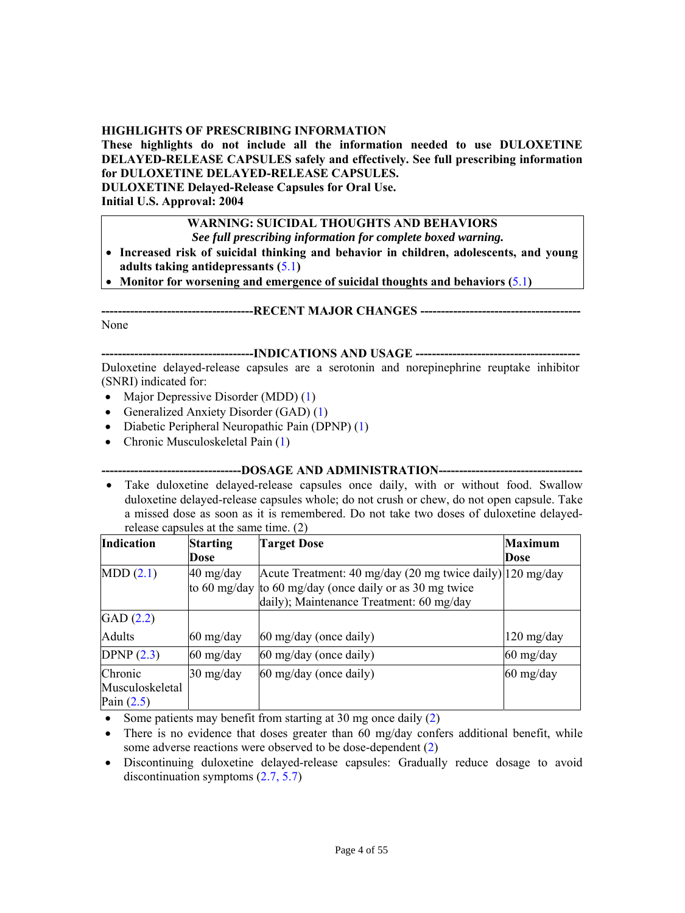# <span id="page-3-0"></span>**HIGHLIGHTS OF PRESCRIBING INFORMATION**

**These highlights do not include all the information needed to use DULOXETINE DELAYED-RELEASE CAPSULES safely and effectively. See full prescribing information for DULOXETINE DELAYED-RELEASE CAPSULES.** 

**DULOXETINE Delayed-Release Capsules for Oral Use.** 

**Initial U.S. Approval: 2004** 

# **WARNING: SUICIDAL THOUGHTS AND BEHAVIORS**

*See full prescribing information for complete boxed warning.*

 **Increased risk of suicidal thinking and behavior in children, adolescents, and young adults taking antidepressants (**[5.1](#page-10-2)**)**

**Monitor for worsening and emergence of suicidal thoughts and behaviors (**[5.1](#page-10-3)**)** 

<span id="page-3-2"></span><span id="page-3-1"></span>None

# **-------------------------------------INDICATIONS AND USAGE ----------------------------------------**

**-------------------------------------RECENT MAJOR CHANGES ---------------------------------------** 

Duloxetine delayed-release capsules are a serotonin and norepinephrine reuptake inhibitor (SNRI) indicated for:

- Major Depressive Disorder (MDD)  $(1)$  $(1)$
- Generalized Anxiety Disorder (GAD) [\(1](#page-8-4))
- Diabetic Peripheral Neuropathic Pain (DPNP) ([1\)](#page-8-4)
- <span id="page-3-3"></span>• Chronic Musculoskeletal Pain [\(1](#page-8-4))

#### **----------------------------------DOSAGE AND ADMINISTRATION-----------------------------------**

 Take duloxetine delayed-release capsules once daily, with or without food. Swallow duloxetine delayed-release capsules whole; do not crush or chew, do not open capsule. Take a missed dose as soon as it is remembered. Do not take two doses of duloxetine delayedrelease capsules at the same time. (2)

| <b>Indication</b> | <b>Starting</b>                   | <b>Target Dose</b>                                        | <b>Maximum</b>                     |
|-------------------|-----------------------------------|-----------------------------------------------------------|------------------------------------|
|                   | Dose                              |                                                           | Dose                               |
| MDD(2.1)          | $40 \frac{\text{mg}}{\text{day}}$ | Acute Treatment: 40 mg/day (20 mg twice daily) 120 mg/day |                                    |
|                   |                                   | to 60 mg/day to 60 mg/day (once daily or as 30 mg twice   |                                    |
|                   |                                   | daily); Maintenance Treatment: 60 mg/day                  |                                    |
| GAD(2.2)          |                                   |                                                           |                                    |
| <b>Adults</b>     | $60 \frac{\text{mg}}{\text{day}}$ | $60 \text{ mg/day}$ (once daily)                          | $120 \frac{\text{mg}}{\text{day}}$ |
| DPNP $(2.3)$      | $60 \text{ mg/day}$               | 60 mg/day (once daily)                                    | $60 \frac{\text{mg}}{\text{day}}$  |
| Chronic           | $30 \text{ mg/day}$               | $60 \text{ mg/day}$ (once daily)                          | $60 \frac{\text{mg}}{\text{day}}$  |
| Musculoskeletal   |                                   |                                                           |                                    |
| Pain $(2.5)$      |                                   |                                                           |                                    |

- Some patients may benefit from starting at 30 mg once daily  $(2)$
- There is no evidence that doses greater than 60 mg/day confers additional benefit, while some adverse reactions were observed to be dose-dependent [\(2\)](#page-8-6)
- Discontinuing duloxetine delayed-release capsules: Gradually reduce dosage to avoid discontinuation symptoms ([2.7](#page-9-7), [5.7\)](#page-14-4)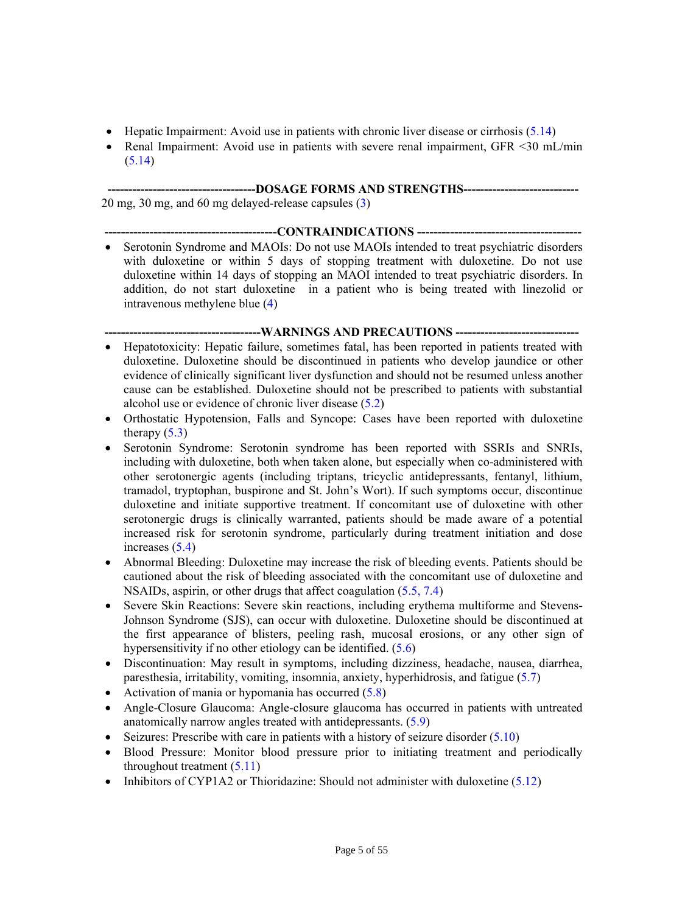- $\bullet$  Hepatic Impairment: Avoid use in patients with chronic liver disease or cirrhosis ([5.14\)](#page-16-2)
- <span id="page-4-0"></span>• Renal Impairment: Avoid use in patients with severe renal impairment, GFR <30 mL/min  $(5.14)$  $(5.14)$  $(5.14)$

 **------------------------------------DOSAGE FORMS AND STRENGTHS----------------------------** 

<span id="page-4-1"></span>20 mg, 30 mg, and 60 mg delayed-release capsules ([3\)](#page-10-4)

 **------------------------------------------CONTRAINDICATIONS ----------------------------------------**  • Serotonin Syndrome and MAOIs: Do not use MAOIs intended to treat psychiatric disorders with duloxetine or within 5 days of stopping treatment with duloxetine. Do not use duloxetine within 14 days of stopping an MAOI intended to treat psychiatric disorders. In addition, do not start duloxetine in a patient who is being treated with linezolid or intravenous methylene blue [\(4\)](#page-10-5)

#### **--------------------------------------WARNINGS AND PRECAUTIONS ------------------------------**

- <span id="page-4-2"></span> Hepatotoxicity: Hepatic failure, sometimes fatal, has been reported in patients treated with duloxetine. Duloxetine should be discontinued in patients who develop jaundice or other evidence of clinically significant liver dysfunction and should not be resumed unless another cause can be established. Duloxetine should not be prescribed to patients with substantial alcohol use or evidence of chronic liver disease [\(5.2\)](#page-12-2)
- Orthostatic Hypotension, Falls and Syncope: Cases have been reported with duloxetine therapy  $(5.3)$  $(5.3)$
- Serotonin Syndrome: Serotonin syndrome has been reported with SSRIs and SNRIs, including with duloxetine, both when taken alone, but especially when co-administered with other serotonergic agents (including triptans, tricyclic antidepressants, fentanyl, lithium, tramadol, tryptophan, buspirone and St. John's Wort). If such symptoms occur, discontinue duloxetine and initiate supportive treatment. If concomitant use of duloxetine with other serotonergic drugs is clinically warranted, patients should be made aware of a potential increased risk for serotonin syndrome, particularly during treatment initiation and dose increases ([5.4\)](#page-13-1)
- Abnormal Bleeding: Duloxetine may increase the risk of bleeding events. Patients should be cautioned about the risk of bleeding associated with the concomitant use of duloxetine and NSAIDs, aspirin, or other drugs that affect coagulation [\(5.5,](#page-14-5) [7.4](#page-27-3))
- Severe Skin Reactions: Severe skin reactions, including erythema multiforme and Stevens-Johnson Syndrome (SJS), can occur with duloxetine. Duloxetine should be discontinued at the first appearance of blisters, peeling rash, mucosal erosions, or any other sign of hypersensitivity if no other etiology can be identified. ([5.6\)](#page-14-6)
- Discontinuation: May result in symptoms, including dizziness, headache, nausea, diarrhea, paresthesia, irritability, vomiting, insomnia, anxiety, hyperhidrosis, and fatigue ([5.7](#page-14-4))
- Activation of mania or hypomania has occurred  $(5.8)$  $(5.8)$  $(5.8)$
- Angle-Closure Glaucoma: Angle-closure glaucoma has occurred in patients with untreated anatomically narrow angles treated with antidepressants. [\(5.9\)](#page-15-4)
- Seizures: Prescribe with care in patients with a history of seizure disorder  $(5.10)$  $(5.10)$  $(5.10)$
- Blood Pressure: Monitor blood pressure prior to initiating treatment and periodically throughout treatment  $(5.11)$  $(5.11)$  $(5.11)$
- Inhibitors of CYP1A2 or Thioridazine: Should not administer with duloxetine  $(5.12)$  $(5.12)$  $(5.12)$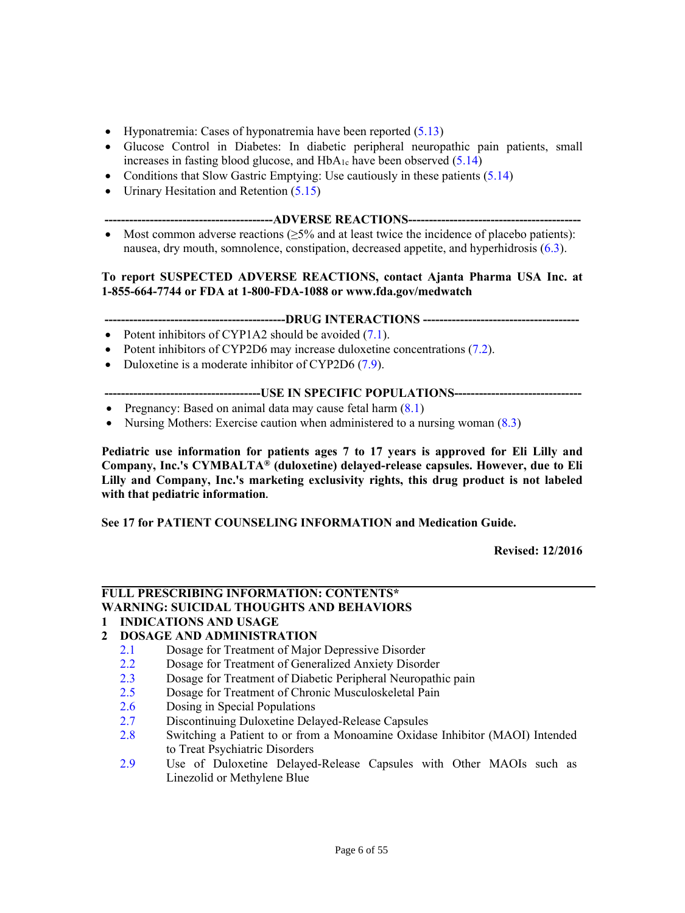- Hyponatremia: Cases of hyponatremia have been reported  $(5.13)$
- Glucose Control in Diabetes: In diabetic peripheral neuropathic pain patients, small increases in fasting blood glucose, and  $HbA_{1c}$  have been observed ([5.14](#page-16-2))
- Conditions that Slow Gastric Emptying: Use cautiously in these patients  $(5.14)$
- <span id="page-5-0"></span>• Urinary Hesitation and Retention [\(5.15](#page-17-3))
	- **-----------------------------------------ADVERSE REACTIONS------------------------------------------**
- Most common adverse reactions  $(\geq 5\%$  and at least twice the incidence of placebo patients): nausea, dry mouth, somnolence, constipation, decreased appetite, and hyperhidrosis ([6.3\)](#page-18-2).

# <span id="page-5-1"></span>**To report SUSPECTED ADVERSE REACTIONS, contact Ajanta Pharma USA Inc. at 1-855-664-7744 or FDA at 1-800-FDA-1088 or www.fda.gov/medwatch**

# **--------------------------------------------DRUG INTERACTIONS --------------------------------------**

- Potent inhibitors of CYP1A2 should be avoided  $(7.1)$  $(7.1)$ .
- Potent inhibitors of CYP2D6 may increase duloxetine concentrations ([7.2](#page-27-4)).
- Duloxetine is a moderate inhibitor of CYP2D6 [\(7.9\)](#page-28-5).

# **--------------------------------------USE IN SPECIFIC POPULATIONS-------------------------------**

- <span id="page-5-2"></span>• Pregnancy: Based on animal data may cause fetal harm  $(8.1)$  $(8.1)$  $(8.1)$
- Nursing Mothers: Exercise caution when administered to a nursing woman (8.3)

**Pediatric use information for patients ages 7 to 17 years is approved for Eli Lilly and Company, Inc.'s CYMBALTA® (duloxetine) delayed-release capsules. However, due to Eli Lilly and Company, Inc.'s marketing exclusivity rights, this drug product is not labeled with that pediatric information.** 

<span id="page-5-3"></span>**See 17 for PATIENT COUNSELING INFORMATION and Medication Guide.**

 **Revised: 12/2016** 

#### **FULL PRESCRIBING INFORMATION: CONTENTS\* WARNING: SUICIDAL THOUGHTS AND BEHAVIORS**

**[1](#page-8-4) INDICATIONS AND USAGE** 

# **[2](#page-8-6) DOSAGE AND ADMINISTRATION**

- [2.1](#page-8-5) Dosage for Treatment of Major Depressive Disorder
- [2.2](#page-8-5) Dosage for Treatment of Generalized Anxiety Disorder
- [2.3](#page-9-5) Dosage for Treatment of Diabetic Peripheral Neuropathic pain
- [2.5](#page-9-6) Dosage for Treatment of Chronic Musculoskeletal Pain
- [2.6](#page-9-8) Dosing in Special Populations
- [2.7](#page-9-7) Discontinuing Duloxetine Delayed-Release Capsules
- [2.8](#page-9-9) Switching a Patient to or from a Monoamine Oxidase Inhibitor (MAOI) Intended to Treat Psychiatric Disorders
- [2.9](#page-9-9) Use of Duloxetine Delayed-Release Capsules with Other MAOIs such as Linezolid or Methylene Blue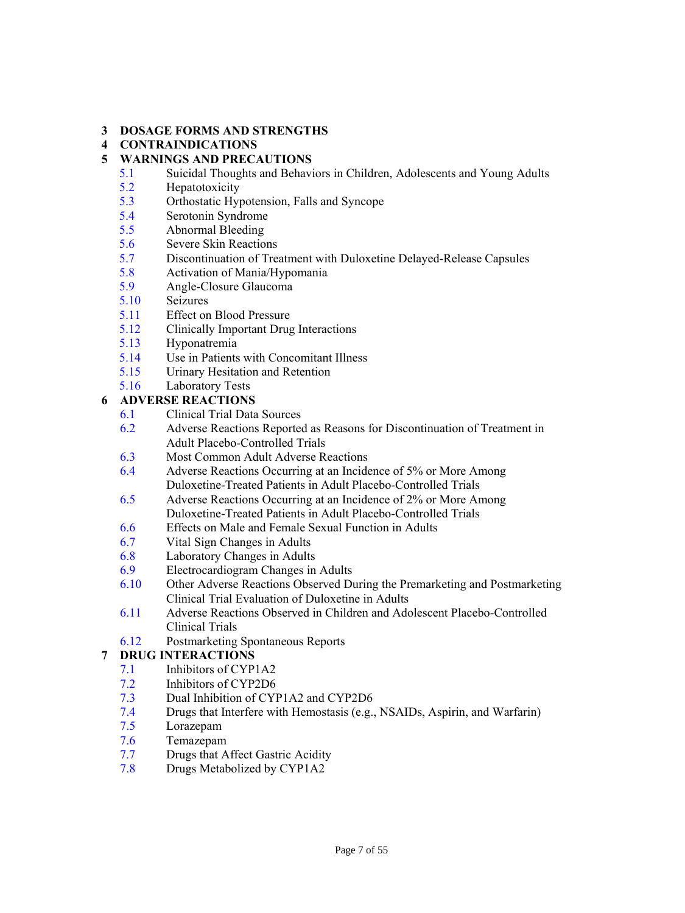# **[3](#page-10-4) DOSAGE FORMS AND STRENGTHS**

# **[4](#page-10-5) CONTRAINDICATIONS**

# **[5](#page-10-3) WARNINGS AND PRECAUTIONS**

- [5.1](#page-10-3) Suicidal Thoughts and Behaviors in Children, Adolescents and Young Adults
- [5.2](#page-12-2) Hepatotoxicity
- [5.3](#page-12-3) Orthostatic Hypotension, Falls and Syncope
- [5.4](#page-13-1) Serotonin Syndrome
- [5.5](#page-14-5) Abnormal Bleeding
- [5.6](#page-14-6) Severe Skin Reactions
- [5.7](#page-14-4) Discontinuation of Treatment with Duloxetine Delayed-Release Capsules
- [5.8](#page-14-7) Activation of Mania/Hypomania
- [5.9](#page-15-4) Angle-Closure Glaucoma
- [5.10](#page-15-5) Seizures
- [5.11](#page-15-6) Effect on Blood Pressure
- [5.12](#page-15-7) Clinically Important Drug Interactions
- [5.13](#page-16-3) Hyponatremia
- [5.14](#page-16-2) Use in Patients with Concomitant Illness
- [5.15](#page-17-3) Urinary Hesitation and Retention
- [5.16](#page-17-4) Laboratory Tests

# **[6](#page-17-4) ADVERSE REACTIONS**

- [6.1](#page-17-5) Clinical Trial Data Sources
- [6.2](#page-18-3) Adverse Reactions Reported as Reasons for Discontinuation of Treatment in Adult Placebo-Controlled Trials
- [6.3](#page-18-2) Most Common Adult Adverse Reactions
- [6.4](#page-19-2) Adverse Reactions Occurring at an Incidence of 5% or More Among Duloxetine-Treated Patients in Adult Placebo-Controlled Trials
- [6.5](#page-19-3) Adverse Reactions Occurring at an Incidence of 2% or More Among Duloxetine-Treated Patients in Adult Placebo-Controlled Trials
- [6.6](#page-22-1) Effects on Male and Female Sexual Function in Adults
- [6.7](#page-23-2) Vital Sign Changes in Adults
- [6.8](#page-23-2) Laboratory Changes in Adults
- [6.9](#page-23-2) Electrocardiogram Changes in Adults
- [6.10](#page-23-1) Other Adverse Reactions Observed During the Premarketing and Postmarketing Clinical Trial Evaluation of Duloxetine in Adults
- [6.11](#page-25-1) Adverse Reactions Observed in Children and Adolescent Placebo-Controlled Clinical Trials
- [6.12](#page-26-1) Postmarketing Spontaneous Reports

# **[7](#page-27-4) DRUG INTERACTIONS**

- [7.1](#page-27-4) Inhibitors of CYP1A2
- [7.2](#page-27-4) Inhibitors of CYP2D6
- [7.3](#page-27-3) Dual Inhibition of CYP1A2 and CYP2D6
- [7.4](#page-27-3) Drugs that Interfere with Hemostasis (e.g., NSAIDs, Aspirin, and Warfarin)
- [7.5](#page-27-5) Lorazepam
- [7.6](#page-27-5) Temazepam
- [7.7](#page-27-5) Drugs that Affect Gastric Acidity
- [7.8](#page-28-6) Drugs Metabolized by CYP1A2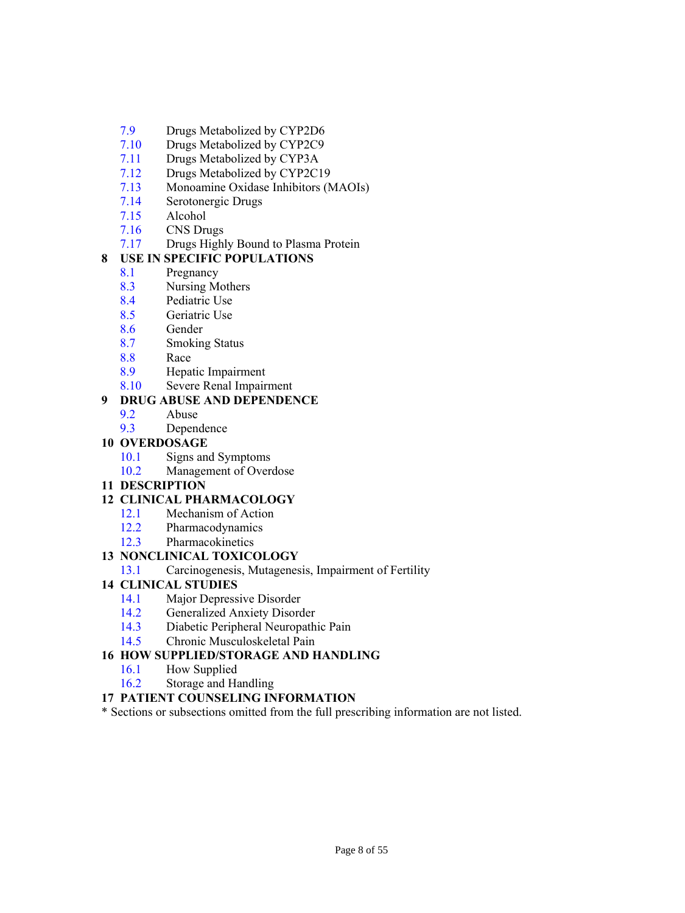- [7.9](#page-28-5) Drugs Metabolized by CYP2D6
- [7.10](#page-28-5) Drugs Metabolized by CYP2C9
- [7.11](#page-28-7) Drugs Metabolized by CYP3A
- [7.12](#page-28-8) Drugs Metabolized by CYP2C19
- [7.13](#page-28-8) Monoamine Oxidase Inhibitors (MAOIs)
- [7.14](#page-28-9) Serotonergic Drugs
- [7.15](#page-28-9) Alcohol
- [7.16](#page-28-9) CNS Drugs
- [7.17](#page-29-0) Drugs Highly Bound to Plasma Protein

# **[8](#page-29-2) USE IN SPECIFIC POPULATIONS**

- [8.1](#page-29-2) Pregnancy
- [8.3](#page-30-3) Nursing Mothers
- [8.4](#page-30-4) Pediatric Use
- [8.5](#page-30-5) Geriatric Use
- [8.6](#page-31-1) Gender
- [8.7](#page-31-1) Smoking Status
- [8.8](#page-31-1) Race
- [8.9](#page-31-1) Hepatic Impairment
- [8.10](#page-31-1) Severe Renal Impairment

# **[9](#page-32-4) DRUG ABUSE AND DEPENDENCE**

- [9.2](#page-32-4) Abuse
- [9.3](#page-32-5) Dependence

# **[10](#page-32-6) OVERDOSAGE**

- [10.1](#page-32-6) Signs and Symptoms
- [10.2](#page-32-7) Management of Overdose
- **[11](#page-33-2) DESCRIPTION**

# **[12](#page-33-3) CLINICAL PHARMACOLOGY**

- [12.1](#page-33-3) Mechanism of Action
- [12.2](#page-33-3) Pharmacodynamics
- [12.3](#page-34-2) Pharmacokinetics

# **[13](#page-34-3) NONCLINICAL TOXICOLOGY**

[13.1](#page-34-3) Carcinogenesis, Mutagenesis, Impairment of Fertility

# **[14](#page-35-2) CLINICAL STUDIES**

- [14.1](#page-35-3) Major Depressive Disorder
- [14.2](#page-37-1) Generalized Anxiety Disorder
- [14.3](#page-39-1) Diabetic Peripheral Neuropathic Pain
- [14.5](#page-40-1) Chronic Musculoskeletal Pain

# **[16 H](#page-43-3)OW SUPPLIED/STORAGE AND HANDLING**

- [16.1](#page-43-3) How Supplied
- [16.2](#page-43-4) Storage and Handling

# **[17](#page-43-5) PATIENT COUNSELING INFORMATION**

\* Sections or subsections omitted from the full prescribing information are not listed.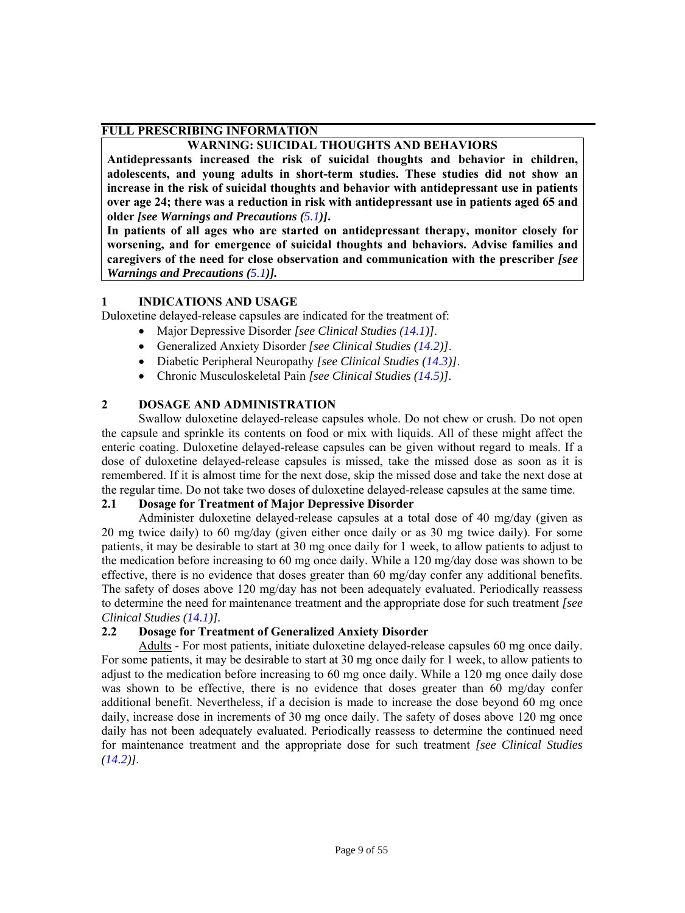# <span id="page-8-0"></span>**FULL PRESCRIBING INFORMATION**

# **WARNING: SUICIDAL THOUGHTS AND BEHAVIORS**

**Antidepressants increased the risk of suicidal thoughts and behavior in children, adolescents, and young adults in short-term studies. These studies did not show an increase in the risk of suicidal thoughts and behavior with antidepressant use in patients over age 24; there was a reduction in risk with antidepressant use in patients aged 65 and older** *[see Warnings and Precautions ([5.1](#page-10-3))]***.** 

<span id="page-8-4"></span><span id="page-8-1"></span>**In patients of all ages who are started on antidepressant therapy, monitor closely for worsening, and for emergence of suicidal thoughts and behaviors. Advise families and caregivers of the need for close observation and communication with the prescriber** *[see Warnings and Precautions ([5.1](#page-10-3))].* 

# **1 INDICATIONS AND USAGE**

Duloxetine delayed-release capsules are indicated for the treatment of:

- Major Depressive Disorder *[see Clinical Studies ([14.1](#page-35-3))]*.
- Generalized Anxiety Disorder *[see Clinical Studies [\(14.2\)](#page-37-1)]*.
- Diabetic Peripheral Neuropathy *[see Clinical Studies [\(14.3\)](#page-39-1)]*.
- Chronic Musculoskeletal Pain *[see Clinical Studies [\(14.5\)](#page-40-1)].*

# <span id="page-8-6"></span><span id="page-8-2"></span>**2 DOSAGE AND ADMINISTRATION**

Swallow duloxetine delayed-release capsules whole. Do not chew or crush. Do not open the capsule and sprinkle its contents on food or mix with liquids. All of these might affect the enteric coating. Duloxetine delayed-release capsules can be given without regard to meals. If a dose of duloxetine delayed-release capsules is missed, take the missed dose as soon as it is remembered. If it is almost time for the next dose, skip the missed dose and take the next dose at the regular time. Do not take two doses of duloxetine delayed-release capsules at the same time.

# <span id="page-8-5"></span><span id="page-8-3"></span>**2.1 Dosage for Treatment of Major Depressive Disorder**

Administer duloxetine delayed-release capsules at a total dose of 40 mg/day (given as 20 mg twice daily) to 60 mg/day (given either once daily or as 30 mg twice daily). For some patients, it may be desirable to start at 30 mg once daily for 1 week, to allow patients to adjust to the medication before increasing to 60 mg once daily. While a 120 mg/day dose was shown to be effective, there is no evidence that doses greater than 60 mg/day confer any additional benefits. The safety of doses above 120 mg/day has not been adequately evaluated. Periodically reassess to determine the need for maintenance treatment and the appropriate dose for such treatment *[see Clinical Studies [\(14.1\)](#page-35-3)].*

# **2.2 Dosage for Treatment of Generalized Anxiety Disorder**

Adults - For most patients, initiate duloxetine delayed-release capsules 60 mg once daily. For some patients, it may be desirable to start at 30 mg once daily for 1 week, to allow patients to adjust to the medication before increasing to 60 mg once daily. While a 120 mg once daily dose was shown to be effective, there is no evidence that doses greater than 60 mg/day confer additional benefit. Nevertheless, if a decision is made to increase the dose beyond 60 mg once daily, increase dose in increments of 30 mg once daily. The safety of doses above 120 mg once daily has not been adequately evaluated. Periodically reassess to determine the continued need for maintenance treatment and the appropriate dose for such treatment *[see Clinical Studies [\(14.2](#page-37-1))].*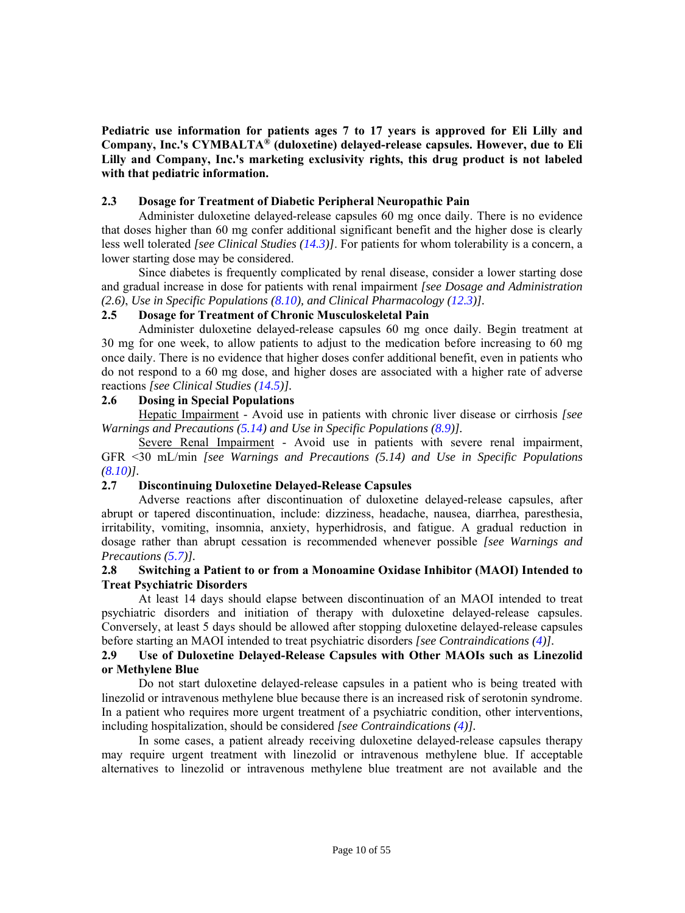# **Pediatric use information for patients ages 7 to 17 years is approved for Eli Lilly and Company, Inc.'s CYMBALTA® (duloxetine) delayed-release capsules. However, due to Eli Lilly and Company, Inc.'s marketing exclusivity rights, this drug product is not labeled with that pediatric information.**

#### <span id="page-9-5"></span><span id="page-9-0"></span>**2.3 Dosage for Treatment of Diabetic Peripheral Neuropathic Pain**

Administer duloxetine delayed-release capsules 60 mg once daily. There is no evidence that doses higher than 60 mg confer additional significant benefit and the higher dose is clearly less well tolerated *[see Clinical Studies [\(14.3\)](#page-39-1)]*. For patients for whom tolerability is a concern, a lower starting dose may be considered.

<span id="page-9-6"></span><span id="page-9-1"></span>Since diabetes is frequently complicated by renal disease, consider a lower starting dose and gradual increase in dose for patients with renal impairment *[see Dosage and Administration ([2.6](#page-9-8))*, *Use in Specific Populations [\(8.10\)](#page-31-1), and Clinical Pharmacology ([12.3](#page-34-2))].*

#### **2.5 Dosage for Treatment of Chronic Musculoskeletal Pain**

Administer duloxetine delayed-release capsules 60 mg once daily. Begin treatment at 30 mg for one week, to allow patients to adjust to the medication before increasing to 60 mg once daily. There is no evidence that higher doses confer additional benefit, even in patients who do not respond to a 60 mg dose, and higher doses are associated with a higher rate of adverse reactions *[see Clinical Studies [\(14.5\)](#page-40-1)].* 

# <span id="page-9-8"></span><span id="page-9-2"></span>**2.6 Dosing in Special Populations**

Hepatic Impairment - Avoid use in patients with chronic liver disease or cirrhosis *[see Warnings and Precautions [\(5.14\)](#page-16-2) and Use in Specific Populations [\(8.9](#page-31-1))].*

<span id="page-9-7"></span><span id="page-9-3"></span>Severe Renal Impairment - Avoid use in patients with severe renal impairment, GFR <30 mL/min *[see Warnings and Precautions (5.14) and Use in Specific Populations ([8.10\)](#page-31-1)].* 

# **2.7 Discontinuing Duloxetine Delayed-Release Capsules**

<span id="page-9-9"></span><span id="page-9-4"></span>Adverse reactions after discontinuation of duloxetine delayed-release capsules, after abrupt or tapered discontinuation, include: dizziness, headache, nausea, diarrhea, paresthesia, irritability, vomiting, insomnia, anxiety, hyperhidrosis, and fatigue. A gradual reduction in dosage rather than abrupt cessation is recommended whenever possible *[see Warnings and Precautions [\(5.7\)\]](#page-14-4).*

#### **2.8 Switching a Patient to or from a Monoamine Oxidase Inhibitor (MAOI) Intended to Treat Psychiatric Disorders**

At least 14 days should elapse between discontinuation of an MAOI intended to treat psychiatric disorders and initiation of therapy with duloxetine delayed-release capsules. Conversely, at least 5 days should be allowed after stopping duloxetine delayed-release capsules before starting an MAOI intended to treat psychiatric disorders *[see Contraindications [\(4\)\]](#page-10-5).* 

# **2.9 Use of Duloxetine Delayed-Release Capsules with Other MAOIs such as Linezolid or Methylene Blue**

Do not start duloxetine delayed-release capsules in a patient who is being treated with linezolid or intravenous methylene blue because there is an increased risk of serotonin syndrome. In a patient who requires more urgent treatment of a psychiatric condition, other interventions, including hospitalization, should be considered *[see Contraindications [\(4\)\]](#page-10-5).* 

In some cases, a patient already receiving duloxetine delayed-release capsules therapy may require urgent treatment with linezolid or intravenous methylene blue. If acceptable alternatives to linezolid or intravenous methylene blue treatment are not available and the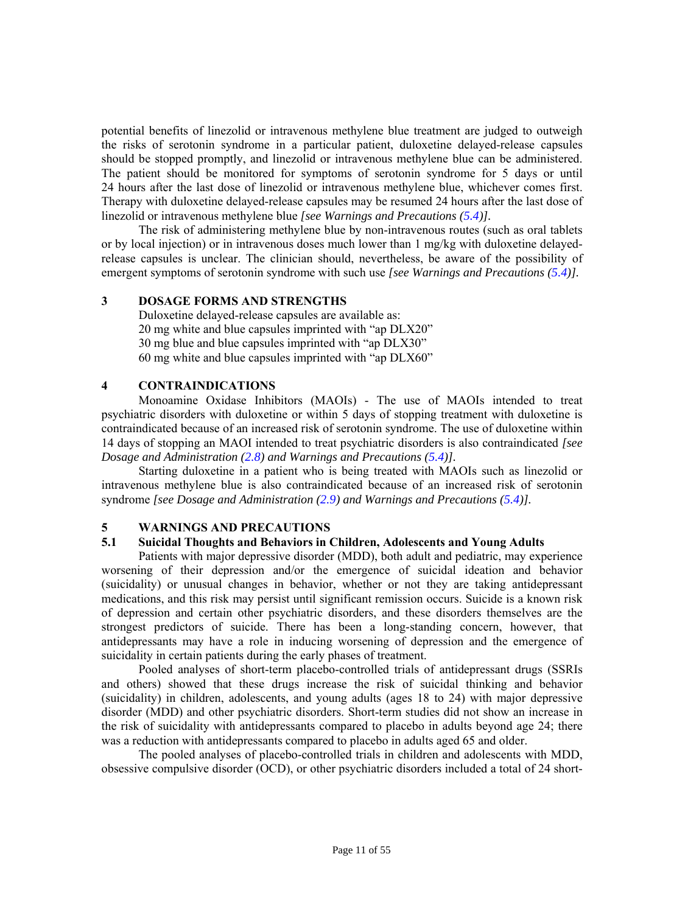potential benefits of linezolid or intravenous methylene blue treatment are judged to outweigh the risks of serotonin syndrome in a particular patient, duloxetine delayed-release capsules should be stopped promptly, and linezolid or intravenous methylene blue can be administered. The patient should be monitored for symptoms of serotonin syndrome for 5 days or until 24 hours after the last dose of linezolid or intravenous methylene blue, whichever comes first. Therapy with duloxetine delayed-release capsules may be resumed 24 hours after the last dose of linezolid or intravenous methylene blue *[see Warnings and Precautions [\(5.4\)](#page-13-1)].*

The risk of administering methylene blue by non-intravenous routes (such as oral tablets or by local injection) or in intravenous doses much lower than 1 mg/kg with duloxetine delayedrelease capsules is unclear. The clinician should, nevertheless, be aware of the possibility of emergent symptoms of serotonin syndrome with such use *[see Warnings and Precautions [\(5.4\)](#page-13-1)].* 

#### <span id="page-10-4"></span><span id="page-10-0"></span>**3 DOSAGE FORMS AND STRENGTHS**

Duloxetine delayed-release capsules are available as: 20 mg white and blue capsules imprinted with "ap DLX20" 30 mg blue and blue capsules imprinted with "ap DLX30" 60 mg white and blue capsules imprinted with "ap DLX60"

#### <span id="page-10-5"></span><span id="page-10-1"></span>**4 CONTRAINDICATIONS**

Monoamine Oxidase Inhibitors (MAOIs) - The use of MAOIs intended to treat psychiatric disorders with duloxetine or within 5 days of stopping treatment with duloxetine is contraindicated because of an increased risk of serotonin syndrome. The use of duloxetine within 14 days of stopping an MAOI intended to treat psychiatric disorders is also contraindicated *[see Dosage and Administration [\(2.8\)](#page-9-9) and Warnings and Precautions [\(5.4](#page-13-1))].*

<span id="page-10-3"></span><span id="page-10-2"></span>Starting duloxetine in a patient who is being treated with MAOIs such as linezolid or intravenous methylene blue is also contraindicated because of an increased risk of serotonin syndrome *[see Dosage and Administration ([2.9\)](#page-9-9) and Warnings and Precautions [\(5.4\)\]](#page-13-1).* 

#### **5 WARNINGS AND PRECAUTIONS**

#### **5.1 Suicidal Thoughts and Behaviors in Children, Adolescents and Young Adults**

Patients with major depressive disorder (MDD), both adult and pediatric, may experience worsening of their depression and/or the emergence of suicidal ideation and behavior (suicidality) or unusual changes in behavior, whether or not they are taking antidepressant medications, and this risk may persist until significant remission occurs. Suicide is a known risk of depression and certain other psychiatric disorders, and these disorders themselves are the strongest predictors of suicide. There has been a long-standing concern, however, that antidepressants may have a role in inducing worsening of depression and the emergence of suicidality in certain patients during the early phases of treatment.

Pooled analyses of short-term placebo-controlled trials of antidepressant drugs (SSRIs and others) showed that these drugs increase the risk of suicidal thinking and behavior (suicidality) in children, adolescents, and young adults (ages 18 to 24) with major depressive disorder (MDD) and other psychiatric disorders. Short-term studies did not show an increase in the risk of suicidality with antidepressants compared to placebo in adults beyond age 24; there was a reduction with antidepressants compared to placebo in adults aged 65 and older.

The pooled analyses of placebo-controlled trials in children and adolescents with MDD, obsessive compulsive disorder (OCD), or other psychiatric disorders included a total of 24 short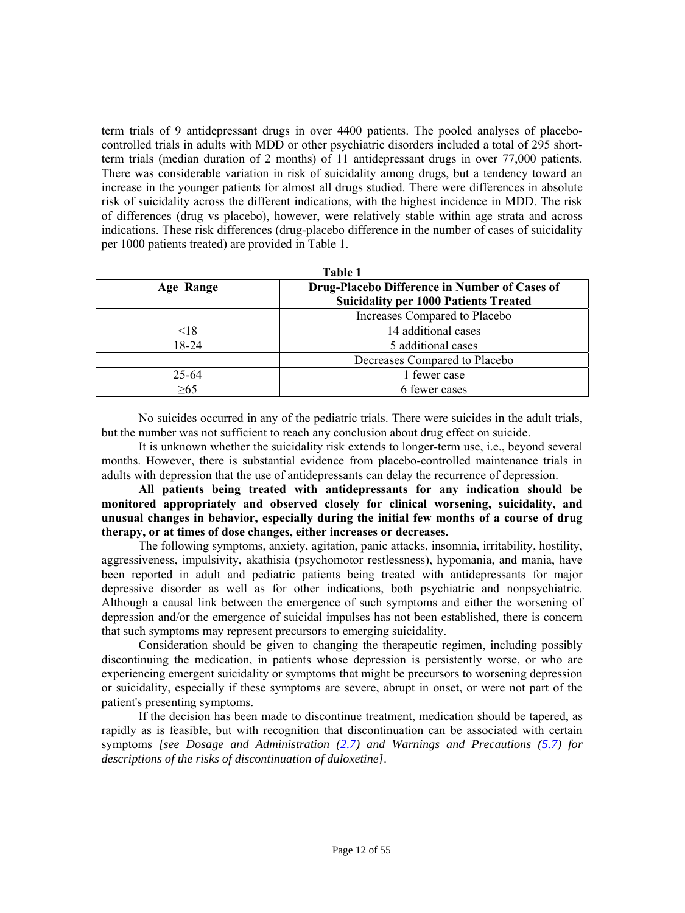term trials of 9 antidepressant drugs in over 4400 patients. The pooled analyses of placebocontrolled trials in adults with MDD or other psychiatric disorders included a total of 295 shortterm trials (median duration of 2 months) of 11 antidepressant drugs in over 77,000 patients. There was considerable variation in risk of suicidality among drugs, but a tendency toward an increase in the younger patients for almost all drugs studied. There were differences in absolute risk of suicidality across the different indications, with the highest incidence in MDD. The risk of differences (drug vs placebo), however, were relatively stable within age strata and across indications. These risk differences (drug-placebo difference in the number of cases of suicidality per 1000 patients treated) are provided in Table 1.

| Table 1          |                                               |  |  |
|------------------|-----------------------------------------------|--|--|
| <b>Age Range</b> | Drug-Placebo Difference in Number of Cases of |  |  |
|                  | <b>Suicidality per 1000 Patients Treated</b>  |  |  |
|                  | Increases Compared to Placebo                 |  |  |
| < 18             | 14 additional cases                           |  |  |
| 18-24            | 5 additional cases                            |  |  |
|                  | Decreases Compared to Placebo                 |  |  |
| $25 - 64$        | 1 fewer case                                  |  |  |
| >65              | 6 fewer cases                                 |  |  |

No suicides occurred in any of the pediatric trials. There were suicides in the adult trials, but the number was not sufficient to reach any conclusion about drug effect on suicide.

It is unknown whether the suicidality risk extends to longer-term use, i.e., beyond several months. However, there is substantial evidence from placebo-controlled maintenance trials in adults with depression that the use of antidepressants can delay the recurrence of depression.

**All patients being treated with antidepressants for any indication should be monitored appropriately and observed closely for clinical worsening, suicidality, and unusual changes in behavior, especially during the initial few months of a course of drug therapy, or at times of dose changes, either increases or decreases.** 

The following symptoms, anxiety, agitation, panic attacks, insomnia, irritability, hostility, aggressiveness, impulsivity, akathisia (psychomotor restlessness), hypomania, and mania, have been reported in adult and pediatric patients being treated with antidepressants for major depressive disorder as well as for other indications, both psychiatric and nonpsychiatric. Although a causal link between the emergence of such symptoms and either the worsening of depression and/or the emergence of suicidal impulses has not been established, there is concern that such symptoms may represent precursors to emerging suicidality.

Consideration should be given to changing the therapeutic regimen, including possibly discontinuing the medication, in patients whose depression is persistently worse, or who are experiencing emergent suicidality or symptoms that might be precursors to worsening depression or suicidality, especially if these symptoms are severe, abrupt in onset, or were not part of the patient's presenting symptoms.

If the decision has been made to discontinue treatment, medication should be tapered, as rapidly as is feasible, but with recognition that discontinuation can be associated with certain symptoms *[see Dosage and Administration [\(2.7\)](#page-9-7) and Warnings and Precautions [\(5.7\)](#page-14-4) for descriptions of the risks of discontinuation of duloxetine]*.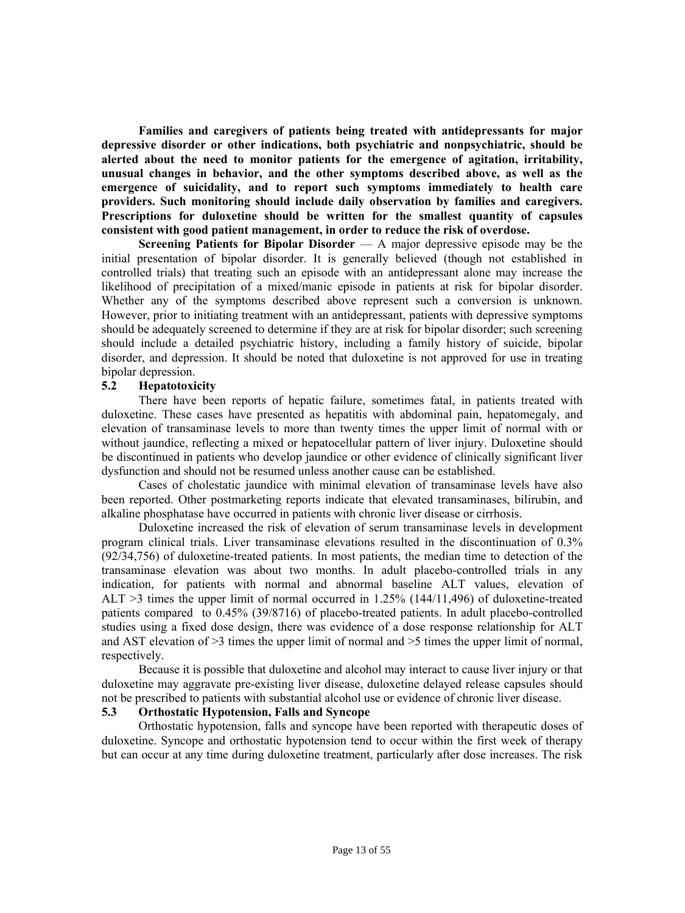**Families and caregivers of patients being treated with antidepressants for major depressive disorder or other indications, both psychiatric and nonpsychiatric, should be alerted about the need to monitor patients for the emergence of agitation, irritability, unusual changes in behavior, and the other symptoms described above, as well as the emergence of suicidality, and to report such symptoms immediately to health care providers. Such monitoring should include daily observation by families and caregivers. Prescriptions for duloxetine should be written for the smallest quantity of capsules consistent with good patient management, in order to reduce the risk of overdose.** 

**Screening Patients for Bipolar Disorder** — A major depressive episode may be the initial presentation of bipolar disorder. It is generally believed (though not established in controlled trials) that treating such an episode with an antidepressant alone may increase the likelihood of precipitation of a mixed/manic episode in patients at risk for bipolar disorder. Whether any of the symptoms described above represent such a conversion is unknown. However, prior to initiating treatment with an antidepressant, patients with depressive symptoms should be adequately screened to determine if they are at risk for bipolar disorder; such screening should include a detailed psychiatric history, including a family history of suicide, bipolar disorder, and depression. It should be noted that duloxetine is not approved for use in treating bipolar depression.

#### <span id="page-12-2"></span><span id="page-12-0"></span>**5.2 Hepatotoxicity**

There have been reports of hepatic failure, sometimes fatal, in patients treated with duloxetine. These cases have presented as hepatitis with abdominal pain, hepatomegaly, and elevation of transaminase levels to more than twenty times the upper limit of normal with or without jaundice, reflecting a mixed or hepatocellular pattern of liver injury. Duloxetine should be discontinued in patients who develop jaundice or other evidence of clinically significant liver dysfunction and should not be resumed unless another cause can be established.

<span id="page-12-3"></span><span id="page-12-1"></span>Cases of cholestatic jaundice with minimal elevation of transaminase levels have also been reported. Other postmarketing reports indicate that elevated transaminases, bilirubin, and alkaline phosphatase have occurred in patients with chronic liver disease or cirrhosis.

Duloxetine increased the risk of elevation of serum transaminase levels in development program clinical trials. Liver transaminase elevations resulted in the discontinuation of 0.3% (92/34,756) of duloxetine-treated patients. In most patients, the median time to detection of the transaminase elevation was about two months. In adult placebo-controlled trials in any indication, for patients with normal and abnormal baseline ALT values, elevation of ALT >3 times the upper limit of normal occurred in 1.25% (144/11,496) of duloxetine-treated patients compared to 0.45% (39/8716) of placebo-treated patients. In adult placebo-controlled studies using a fixed dose design, there was evidence of a dose response relationship for ALT and AST elevation of >3 times the upper limit of normal and >5 times the upper limit of normal, respectively.

Because it is possible that duloxetine and alcohol may interact to cause liver injury or that duloxetine may aggravate pre-existing liver disease, duloxetine delayed release capsules should not be prescribed to patients with substantial alcohol use or evidence of chronic liver disease.

# **5.3 Orthostatic Hypotension, Falls and Syncope**

Orthostatic hypotension, falls and syncope have been reported with therapeutic doses of duloxetine. Syncope and orthostatic hypotension tend to occur within the first week of therapy but can occur at any time during duloxetine treatment, particularly after dose increases. The risk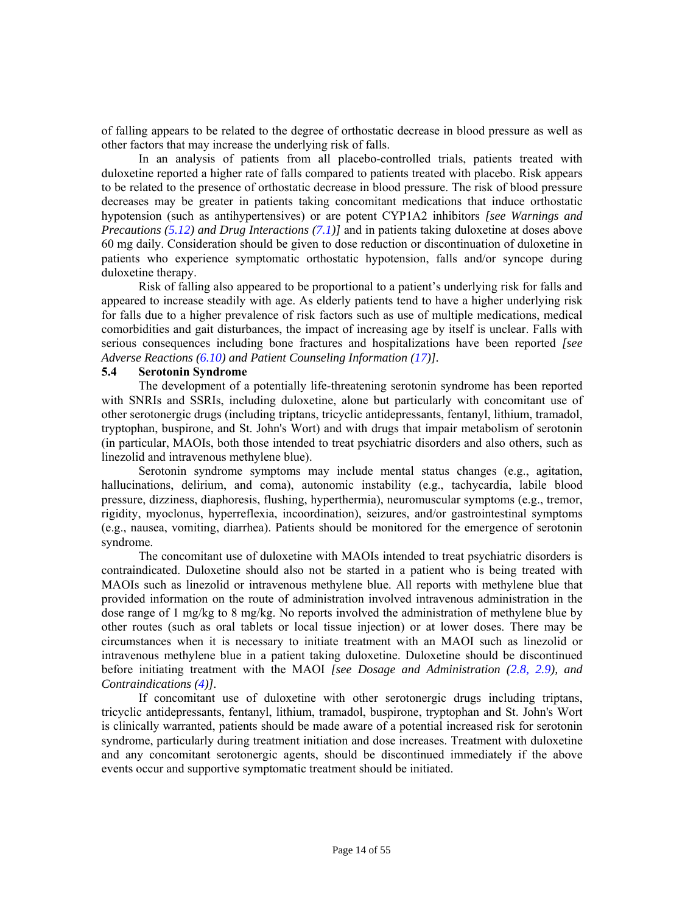of falling appears to be related to the degree of orthostatic decrease in blood pressure as well as other factors that may increase the underlying risk of falls.

In an analysis of patients from all placebo-controlled trials, patients treated with duloxetine reported a higher rate of falls compared to patients treated with placebo. Risk appears to be related to the presence of orthostatic decrease in blood pressure. The risk of blood pressure decreases may be greater in patients taking concomitant medications that induce orthostatic hypotension (such as antihypertensives) or are potent CYP1A2 inhibitors *[see Warnings and Precautions [\(5.12](#page-15-7)) and Drug Interactions [\(7.1\)\]](#page-27-4)* and in patients taking duloxetine at doses above 60 mg daily. Consideration should be given to dose reduction or discontinuation of duloxetine in patients who experience symptomatic orthostatic hypotension, falls and/or syncope during duloxetine therapy.

Risk of falling also appeared to be proportional to a patient's underlying risk for falls and appeared to increase steadily with age. As elderly patients tend to have a higher underlying risk for falls due to a higher prevalence of risk factors such as use of multiple medications, medical comorbidities and gait disturbances, the impact of increasing age by itself is unclear. Falls with serious consequences including bone fractures and hospitalizations have been reported *[see Adverse Reactions [\(6.10\)](#page-23-1) and Patient Counseling Information ([17\)](#page-43-5)].* 

#### <span id="page-13-1"></span><span id="page-13-0"></span>**5.4 Serotonin Syndrome**

The development of a potentially life-threatening serotonin syndrome has been reported with SNRIs and SSRIs, including duloxetine, alone but particularly with concomitant use of other serotonergic drugs (including triptans, tricyclic antidepressants, fentanyl, lithium, tramadol, tryptophan, buspirone, and St. John's Wort) and with drugs that impair metabolism of serotonin (in particular, MAOIs, both those intended to treat psychiatric disorders and also others, such as linezolid and intravenous methylene blue).

Serotonin syndrome symptoms may include mental status changes (e.g., agitation, hallucinations, delirium, and coma), autonomic instability (e.g., tachycardia, labile blood pressure, dizziness, diaphoresis, flushing, hyperthermia), neuromuscular symptoms (e.g., tremor, rigidity, myoclonus, hyperreflexia, incoordination), seizures, and/or gastrointestinal symptoms (e.g., nausea, vomiting, diarrhea). Patients should be monitored for the emergence of serotonin syndrome.

The concomitant use of duloxetine with MAOIs intended to treat psychiatric disorders is contraindicated. Duloxetine should also not be started in a patient who is being treated with MAOIs such as linezolid or intravenous methylene blue. All reports with methylene blue that provided information on the route of administration involved intravenous administration in the dose range of 1 mg/kg to 8 mg/kg. No reports involved the administration of methylene blue by other routes (such as oral tablets or local tissue injection) or at lower doses. There may be circumstances when it is necessary to initiate treatment with an MAOI such as linezolid or intravenous methylene blue in a patient taking duloxetine. Duloxetine should be discontinued before initiating treatment with the MAOI *[see Dosage and Administration [\(2.8, 2.9](#page-9-9)), and Contraindications [\(4\)](#page-10-5)].*

If concomitant use of duloxetine with other serotonergic drugs including triptans, tricyclic antidepressants, fentanyl, lithium, tramadol, buspirone, tryptophan and St. John's Wort is clinically warranted, patients should be made aware of a potential increased risk for serotonin syndrome, particularly during treatment initiation and dose increases. Treatment with duloxetine and any concomitant serotonergic agents, should be discontinued immediately if the above events occur and supportive symptomatic treatment should be initiated.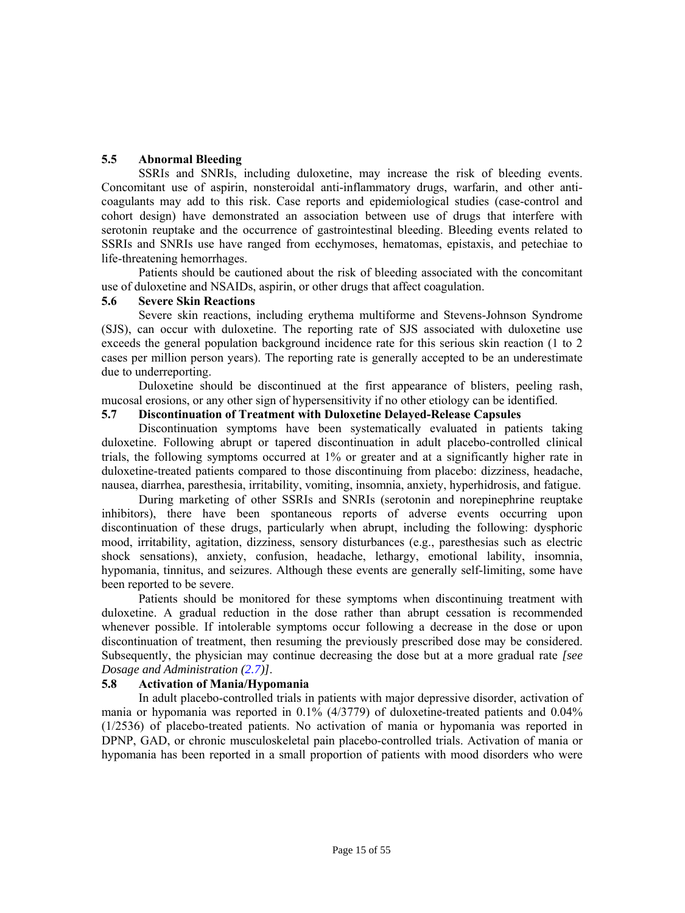# <span id="page-14-5"></span><span id="page-14-0"></span>**5.5 Abnormal Bleeding**

SSRIs and SNRIs, including duloxetine, may increase the risk of bleeding events. Concomitant use of aspirin, nonsteroidal anti-inflammatory drugs, warfarin, and other anticoagulants may add to this risk. Case reports and epidemiological studies (case-control and cohort design) have demonstrated an association between use of drugs that interfere with serotonin reuptake and the occurrence of gastrointestinal bleeding. Bleeding events related to SSRIs and SNRIs use have ranged from ecchymoses, hematomas, epistaxis, and petechiae to life-threatening hemorrhages.

<span id="page-14-6"></span><span id="page-14-1"></span>Patients should be cautioned about the risk of bleeding associated with the concomitant use of duloxetine and NSAIDs, aspirin, or other drugs that affect coagulation.

#### **5.6 Severe Skin Reactions**

Severe skin reactions, including erythema multiforme and Stevens-Johnson Syndrome (SJS), can occur with duloxetine. The reporting rate of SJS associated with duloxetine use exceeds the general population background incidence rate for this serious skin reaction (1 to 2 cases per million person years). The reporting rate is generally accepted to be an underestimate due to underreporting.

<span id="page-14-4"></span><span id="page-14-2"></span>Duloxetine should be discontinued at the first appearance of blisters, peeling rash, mucosal erosions, or any other sign of hypersensitivity if no other etiology can be identified.

#### **5.7 Discontinuation of Treatment with Duloxetine Delayed-Release Capsules**

<span id="page-14-7"></span><span id="page-14-3"></span>Discontinuation symptoms have been systematically evaluated in patients taking duloxetine. Following abrupt or tapered discontinuation in adult placebo-controlled clinical trials, the following symptoms occurred at 1% or greater and at a significantly higher rate in duloxetine-treated patients compared to those discontinuing from placebo: dizziness, headache, nausea, diarrhea, paresthesia, irritability, vomiting, insomnia, anxiety, hyperhidrosis, and fatigue.

During marketing of other SSRIs and SNRIs (serotonin and norepinephrine reuptake inhibitors), there have been spontaneous reports of adverse events occurring upon discontinuation of these drugs, particularly when abrupt, including the following: dysphoric mood, irritability, agitation, dizziness, sensory disturbances (e.g., paresthesias such as electric shock sensations), anxiety, confusion, headache, lethargy, emotional lability, insomnia, hypomania, tinnitus, and seizures. Although these events are generally self-limiting, some have been reported to be severe.

Patients should be monitored for these symptoms when discontinuing treatment with duloxetine. A gradual reduction in the dose rather than abrupt cessation is recommended whenever possible. If intolerable symptoms occur following a decrease in the dose or upon discontinuation of treatment, then resuming the previously prescribed dose may be considered. Subsequently, the physician may continue decreasing the dose but at a more gradual rate *[see Dosage and Administration [\(2.7\)](#page-9-3)]*.

# **5.8 Activation of Mania/Hypomania**

In adult placebo-controlled trials in patients with major depressive disorder, activation of mania or hypomania was reported in 0.1% (4/3779) of duloxetine-treated patients and 0.04% (1/2536) of placebo-treated patients. No activation of mania or hypomania was reported in DPNP, GAD, or chronic musculoskeletal pain placebo-controlled trials. Activation of mania or hypomania has been reported in a small proportion of patients with mood disorders who were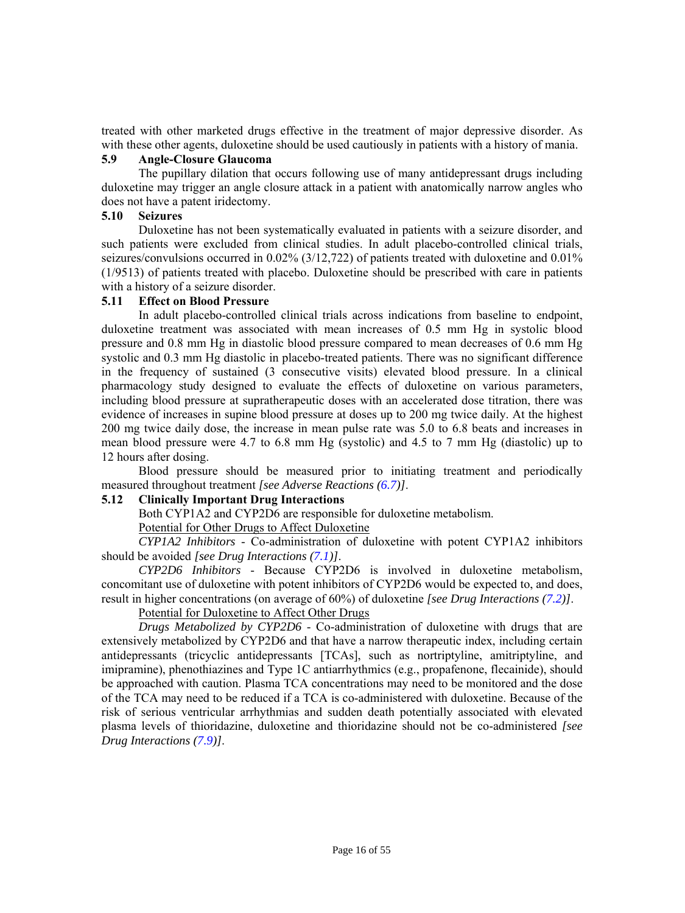<span id="page-15-4"></span><span id="page-15-0"></span>treated with other marketed drugs effective in the treatment of major depressive disorder. As with these other agents, duloxetine should be used cautiously in patients with a history of mania.

#### **5.9 Angle-Closure Glaucoma**

<span id="page-15-5"></span><span id="page-15-1"></span>The pupillary dilation that occurs following use of many antidepressant drugs including duloxetine may trigger an angle closure attack in a patient with anatomically narrow angles who does not have a patent iridectomy.

# **5.10 Seizures**

Duloxetine has not been systematically evaluated in patients with a seizure disorder, and such patients were excluded from clinical studies. In adult placebo-controlled clinical trials, seizures/convulsions occurred in 0.02% (3/12,722) of patients treated with duloxetine and 0.01% (1/9513) of patients treated with placebo. Duloxetine should be prescribed with care in patients with a history of a seizure disorder.

# <span id="page-15-6"></span><span id="page-15-2"></span>**5.11 Effect on Blood Pressure**

In adult placebo-controlled clinical trials across indications from baseline to endpoint, duloxetine treatment was associated with mean increases of 0.5 mm Hg in systolic blood pressure and 0.8 mm Hg in diastolic blood pressure compared to mean decreases of 0.6 mm Hg systolic and 0.3 mm Hg diastolic in placebo-treated patients. There was no significant difference in the frequency of sustained (3 consecutive visits) elevated blood pressure. In a clinical pharmacology study designed to evaluate the effects of duloxetine on various parameters, including blood pressure at supratherapeutic doses with an accelerated dose titration, there was evidence of increases in supine blood pressure at doses up to 200 mg twice daily. At the highest 200 mg twice daily dose, the increase in mean pulse rate was 5.0 to 6.8 beats and increases in mean blood pressure were 4.7 to 6.8 mm Hg (systolic) and 4.5 to 7 mm Hg (diastolic) up to 12 hours after dosing.

<span id="page-15-7"></span><span id="page-15-3"></span>Blood pressure should be measured prior to initiating treatment and periodically measured throughout treatment *[see Adverse Reactions [\(6.7\)](#page-23-2)]*.

# **5.12 Clinically Important Drug Interactions**

Both CYP1A2 and CYP2D6 are responsible for duloxetine metabolism.

Potential for Other Drugs to Affect Duloxetine

*CYP1A2 Inhibitors* - Co-administration of duloxetine with potent CYP1A2 inhibitors should be avoided *[see Drug Interactions ([7.1\)](#page-27-4)]*.

*CYP2D6 Inhibitors* - Because CYP2D6 is involved in duloxetine metabolism, concomitant use of duloxetine with potent inhibitors of CYP2D6 would be expected to, and does, result in higher concentrations (on average of 60%) of duloxetine *[see Drug Interactions [\(7.2\)](#page-27-4)]*.

# Potential for Duloxetine to Affect Other Drugs

*Drugs Metabolized by CYP2D6* - Co-administration of duloxetine with drugs that are extensively metabolized by CYP2D6 and that have a narrow therapeutic index, including certain antidepressants (tricyclic antidepressants [TCAs], such as nortriptyline, amitriptyline, and imipramine), phenothiazines and Type 1C antiarrhythmics (e.g., propafenone, flecainide), should be approached with caution. Plasma TCA concentrations may need to be monitored and the dose of the TCA may need to be reduced if a TCA is co-administered with duloxetine. Because of the risk of serious ventricular arrhythmias and sudden death potentially associated with elevated plasma levels of thioridazine, duloxetine and thioridazine should not be co-administered *[see Drug Interactions [\(7.9\)\]](#page-28-5)*.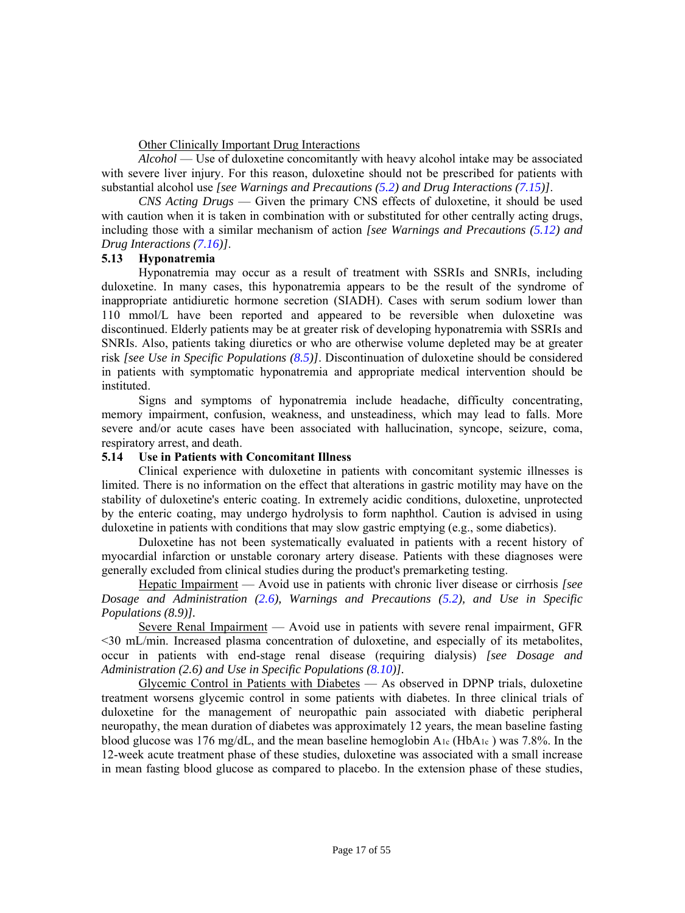#### Other Clinically Important Drug Interactions

*Alcohol* — Use of duloxetine concomitantly with heavy alcohol intake may be associated with severe liver injury. For this reason, duloxetine should not be prescribed for patients with substantial alcohol use *[see Warnings and Precautions [\(5.2\)](#page-12-2) and Drug Interactions [\(7.15\)](#page-28-9)]*.

<span id="page-16-3"></span><span id="page-16-0"></span>*CNS Acting Drugs* — Given the primary CNS effects of duloxetine, it should be used with caution when it is taken in combination with or substituted for other centrally acting drugs, including those with a similar mechanism of action *[see Warnings and Precautions [\(5.12\)](#page-15-7) and Drug Interactions [\(7.16\)](#page-28-9)]*.

# **5.13 Hyponatremia**

Hyponatremia may occur as a result of treatment with SSRIs and SNRIs, including duloxetine. In many cases, this hyponatremia appears to be the result of the syndrome of inappropriate antidiuretic hormone secretion (SIADH). Cases with serum sodium lower than 110 mmol/L have been reported and appeared to be reversible when duloxetine was discontinued. Elderly patients may be at greater risk of developing hyponatremia with SSRIs and SNRIs. Also, patients taking diuretics or who are otherwise volume depleted may be at greater risk *[see Use in Specific Populations [\(8.5](#page-30-5))]*. Discontinuation of duloxetine should be considered in patients with symptomatic hyponatremia and appropriate medical intervention should be instituted.

<span id="page-16-2"></span><span id="page-16-1"></span>Signs and symptoms of hyponatremia include headache, difficulty concentrating, memory impairment, confusion, weakness, and unsteadiness, which may lead to falls. More severe and/or acute cases have been associated with hallucination, syncope, seizure, coma, respiratory arrest, and death.

#### **5.14 Use in Patients with Concomitant Illness**

Clinical experience with duloxetine in patients with concomitant systemic illnesses is limited. There is no information on the effect that alterations in gastric motility may have on the stability of duloxetine's enteric coating. In extremely acidic conditions, duloxetine, unprotected by the enteric coating, may undergo hydrolysis to form naphthol. Caution is advised in using duloxetine in patients with conditions that may slow gastric emptying (e.g., some diabetics).

Duloxetine has not been systematically evaluated in patients with a recent history of myocardial infarction or unstable coronary artery disease. Patients with these diagnoses were generally excluded from clinical studies during the product's premarketing testing.

Hepatic Impairment — Avoid use in patients with chronic liver disease or cirrhosis *[see Dosage and Administration [\(2.6\)](#page-9-8), Warnings and Precautions [\(5.2\)](#page-12-2), and Use in Specific Populations (8.9)].* 

Severe Renal Impairment — Avoid use in patients with severe renal impairment, GFR <30 mL/min. Increased plasma concentration of duloxetine, and especially of its metabolites, occur in patients with end-stage renal disease (requiring dialysis) *[see Dosage and Administration (2.6) and Use in Specific Populations [\(8.10\)](#page-31-1)].* 

Glycemic Control in Patients with Diabetes — As observed in DPNP trials, duloxetine treatment worsens glycemic control in some patients with diabetes. In three clinical trials of duloxetine for the management of neuropathic pain associated with diabetic peripheral neuropathy, the mean duration of diabetes was approximately 12 years, the mean baseline fasting blood glucose was 176 mg/dL, and the mean baseline hemoglobin  $A_{1c}$  (Hb $A_{1c}$ ) was 7.8%. In the 12-week acute treatment phase of these studies, duloxetine was associated with a small increase in mean fasting blood glucose as compared to placebo. In the extension phase of these studies,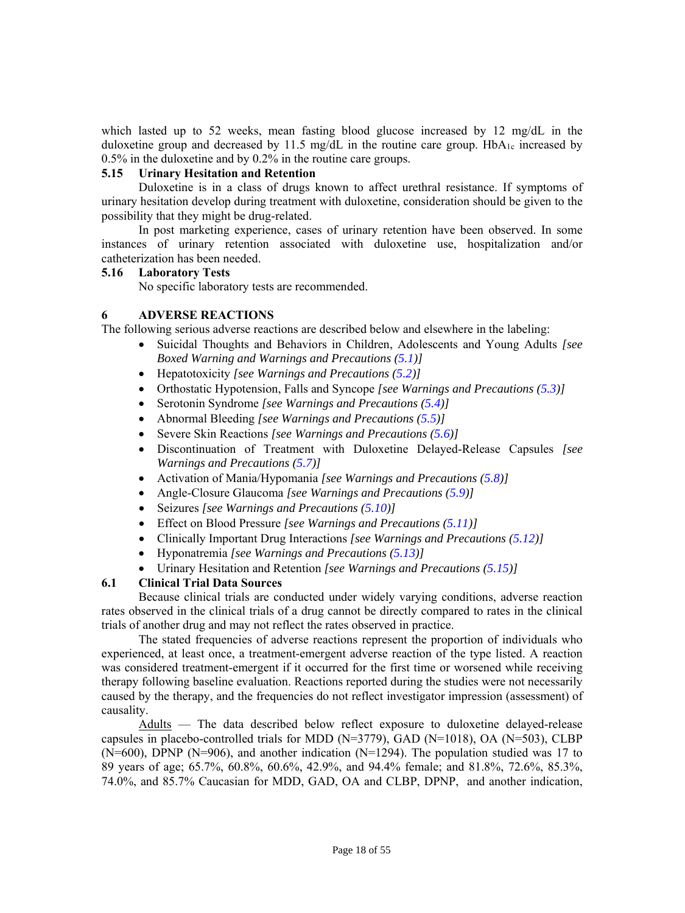which lasted up to 52 weeks, mean fasting blood glucose increased by 12 mg/dL in the duloxetine group and decreased by 11.5 mg/dL in the routine care group.  $HbA_1c$  increased by 0.5% in the duloxetine and by 0.2% in the routine care groups.

#### <span id="page-17-3"></span><span id="page-17-0"></span>**5.15 Urinary Hesitation and Retention**

Duloxetine is in a class of drugs known to affect urethral resistance. If symptoms of urinary hesitation develop during treatment with duloxetine, consideration should be given to the possibility that they might be drug-related.

<span id="page-17-4"></span><span id="page-17-1"></span>In post marketing experience, cases of urinary retention have been observed. In some instances of urinary retention associated with duloxetine use, hospitalization and/or catheterization has been needed.

#### **5.16 Laboratory Tests**

No specific laboratory tests are recommended.

#### **6 ADVERSE REACTIONS**

The following serious adverse reactions are described below and elsewhere in the labeling:

- Suicidal Thoughts and Behaviors in Children, Adolescents and Young Adults *[see Boxed Warning and Warnings and Precautions ([5.1](#page-10-3))]*
- Hepatotoxicity *[see Warnings and Precautions [\(5.2\)\]](#page-12-2)*
- Orthostatic Hypotension, Falls and Syncope *[see Warnings and Precautions ([5.3](#page-12-3))]*
- Serotonin Syndrome *[see Warnings and Precautions [\(5.4\)](#page-13-1)]*
- Abnormal Bleeding *[see Warnings and Precautions [\(5.5\)\]](#page-14-5)*
- Severe Skin Reactions *[see Warnings and Precautions ([5.6](#page-14-6))]*
- Discontinuation of Treatment with Duloxetine Delayed-Release Capsules *[see Warnings and Precautions ([5.7\)\]](#page-14-4)*
- Activation of Mania/Hypomania *[see Warnings and Precautions [\(5.8\)](#page-14-7)]*
- Angle-Closure Glaucoma *[see Warnings and Precautions [\(5.9\)\]](#page-15-4)*
- Seizures *[see Warnings and Precautions [\(5.10\)](#page-15-5)]*
- Effect on Blood Pressure *[see Warnings and Precautions [\(5.11](#page-15-6))]*
- Clinically Important Drug Interactions *[see Warnings and Precautions [\(5.12\)\]](#page-15-7)*
- Hyponatremia *[see Warnings and Precautions [\(5.13\)](#page-16-3)]*
- Urinary Hesitation and Retention *[see Warnings and Precautions [\(5.15](#page-17-3))]*

# <span id="page-17-5"></span><span id="page-17-2"></span>**6.1 Clinical Trial Data Sources**

Because clinical trials are conducted under widely varying conditions, adverse reaction rates observed in the clinical trials of a drug cannot be directly compared to rates in the clinical trials of another drug and may not reflect the rates observed in practice.

The stated frequencies of adverse reactions represent the proportion of individuals who experienced, at least once, a treatment-emergent adverse reaction of the type listed. A reaction was considered treatment-emergent if it occurred for the first time or worsened while receiving therapy following baseline evaluation. Reactions reported during the studies were not necessarily caused by the therapy, and the frequencies do not reflect investigator impression (assessment) of causality.

Adults — The data described below reflect exposure to duloxetine delayed-release capsules in placebo-controlled trials for MDD (N=3779), GAD (N=1018), OA (N=503), CLBP (N=600), DPNP (N=906), and another indication (N=1294). The population studied was 17 to 89 years of age; 65.7%, 60.8%, 60.6%, 42.9%, and 94.4% female; and 81.8%, 72.6%, 85.3%, 74.0%, and 85.7% Caucasian for MDD, GAD, OA and CLBP, DPNP, and another indication,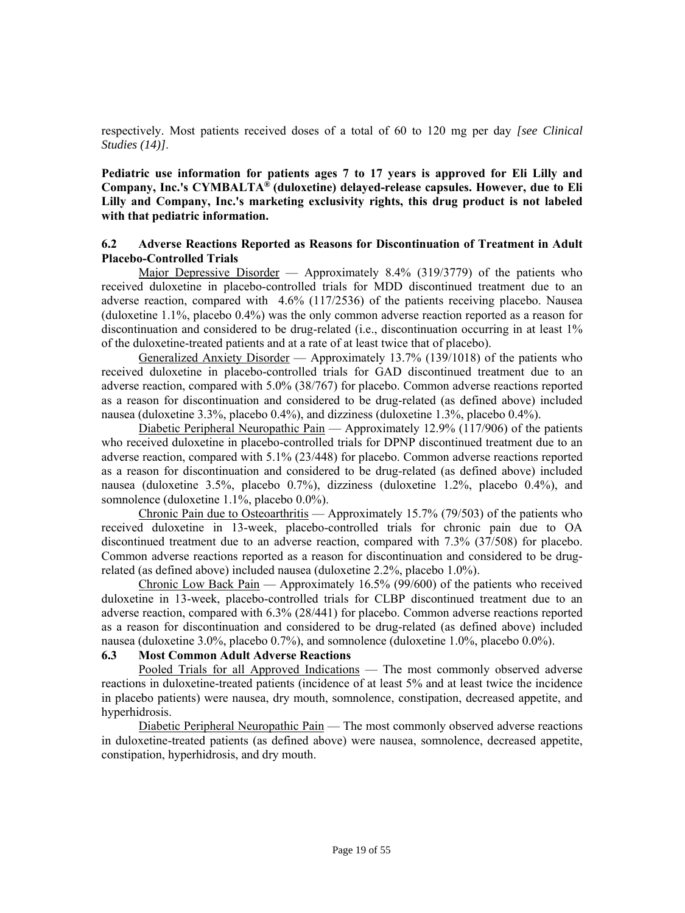respectively. Most patients received doses of a total of 60 to 120 mg per day *[see Clinical Studies (14)]*.

**Pediatric use information for patients ages 7 to 17 years is approved for Eli Lilly and Company, Inc.'s CYMBALTA® (duloxetine) delayed-release capsules. However, due to Eli Lilly and Company, Inc.'s marketing exclusivity rights, this drug product is not labeled with that pediatric information.**

#### <span id="page-18-3"></span><span id="page-18-0"></span>**6.2 Adverse Reactions Reported as Reasons for Discontinuation of Treatment in Adult Placebo-Controlled Trials**

Major Depressive Disorder — Approximately 8.4% (319/3779) of the patients who received duloxetine in placebo-controlled trials for MDD discontinued treatment due to an adverse reaction, compared with 4.6% (117/2536) of the patients receiving placebo. Nausea (duloxetine 1.1%, placebo 0.4%) was the only common adverse reaction reported as a reason for discontinuation and considered to be drug-related (i.e., discontinuation occurring in at least 1% of the duloxetine-treated patients and at a rate of at least twice that of placebo).

Generalized Anxiety Disorder — Approximately 13.7% (139/1018) of the patients who received duloxetine in placebo-controlled trials for GAD discontinued treatment due to an adverse reaction, compared with 5.0% (38/767) for placebo. Common adverse reactions reported as a reason for discontinuation and considered to be drug-related (as defined above) included nausea (duloxetine 3.3%, placebo 0.4%), and dizziness (duloxetine 1.3%, placebo 0.4%).

<span id="page-18-2"></span><span id="page-18-1"></span>Diabetic Peripheral Neuropathic Pain — Approximately 12.9% (117/906) of the patients who received duloxetine in placebo-controlled trials for DPNP discontinued treatment due to an adverse reaction, compared with 5.1% (23/448) for placebo. Common adverse reactions reported as a reason for discontinuation and considered to be drug-related (as defined above) included nausea (duloxetine 3.5%, placebo 0.7%), dizziness (duloxetine 1.2%, placebo 0.4%), and somnolence (duloxetine 1.1%, placebo 0.0%).

Chronic Pain due to Osteoarthritis — Approximately 15.7% (79/503) of the patients who received duloxetine in 13-week, placebo-controlled trials for chronic pain due to OA discontinued treatment due to an adverse reaction, compared with 7.3% (37/508) for placebo. Common adverse reactions reported as a reason for discontinuation and considered to be drugrelated (as defined above) included nausea (duloxetine 2.2%, placebo 1.0%).

Chronic Low Back Pain — Approximately 16.5% (99/600) of the patients who received duloxetine in 13-week, placebo-controlled trials for CLBP discontinued treatment due to an adverse reaction, compared with 6.3% (28/441) for placebo. Common adverse reactions reported as a reason for discontinuation and considered to be drug-related (as defined above) included nausea (duloxetine 3.0%, placebo 0.7%), and somnolence (duloxetine 1.0%, placebo 0.0%).

#### **6.3 Most Common Adult Adverse Reactions**

Pooled Trials for all Approved Indications — The most commonly observed adverse reactions in duloxetine-treated patients (incidence of at least 5% and at least twice the incidence in placebo patients) were nausea, dry mouth, somnolence, constipation, decreased appetite, and hyperhidrosis.

Diabetic Peripheral Neuropathic Pain — The most commonly observed adverse reactions in duloxetine-treated patients (as defined above) were nausea, somnolence, decreased appetite, constipation, hyperhidrosis, and dry mouth.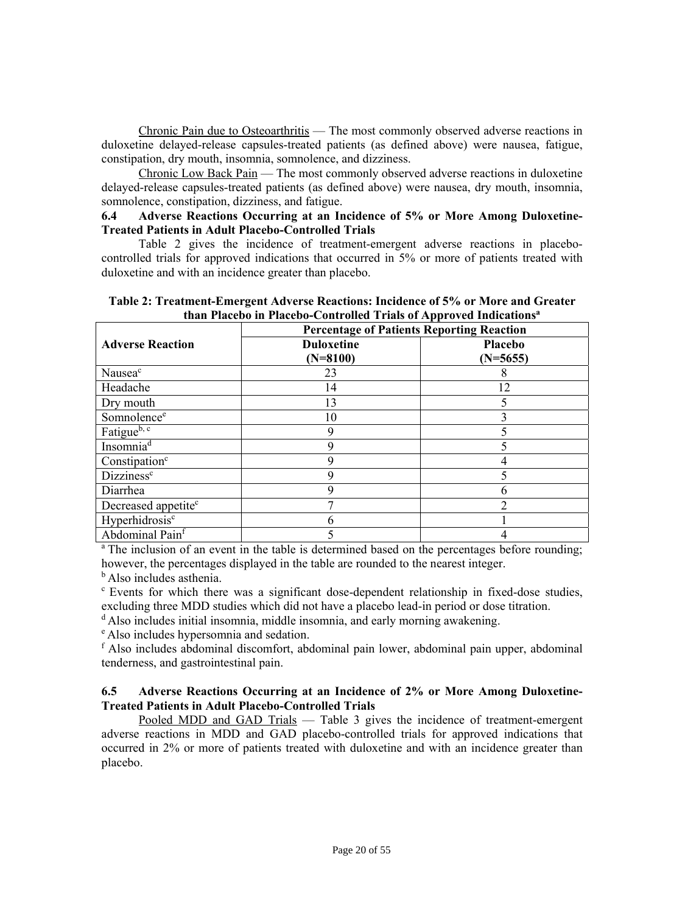Chronic Pain due to Osteoarthritis — The most commonly observed adverse reactions in duloxetine delayed-release capsules-treated patients (as defined above) were nausea, fatigue, constipation, dry mouth, insomnia, somnolence, and dizziness.

<span id="page-19-0"></span>Chronic Low Back Pain — The most commonly observed adverse reactions in duloxetine delayed-release capsules-treated patients (as defined above) were nausea, dry mouth, insomnia, somnolence, constipation, dizziness, and fatigue.

#### <span id="page-19-2"></span>**6.4 Adverse Reactions Occurring at an Incidence of 5% or More Among Duloxetine-Treated Patients in Adult Placebo-Controlled Trials**

Table 2 gives the incidence of treatment-emergent adverse reactions in placebocontrolled trials for approved indications that occurred in 5% or more of patients treated with duloxetine and with an incidence greater than placebo.

| than I factor in Thactor-Controlled Trials of Tepproved Indications |                                                  |                       |  |  |  |
|---------------------------------------------------------------------|--------------------------------------------------|-----------------------|--|--|--|
|                                                                     | <b>Percentage of Patients Reporting Reaction</b> |                       |  |  |  |
| <b>Adverse Reaction</b>                                             | <b>Duloxetine</b><br>$(N=8100)$                  | Placebo<br>$(N=5655)$ |  |  |  |
| Nausea <sup>c</sup>                                                 | 23                                               |                       |  |  |  |
| Headache                                                            | 14                                               | 12                    |  |  |  |
| Dry mouth                                                           | 13                                               |                       |  |  |  |
| Somnolence <sup>e</sup>                                             | 10                                               |                       |  |  |  |
| Fatigue <sup>b, c</sup>                                             | 9                                                |                       |  |  |  |
| Insomnia $\overline{d}$                                             | g                                                |                       |  |  |  |
| Constipation <sup>c</sup>                                           | Q                                                |                       |  |  |  |
| Dizziness <sup>c</sup>                                              | Q                                                |                       |  |  |  |
| Diarrhea                                                            | 9                                                |                       |  |  |  |
| Decreased appetite <sup>c</sup>                                     |                                                  | ↑                     |  |  |  |
| Hyperhidrosis <sup>c</sup>                                          |                                                  |                       |  |  |  |
| Abdominal Painf                                                     |                                                  |                       |  |  |  |

**Table 2: Treatment-Emergent Adverse Reactions: Incidence of 5% or More and Greater than Placebo in Placebo-Controlled Trials of Approved Indicationsa**

<span id="page-19-3"></span><span id="page-19-1"></span><sup>a</sup> The inclusion of an event in the table is determined based on the percentages before rounding; however, the percentages displayed in the table are rounded to the nearest integer.

<sup>b</sup> Also includes asthenia.

c Events for which there was a significant dose-dependent relationship in fixed-dose studies, excluding three MDD studies which did not have a placebo lead-in period or dose titration.

 $d$  Also includes initial insomnia, middle insomnia, and early morning awakening.  $e$  Also includes hypersomnia and sedation.

f Also includes abdominal discomfort, abdominal pain lower, abdominal pain upper, abdominal tenderness, and gastrointestinal pain.

# **6.5 Adverse Reactions Occurring at an Incidence of 2% or More Among Duloxetine-Treated Patients in Adult Placebo-Controlled Trials**

Pooled MDD and GAD Trials — Table 3 gives the incidence of treatment-emergent adverse reactions in MDD and GAD placebo-controlled trials for approved indications that occurred in 2% or more of patients treated with duloxetine and with an incidence greater than placebo.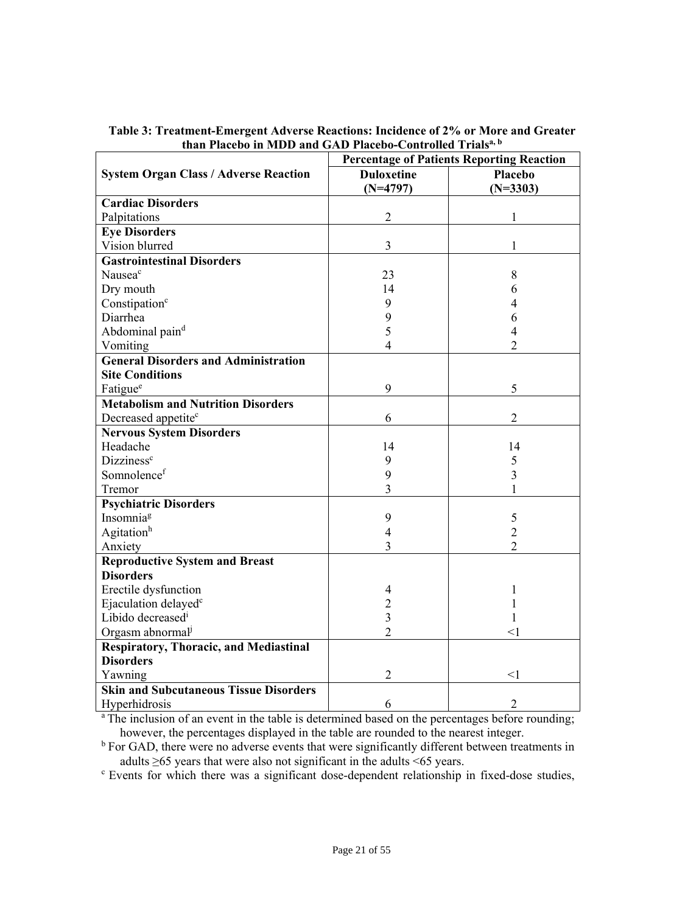|                                               | <b>Percentage of Patients Reporting Reaction</b> |                |  |
|-----------------------------------------------|--------------------------------------------------|----------------|--|
| <b>System Organ Class / Adverse Reaction</b>  | <b>Duloxetine</b>                                | Placebo        |  |
|                                               | $(N=4797)$                                       | $(N=3303)$     |  |
| <b>Cardiac Disorders</b>                      |                                                  |                |  |
| Palpitations                                  | $\overline{2}$                                   | 1              |  |
| <b>Eye Disorders</b>                          |                                                  |                |  |
| Vision blurred                                | 3                                                | 1              |  |
| <b>Gastrointestinal Disorders</b>             |                                                  |                |  |
| Nausea <sup>c</sup>                           | 23                                               | 8              |  |
| Dry mouth                                     | 14                                               | 6              |  |
| Constipation <sup>c</sup>                     | 9                                                | 4              |  |
| Diarrhea                                      | 9                                                | 6              |  |
| Abdominal paind                               | 5                                                | 4              |  |
| Vomiting                                      | 4                                                | $\overline{2}$ |  |
| <b>General Disorders and Administration</b>   |                                                  |                |  |
| <b>Site Conditions</b>                        |                                                  |                |  |
| Fatigue <sup>e</sup>                          | 9                                                | 5              |  |
| <b>Metabolism and Nutrition Disorders</b>     |                                                  |                |  |
| Decreased appetite <sup>c</sup>               | 6                                                | $\overline{2}$ |  |
| <b>Nervous System Disorders</b>               |                                                  |                |  |
| Headache                                      | 14                                               | 14             |  |
| Dizziness <sup>c</sup>                        | 9                                                | 5              |  |
| Somnolencef                                   | 9                                                | 3              |  |
| Tremor                                        | 3                                                |                |  |
| <b>Psychiatric Disorders</b>                  |                                                  |                |  |
| Insomnia <sup>g</sup>                         | 9                                                | 5              |  |
| Agitationh                                    | $\overline{4}$                                   | $\overline{2}$ |  |
| Anxiety                                       | 3                                                | $\overline{2}$ |  |
| <b>Reproductive System and Breast</b>         |                                                  |                |  |
| <b>Disorders</b>                              |                                                  |                |  |
| Erectile dysfunction                          | 4                                                | 1              |  |
| Ejaculation delayed <sup>c</sup>              | $\overline{c}$                                   |                |  |
| Libido decreased <sup>i</sup>                 | $\overline{3}$                                   |                |  |
| Orgasm abnormal <sup>j</sup>                  | 2                                                | $<$ 1          |  |
| <b>Respiratory, Thoracic, and Mediastinal</b> |                                                  |                |  |
| <b>Disorders</b>                              |                                                  |                |  |
| Yawning                                       | $\overline{2}$                                   | $<$ 1          |  |
| <b>Skin and Subcutaneous Tissue Disorders</b> |                                                  |                |  |
| Hyperhidrosis                                 | 6                                                | $\overline{2}$ |  |

**Table 3: Treatment-Emergent Adverse Reactions: Incidence of 2% or More and Greater than Placebo in MDD and GAD Placebo-Controlled Trialsa, b** 

<sup>a</sup> The inclusion of an event in the table is determined based on the percentages before rounding; however, the percentages displayed in the table are rounded to the nearest integer.

<sup>b</sup> For GAD, there were no adverse events that were significantly different between treatments in adults ≥65 years that were also not significant in the adults <65 years.

c Events for which there was a significant dose-dependent relationship in fixed-dose studies,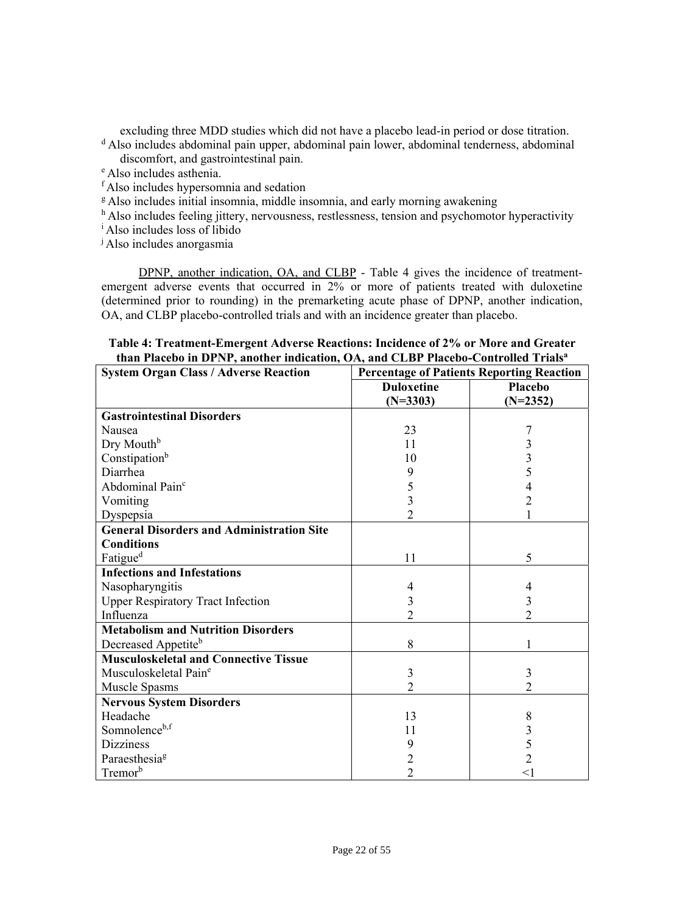excluding three MDD studies which did not have a placebo lead-in period or dose titration. d Also includes abdominal pain upper, abdominal pain lower, abdominal tenderness, abdominal

discomfort, and gastrointestinal pain. e Also includes asthenia.

- 
- <sup>f</sup> Also includes hypersomnia and sedation
- <sup>g</sup> Also includes initial insomnia, middle insomnia, and early morning awakening
- $<sup>h</sup>$  Also includes feeling jittery, nervousness, restlessness, tension and psychomotor hyperactivity</sup>
- i Also includes loss of libido
- j Also includes anorgasmia

DPNP, another indication, OA, and CLBP - Table 4 gives the incidence of treatmentemergent adverse events that occurred in 2% or more of patients treated with duloxetine (determined prior to rounding) in the premarketing acute phase of DPNP, another indication, OA, and CLBP placebo-controlled trials and with an incidence greater than placebo.

#### **Table 4: Treatment-Emergent Adverse Reactions: Incidence of 2% or More and Greater than Placebo in DPNP, another indication, OA, and CLBP Placebo-Controlled Trialsa**

| <b>System Organ Class / Adverse Reaction</b>     | <b>Percentage of Patients Reporting Reaction</b> |                |  |
|--------------------------------------------------|--------------------------------------------------|----------------|--|
|                                                  | <b>Duloxetine</b>                                | <b>Placebo</b> |  |
|                                                  | $(N=3303)$                                       | $(N=2352)$     |  |
| <b>Gastrointestinal Disorders</b>                |                                                  |                |  |
| Nausea                                           | 23                                               |                |  |
| Dry Mouth <sup>b</sup>                           | 11                                               | 3              |  |
| Constipation <sup>b</sup>                        | 10                                               | 3              |  |
| Diarrhea                                         | 9                                                | 5              |  |
| Abdominal Pain <sup>c</sup>                      | 5                                                | 4              |  |
| Vomiting                                         | 3                                                | $\overline{2}$ |  |
| Dyspepsia                                        | $\overline{2}$                                   |                |  |
| <b>General Disorders and Administration Site</b> |                                                  |                |  |
| <b>Conditions</b>                                |                                                  |                |  |
| Fatigue <sup>d</sup>                             | 11                                               | 5              |  |
| <b>Infections and Infestations</b>               |                                                  |                |  |
| Nasopharyngitis                                  | 4                                                | 4              |  |
| <b>Upper Respiratory Tract Infection</b>         | 3                                                | 3              |  |
| Influenza                                        | $\overline{2}$                                   | $\overline{2}$ |  |
| <b>Metabolism and Nutrition Disorders</b>        |                                                  |                |  |
| Decreased Appetite <sup>b</sup>                  | 8                                                | 1              |  |
| <b>Musculoskeletal and Connective Tissue</b>     |                                                  |                |  |
| Musculoskeletal Pain <sup>e</sup>                | 3                                                | 3              |  |
| Muscle Spasms                                    | $\overline{2}$                                   | $\overline{2}$ |  |
| <b>Nervous System Disorders</b>                  |                                                  |                |  |
| Headache                                         | 13                                               | 8              |  |
| Somnolenceb,f                                    | 11                                               | 3              |  |
| <b>Dizziness</b>                                 | 9                                                | 5              |  |
| Paraesthesia <sup>g</sup>                        | $\overline{2}$                                   | $\overline{2}$ |  |
| Tremor <sup>b</sup>                              | $\overline{2}$                                   | $<$ l          |  |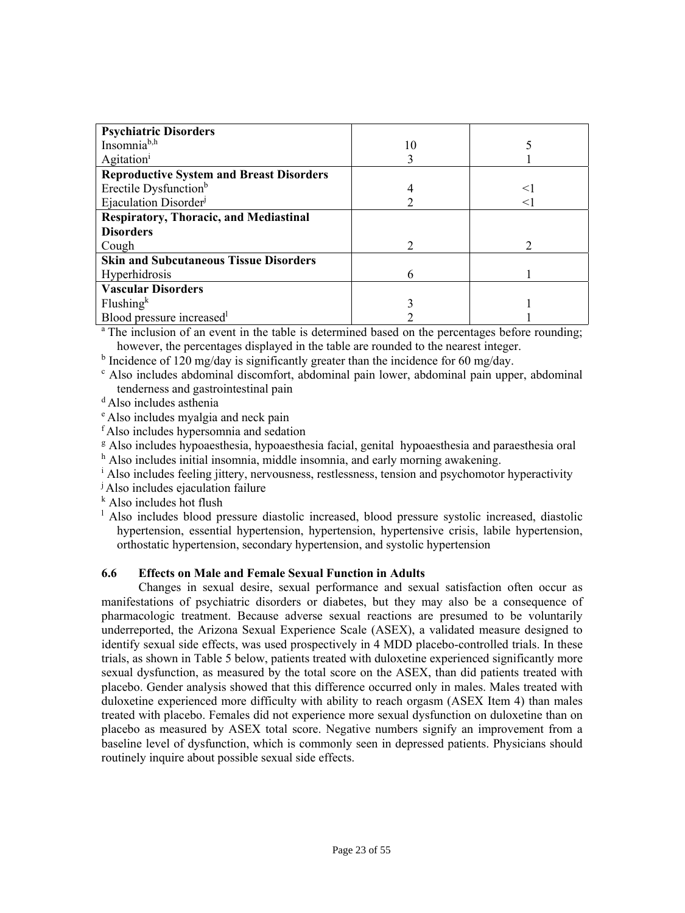| <b>Psychiatric Disorders</b>                    |    |  |
|-------------------------------------------------|----|--|
| Insomnia <sup>b,h</sup>                         | 10 |  |
| Agitation <sup>1</sup>                          |    |  |
| <b>Reproductive System and Breast Disorders</b> |    |  |
| Erectile Dysfunction <sup>b</sup>               |    |  |
| Ejaculation Disorder <sup>j</sup>               |    |  |
| <b>Respiratory, Thoracic, and Mediastinal</b>   |    |  |
| <b>Disorders</b>                                |    |  |
| Cough                                           |    |  |
| <b>Skin and Subcutaneous Tissue Disorders</b>   |    |  |
| Hyperhidrosis                                   | h  |  |
| <b>Vascular Disorders</b>                       |    |  |
| Flushing <sup>k</sup>                           |    |  |
| Blood pressure increased <sup>1</sup>           |    |  |

<sup>a</sup> The inclusion of an event in the table is determined based on the percentages before rounding; however, the percentages displayed in the table are rounded to the nearest integer.

<sup>b</sup> Incidence of 120 mg/day is significantly greater than the incidence for 60 mg/day.

 Also includes abdominal discomfort, abdominal pain lower, abdominal pain upper, abdominal tenderness and gastrointestinal pain

d Also includes asthenia

e Also includes myalgia and neck pain

f Also includes hypersomnia and sedation

<sup>g</sup> Also includes hypoaesthesia, hypoaesthesia facial, genital hypoaesthesia and paraesthesia oral <sup>h</sup> Also includes initial insomnia, middle insomnia, and early morning awakening.

<sup>i</sup> Also includes feeling jittery, nervousness, restlessness, tension and psychomotor hyperactivity

<span id="page-22-1"></span><span id="page-22-0"></span>j Also includes ejaculation failure

k Also includes hot flush

<sup>1</sup> Also includes blood pressure diastolic increased, blood pressure systolic increased, diastolic hypertension, essential hypertension, hypertension, hypertensive crisis, labile hypertension, orthostatic hypertension, secondary hypertension, and systolic hypertension

# **6.6 Effects on Male and Female Sexual Function in Adults**

Changes in sexual desire, sexual performance and sexual satisfaction often occur as manifestations of psychiatric disorders or diabetes, but they may also be a consequence of pharmacologic treatment. Because adverse sexual reactions are presumed to be voluntarily underreported, the Arizona Sexual Experience Scale (ASEX), a validated measure designed to identify sexual side effects, was used prospectively in 4 MDD placebo-controlled trials. In these trials, as shown in Table 5 below, patients treated with duloxetine experienced significantly more sexual dysfunction, as measured by the total score on the ASEX, than did patients treated with placebo. Gender analysis showed that this difference occurred only in males. Males treated with duloxetine experienced more difficulty with ability to reach orgasm (ASEX Item 4) than males treated with placebo. Females did not experience more sexual dysfunction on duloxetine than on placebo as measured by ASEX total score. Negative numbers signify an improvement from a baseline level of dysfunction, which is commonly seen in depressed patients. Physicians should routinely inquire about possible sexual side effects.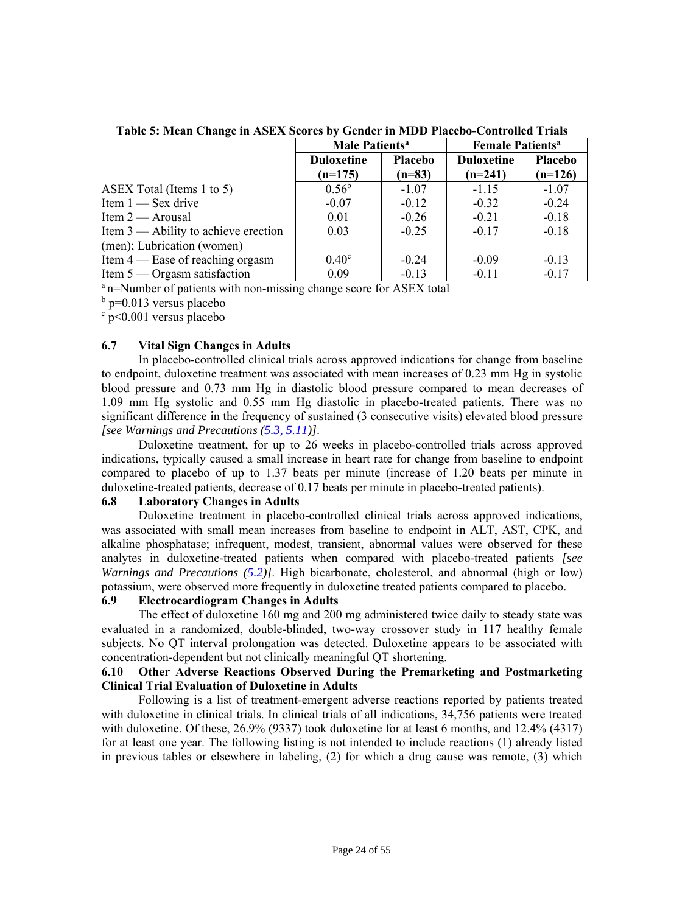|                                        | <b>Male Patients<sup>a</sup></b> |          | <b>Female Patients<sup>a</sup></b> |           |
|----------------------------------------|----------------------------------|----------|------------------------------------|-----------|
|                                        | <b>Duloxetine</b><br>Placebo     |          | <b>Duloxetine</b>                  | Placebo   |
|                                        | $(n=175)$                        | $(n=83)$ | $(n=241)$                          | $(n=126)$ |
| ASEX Total (Items 1 to 5)              | $0.56^{\rm b}$                   | $-1.07$  | $-1.15$                            | $-1.07$   |
| Item $1$ — Sex drive                   | $-0.07$                          | $-0.12$  | $-0.32$                            | $-0.24$   |
| Item $2 -$ Arousal                     | 0.01                             | $-0.26$  | $-0.21$                            | $-0.18$   |
| Item $3$ — Ability to achieve erection | 0.03                             | $-0.25$  | $-0.17$                            | $-0.18$   |
| (men); Lubrication (women)             |                                  |          |                                    |           |
| Item $4$ — Ease of reaching orgasm     | 0.40 <sup>c</sup>                | $-0.24$  | $-0.09$                            | $-0.13$   |
| Item $5 -$ Orgasm satisfaction         | 0.09                             | $-0.13$  | $-0.11$                            | $-0.17$   |

**Table 5: Mean Change in ASEX Scores by Gender in MDD Placebo-Controlled Trials** 

 $^{\circ}$  n=Number of patients with non-missing change score for ASEX total

<sup>b</sup> p=0.013 versus placebo

c p<0.001 versus placebo

#### <span id="page-23-2"></span><span id="page-23-0"></span>**6.7 Vital Sign Changes in Adults**

In placebo-controlled clinical trials across approved indications for change from baseline to endpoint, duloxetine treatment was associated with mean increases of 0.23 mm Hg in systolic blood pressure and 0.73 mm Hg in diastolic blood pressure compared to mean decreases of 1.09 mm Hg systolic and 0.55 mm Hg diastolic in placebo-treated patients. There was no significant difference in the frequency of sustained (3 consecutive visits) elevated blood pressure *[see Warnings and Precautions [\(5.3,](#page-12-3) [5.11](#page-15-6))]*.

Duloxetine treatment, for up to 26 weeks in placebo-controlled trials across approved indications, typically caused a small increase in heart rate for change from baseline to endpoint compared to placebo of up to 1.37 beats per minute (increase of 1.20 beats per minute in duloxetine-treated patients, decrease of 0.17 beats per minute in placebo-treated patients).

#### <span id="page-23-1"></span>**6.8 Laboratory Changes in Adults**

Duloxetine treatment in placebo-controlled clinical trials across approved indications, was associated with small mean increases from baseline to endpoint in ALT, AST, CPK, and alkaline phosphatase; infrequent, modest, transient, abnormal values were observed for these analytes in duloxetine-treated patients when compared with placebo-treated patients *[see Warnings and Precautions [\(5.2\)](#page-12-2)]*. High bicarbonate, cholesterol, and abnormal (high or low) potassium, were observed more frequently in duloxetine treated patients compared to placebo.

# **6.9 Electrocardiogram Changes in Adults**

The effect of duloxetine 160 mg and 200 mg administered twice daily to steady state was evaluated in a randomized, double-blinded, two-way crossover study in 117 healthy female subjects. No QT interval prolongation was detected. Duloxetine appears to be associated with concentration-dependent but not clinically meaningful QT shortening.

#### **6.10 Other Adverse Reactions Observed During the Premarketing and Postmarketing Clinical Trial Evaluation of Duloxetine in Adults**

Following is a list of treatment-emergent adverse reactions reported by patients treated with duloxetine in clinical trials. In clinical trials of all indications, 34,756 patients were treated with duloxetine. Of these, 26.9% (9337) took duloxetine for at least 6 months, and 12.4% (4317) for at least one year. The following listing is not intended to include reactions (1) already listed in previous tables or elsewhere in labeling, (2) for which a drug cause was remote, (3) which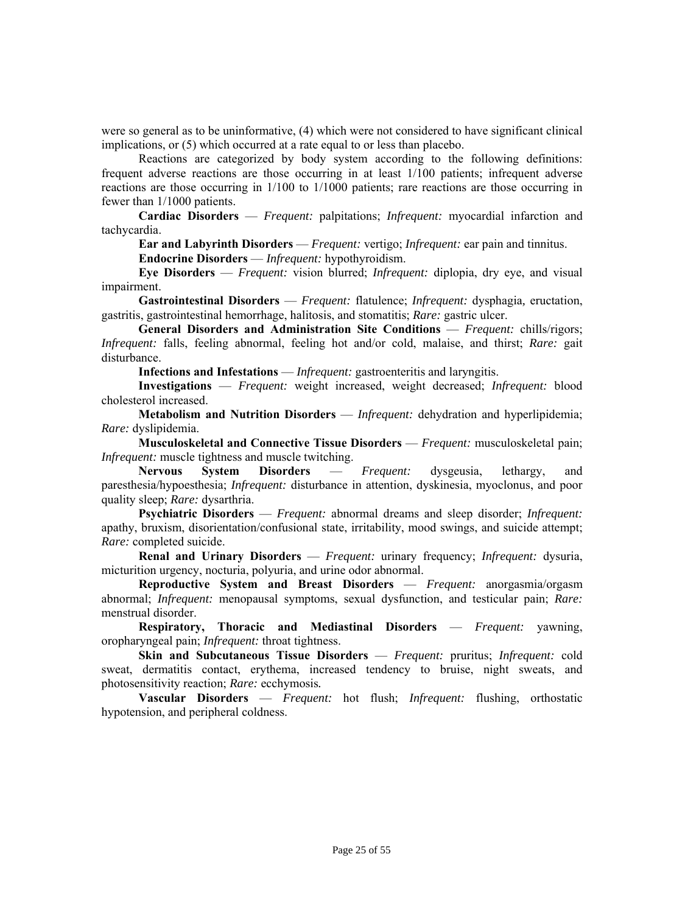were so general as to be uninformative, (4) which were not considered to have significant clinical implications, or (5) which occurred at a rate equal to or less than placebo.

Reactions are categorized by body system according to the following definitions: frequent adverse reactions are those occurring in at least 1/100 patients; infrequent adverse reactions are those occurring in 1/100 to 1/1000 patients; rare reactions are those occurring in fewer than 1/1000 patients.

**Cardiac Disorders** — *Frequent:* palpitations; *Infrequent:* myocardial infarction and tachycardia.

**Ear and Labyrinth Disorders** — *Frequent:* vertigo; *Infrequent:* ear pain and tinnitus. **Endocrine Disorders** — *Infrequent:* hypothyroidism.

**Eye Disorders** — *Frequent:* vision blurred; *Infrequent:* diplopia, dry eye, and visual impairment.

**Gastrointestinal Disorders** — *Frequent:* flatulence; *Infrequent:* dysphagia*,* eructation, gastritis, gastrointestinal hemorrhage, halitosis, and stomatitis; *Rare:* gastric ulcer.

**General Disorders and Administration Site Conditions** — *Frequent:* chills/rigors; *Infrequent:* falls, feeling abnormal, feeling hot and/or cold, malaise, and thirst; *Rare:* gait disturbance.

**Infections and Infestations** — *Infrequent:* gastroenteritis and laryngitis.

**Investigations** — *Frequent:* weight increased, weight decreased; *Infrequent:* blood cholesterol increased.

**Metabolism and Nutrition Disorders** — *Infrequent:* dehydration and hyperlipidemia; *Rare:* dyslipidemia.

**Musculoskeletal and Connective Tissue Disorders** — *Frequent:* musculoskeletal pain; *Infrequent:* muscle tightness and muscle twitching.

**Nervous System Disorders** — *Frequent:* dysgeusia, lethargy, and paresthesia/hypoesthesia; *Infrequent:* disturbance in attention, dyskinesia, myoclonus, and poor quality sleep; *Rare:* dysarthria.

**Psychiatric Disorders** — *Frequent:* abnormal dreams and sleep disorder; *Infrequent:*  apathy, bruxism, disorientation/confusional state, irritability, mood swings, and suicide attempt; *Rare:* completed suicide.

**Renal and Urinary Disorders** — *Frequent:* urinary frequency; *Infrequent:* dysuria, micturition urgency, nocturia, polyuria, and urine odor abnormal.

**Reproductive System and Breast Disorders** — *Frequent:* anorgasmia/orgasm abnormal; *Infrequent:* menopausal symptoms, sexual dysfunction, and testicular pain; *Rare:* menstrual disorder.

**Respiratory, Thoracic and Mediastinal Disorders** — *Frequent:* yawning, oropharyngeal pain; *Infrequent:* throat tightness.

**Skin and Subcutaneous Tissue Disorders** — *Frequent:* pruritus; *Infrequent:* cold sweat, dermatitis contact, erythema, increased tendency to bruise, night sweats, and photosensitivity reaction; *Rare:* ecchymosis*.* 

**Vascular Disorders** — *Frequent:* hot flush; *Infrequent:* flushing, orthostatic hypotension, and peripheral coldness.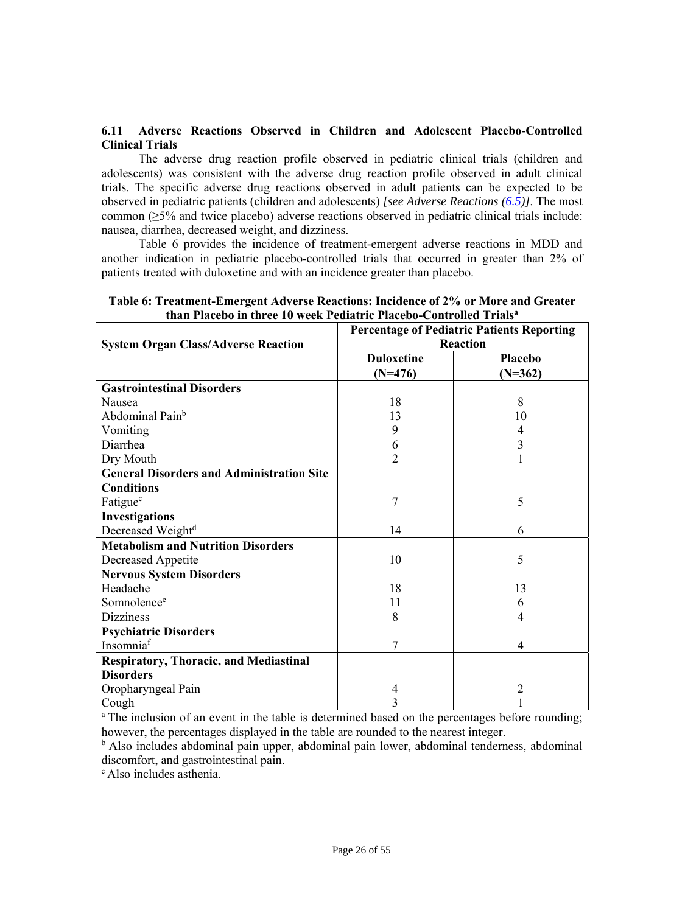# <span id="page-25-1"></span><span id="page-25-0"></span>**6.11 Adverse Reactions Observed in Children and Adolescent Placebo-Controlled Clinical Trials**

The adverse drug reaction profile observed in pediatric clinical trials (children and adolescents) was consistent with the adverse drug reaction profile observed in adult clinical trials. The specific adverse drug reactions observed in adult patients can be expected to be observed in pediatric patients (children and adolescents) *[see Adverse Reactions [\(6.5\)\]](#page-19-3)*. The most common (≥5% and twice placebo) adverse reactions observed in pediatric clinical trials include: nausea, diarrhea, decreased weight, and dizziness.

Table 6 provides the incidence of treatment-emergent adverse reactions in MDD and another indication in pediatric placebo-controlled trials that occurred in greater than 2% of patients treated with duloxetine and with an incidence greater than placebo.

| <b>System Organ Class/Adverse Reaction</b>       | <b>Percentage of Pediatric Patients Reporting</b><br>Reaction |                |  |
|--------------------------------------------------|---------------------------------------------------------------|----------------|--|
|                                                  | <b>Duloxetine</b>                                             | Placebo        |  |
|                                                  | $(N=476)$                                                     | $(N=362)$      |  |
| <b>Gastrointestinal Disorders</b>                |                                                               |                |  |
| Nausea                                           | 18                                                            | 8              |  |
| Abdominal Pain <sup>b</sup>                      | 13                                                            | 10             |  |
| Vomiting                                         | 9                                                             | 4              |  |
| Diarrhea                                         | 6                                                             | 3              |  |
| Dry Mouth                                        | $\overline{2}$                                                |                |  |
| <b>General Disorders and Administration Site</b> |                                                               |                |  |
| <b>Conditions</b>                                |                                                               |                |  |
| Fatigue <sup>c</sup>                             | 7                                                             | 5              |  |
| <b>Investigations</b>                            |                                                               |                |  |
| Decreased Weight <sup>d</sup>                    | 14                                                            | 6              |  |
| <b>Metabolism and Nutrition Disorders</b>        |                                                               |                |  |
| Decreased Appetite                               | 10                                                            | 5              |  |
| <b>Nervous System Disorders</b>                  |                                                               |                |  |
| Headache                                         | 18                                                            | 13             |  |
| Somnolence <sup>e</sup>                          | 11                                                            | 6              |  |
| <b>Dizziness</b>                                 | 8                                                             | 4              |  |
| <b>Psychiatric Disorders</b>                     |                                                               |                |  |
| Insomniaf                                        | 7                                                             | 4              |  |
| <b>Respiratory, Thoracic, and Mediastinal</b>    |                                                               |                |  |
| <b>Disorders</b>                                 |                                                               |                |  |
| Oropharyngeal Pain                               | 4                                                             | $\overline{c}$ |  |
| Cough                                            | $\overline{3}$                                                |                |  |

# **Table 6: Treatment-Emergent Adverse Reactions: Incidence of 2% or More and Greater than Placebo in three 10 week Pediatric Placebo-Controlled Trialsa**

<sup>a</sup> The inclusion of an event in the table is determined based on the percentages before rounding; however, the percentages displayed in the table are rounded to the nearest integer.

<sup>b</sup> Also includes abdominal pain upper, abdominal pain lower, abdominal tenderness, abdominal discomfort, and gastrointestinal pain.

c Also includes asthenia.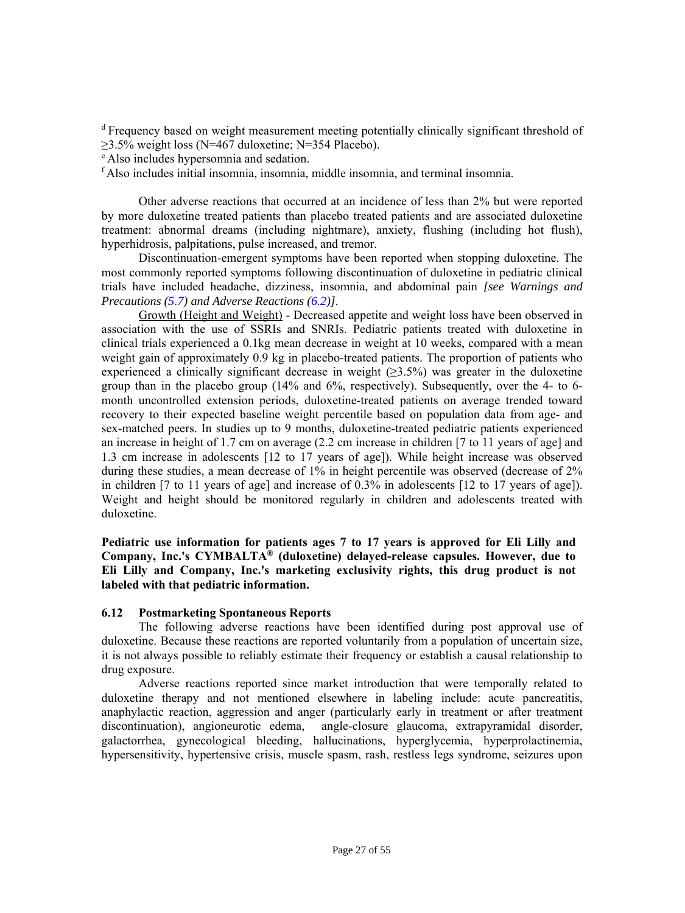<sup>d</sup> Frequency based on weight measurement meeting potentially clinically significant threshold of  $\geq$ 3.5% weight loss (N=467 duloxetine; N=354 Placebo).

e Also includes hypersomnia and sedation.

<sup>f</sup> Also includes initial insomnia, insomnia, middle insomnia, and terminal insomnia.

Other adverse reactions that occurred at an incidence of less than 2% but were reported by more duloxetine treated patients than placebo treated patients and are associated duloxetine treatment: abnormal dreams (including nightmare), anxiety, flushing (including hot flush), hyperhidrosis, palpitations, pulse increased, and tremor.

Discontinuation-emergent symptoms have been reported when stopping duloxetine. The most commonly reported symptoms following discontinuation of duloxetine in pediatric clinical trials have included headache, dizziness, insomnia, and abdominal pain *[see Warnings and Precautions [\(5.7\)](#page-14-4) and Adverse Reactions [\(6.2\)\]](#page-18-3).* 

Growth (Height and Weight) - Decreased appetite and weight loss have been observed in association with the use of SSRIs and SNRIs. Pediatric patients treated with duloxetine in clinical trials experienced a 0.1kg mean decrease in weight at 10 weeks, compared with a mean weight gain of approximately 0.9 kg in placebo-treated patients. The proportion of patients who experienced a clinically significant decrease in weight  $(\geq 3.5\%)$  was greater in the duloxetine group than in the placebo group (14% and 6%, respectively). Subsequently, over the 4- to 6 month uncontrolled extension periods, duloxetine-treated patients on average trended toward recovery to their expected baseline weight percentile based on population data from age- and sex-matched peers. In studies up to 9 months, duloxetine-treated pediatric patients experienced an increase in height of 1.7 cm on average (2.2 cm increase in children [7 to 11 years of age] and 1.3 cm increase in adolescents [12 to 17 years of age]). While height increase was observed during these studies, a mean decrease of 1% in height percentile was observed (decrease of 2% in children [7 to 11 years of age] and increase of 0.3% in adolescents [12 to 17 years of age]). Weight and height should be monitored regularly in children and adolescents treated with duloxetine.

<span id="page-26-1"></span><span id="page-26-0"></span>**Pediatric use information for patients ages 7 to 17 years is approved for Eli Lilly and Company, Inc.'s CYMBALTA® (duloxetine) delayed-release capsules. However, due to Eli Lilly and Company, Inc.'s marketing exclusivity rights, this drug product is not labeled with that pediatric information.** 

# **6.12 Postmarketing Spontaneous Reports**

The following adverse reactions have been identified during post approval use of duloxetine. Because these reactions are reported voluntarily from a population of uncertain size, it is not always possible to reliably estimate their frequency or establish a causal relationship to drug exposure.

Adverse reactions reported since market introduction that were temporally related to duloxetine therapy and not mentioned elsewhere in labeling include: acute pancreatitis, anaphylactic reaction, aggression and anger (particularly early in treatment or after treatment discontinuation), angioneurotic edema, angle-closure glaucoma, extrapyramidal disorder, galactorrhea, gynecological bleeding, hallucinations, hyperglycemia, hyperprolactinemia, hypersensitivity, hypertensive crisis, muscle spasm, rash, restless legs syndrome, seizures upon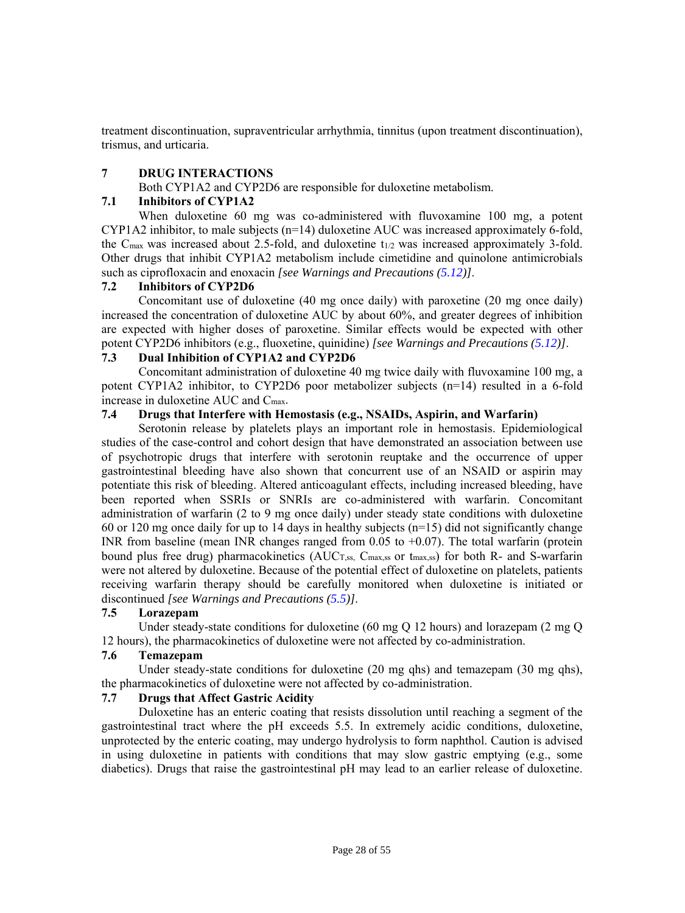<span id="page-27-4"></span><span id="page-27-0"></span>treatment discontinuation, supraventricular arrhythmia, tinnitus (upon treatment discontinuation), trismus, and urticaria.

# **7 DRUG INTERACTIONS**

Both CYP1A2 and CYP2D6 are responsible for duloxetine metabolism.

# **7.1 Inhibitors of CYP1A2**

When duloxetine 60 mg was co-administered with fluvoxamine 100 mg, a potent CYP1A2 inhibitor, to male subjects (n=14) duloxetine AUC was increased approximately 6-fold, the  $C_{\text{max}}$  was increased about 2.5-fold, and duloxetine t<sub>1/2</sub> was increased approximately 3-fold. Other drugs that inhibit CYP1A2 metabolism include cimetidine and quinolone antimicrobials such as ciprofloxacin and enoxacin *[see Warnings and Precautions [\(5.12\)](#page-15-7)]*.

# <span id="page-27-3"></span><span id="page-27-1"></span>**7.2 Inhibitors of CYP2D6**

Concomitant use of duloxetine (40 mg once daily) with paroxetine (20 mg once daily) increased the concentration of duloxetine AUC by about 60%, and greater degrees of inhibition are expected with higher doses of paroxetine. Similar effects would be expected with other potent CYP2D6 inhibitors (e.g., fluoxetine, quinidine) *[see Warnings and Precautions ([5.12\)](#page-15-7)]*.

# **7.3 Dual Inhibition of CYP1A2 and CYP2D6**

Concomitant administration of duloxetine 40 mg twice daily with fluvoxamine 100 mg, a potent CYP1A2 inhibitor, to CYP2D6 poor metabolizer subjects (n=14) resulted in a 6-fold increase in duloxetine AUC and Cmax.

# **7.4 Drugs that Interfere with Hemostasis (e.g., NSAIDs, Aspirin, and Warfarin)**

<span id="page-27-5"></span><span id="page-27-2"></span>Serotonin release by platelets plays an important role in hemostasis. Epidemiological studies of the case-control and cohort design that have demonstrated an association between use of psychotropic drugs that interfere with serotonin reuptake and the occurrence of upper gastrointestinal bleeding have also shown that concurrent use of an NSAID or aspirin may potentiate this risk of bleeding. Altered anticoagulant effects, including increased bleeding, have been reported when SSRIs or SNRIs are co-administered with warfarin. Concomitant administration of warfarin (2 to 9 mg once daily) under steady state conditions with duloxetine 60 or 120 mg once daily for up to 14 days in healthy subjects (n=15) did not significantly change INR from baseline (mean INR changes ranged from  $0.05$  to  $+0.07$ ). The total warfarin (protein bound plus free drug) pharmacokinetics  $(AUC_{T,ss}, C_{max,ss})$  or  $t_{max,ss}$  for both R- and S-warfarin were not altered by duloxetine. Because of the potential effect of duloxetine on platelets, patients receiving warfarin therapy should be carefully monitored when duloxetine is initiated or discontinued *[see Warnings and Precautions [\(5.5\)\]](#page-14-5)*.

# **7.5 Lorazepam**

Under steady-state conditions for duloxetine (60 mg Q 12 hours) and lorazepam (2 mg Q 12 hours), the pharmacokinetics of duloxetine were not affected by co-administration.

# **7.6 Temazepam**

Under steady-state conditions for duloxetine (20 mg qhs) and temazepam (30 mg qhs), the pharmacokinetics of duloxetine were not affected by co-administration.

# **7.7 Drugs that Affect Gastric Acidity**

Duloxetine has an enteric coating that resists dissolution until reaching a segment of the gastrointestinal tract where the pH exceeds 5.5. In extremely acidic conditions, duloxetine, unprotected by the enteric coating, may undergo hydrolysis to form naphthol. Caution is advised in using duloxetine in patients with conditions that may slow gastric emptying (e.g., some diabetics). Drugs that raise the gastrointestinal pH may lead to an earlier release of duloxetine.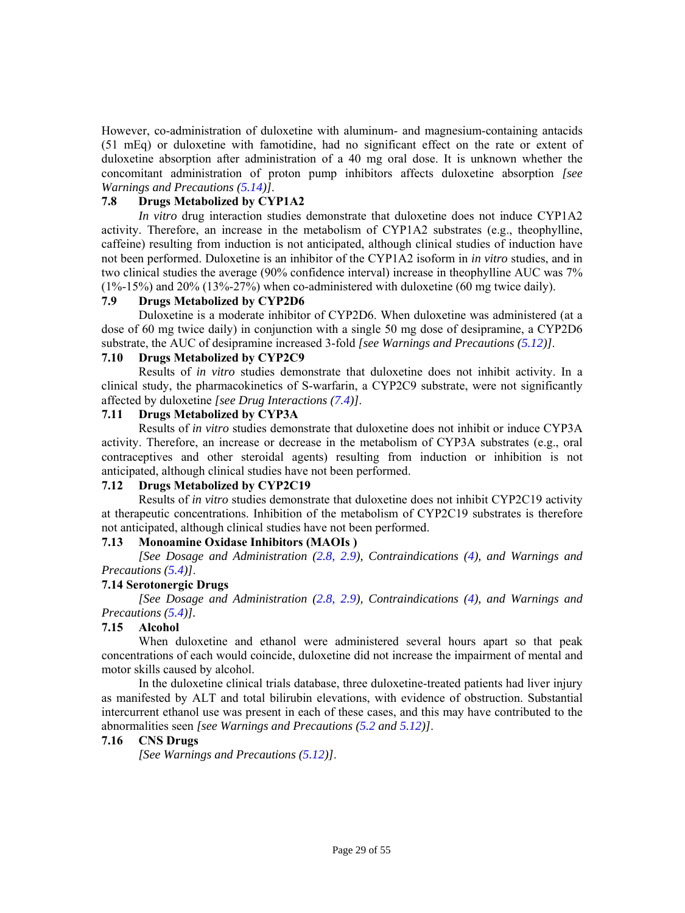<span id="page-28-6"></span><span id="page-28-0"></span>However, co-administration of duloxetine with aluminum- and magnesium-containing antacids (51 mEq) or duloxetine with famotidine, had no significant effect on the rate or extent of duloxetine absorption after administration of a 40 mg oral dose. It is unknown whether the concomitant administration of proton pump inhibitors affects duloxetine absorption *[see Warnings and Precautions [\(5.14\)](#page-16-2)]*.

# **7.8 Drugs Metabolized by CYP1A2**

<span id="page-28-5"></span><span id="page-28-1"></span>*In vitro* drug interaction studies demonstrate that duloxetine does not induce CYP1A2 activity. Therefore, an increase in the metabolism of CYP1A2 substrates (e.g., theophylline, caffeine) resulting from induction is not anticipated, although clinical studies of induction have not been performed. Duloxetine is an inhibitor of the CYP1A2 isoform in *in vitro* studies, and in two clinical studies the average (90% confidence interval) increase in theophylline AUC was 7% (1%-15%) and 20% (13%-27%) when co-administered with duloxetine (60 mg twice daily).

# <span id="page-28-8"></span><span id="page-28-3"></span>**7.9 Drugs Metabolized by CYP2D6**

<span id="page-28-7"></span><span id="page-28-2"></span>Duloxetine is a moderate inhibitor of CYP2D6. When duloxetine was administered (at a dose of 60 mg twice daily) in conjunction with a single 50 mg dose of desipramine, a CYP2D6 substrate, the AUC of desipramine increased 3-fold *[see Warnings and Precautions [\(5.12\)](#page-15-7)]*.

# **7.10 Drugs Metabolized by CYP2C9**

Results of *in vitro* studies demonstrate that duloxetine does not inhibit activity. In a clinical study, the pharmacokinetics of S-warfarin, a CYP2C9 substrate, were not significantly affected by duloxetine *[see Drug Interactions [\(7.4\)\]](#page-27-3)*.

#### **7.11 Drugs Metabolized by CYP3A**

Results of *in vitro* studies demonstrate that duloxetine does not inhibit or induce CYP3A activity. Therefore, an increase or decrease in the metabolism of CYP3A substrates (e.g., oral contraceptives and other steroidal agents) resulting from induction or inhibition is not anticipated, although clinical studies have not been performed.

# <span id="page-28-9"></span><span id="page-28-4"></span>**7.12 Drugs Metabolized by CYP2C19**

Results of *in vitro* studies demonstrate that duloxetine does not inhibit CYP2C19 activity at therapeutic concentrations. Inhibition of the metabolism of CYP2C19 substrates is therefore not anticipated, although clinical studies have not been performed.

# **7.13 Monoamine Oxidase Inhibitors (MAOIs )**

*[See Dosage and Administration [\(2.8,](#page-9-9) [2.9\)](#page-9-9), Contraindications [\(4\),](#page-10-5) and Warnings and Precautions [\(5.4\)\]](#page-13-1)*.

# **7.14 Serotonergic Drugs**

*[See Dosage and Administration [\(2.8,](#page-9-9) [2.9\)](#page-9-9), Contraindications [\(4\),](#page-10-5) and Warnings and Precautions [\(5.4\)](#page-13-1)].* 

# **7.15 Alcohol**

When duloxetine and ethanol were administered several hours apart so that peak concentrations of each would coincide, duloxetine did not increase the impairment of mental and motor skills caused by alcohol.

In the duloxetine clinical trials database, three duloxetine-treated patients had liver injury as manifested by ALT and total bilirubin elevations, with evidence of obstruction. Substantial intercurrent ethanol use was present in each of these cases, and this may have contributed to the abnormalities seen *[see Warnings and Precautions [\(5.2](#page-12-2) and [5.12\)](#page-15-7)]*.

# **7.16 CNS Drugs**

*[See Warnings and Precautions [\(5.12\)](#page-15-7)]*.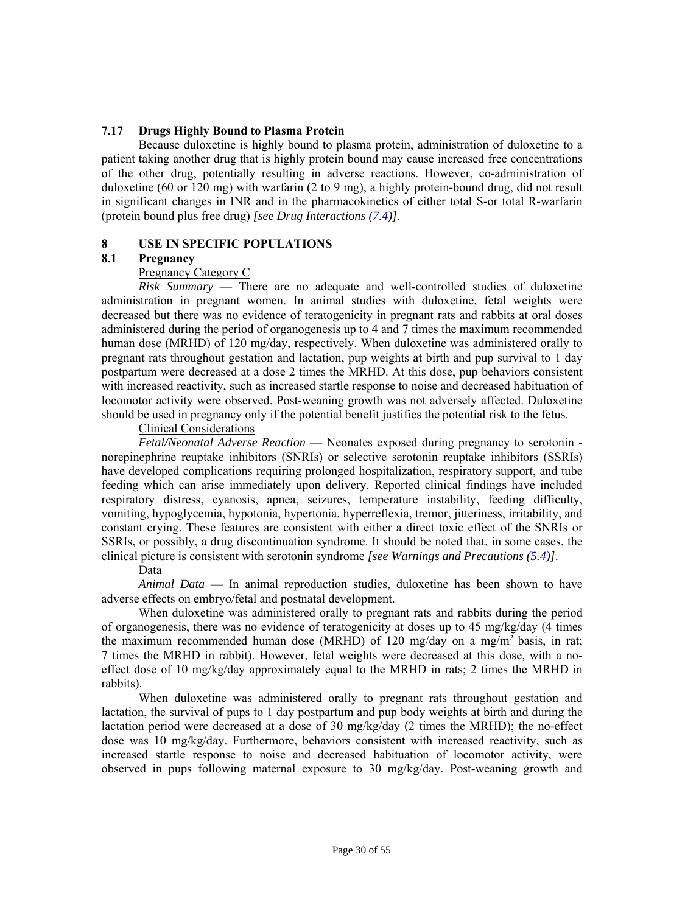#### <span id="page-29-0"></span>**7.17 Drugs Highly Bound to Plasma Protein**

<span id="page-29-2"></span><span id="page-29-1"></span>Because duloxetine is highly bound to plasma protein, administration of duloxetine to a patient taking another drug that is highly protein bound may cause increased free concentrations of the other drug, potentially resulting in adverse reactions. However, co-administration of duloxetine (60 or 120 mg) with warfarin (2 to 9 mg), a highly protein-bound drug, did not result in significant changes in INR and in the pharmacokinetics of either total S-or total R-warfarin (protein bound plus free drug) *[see Drug Interactions [\(7.4\)](#page-27-3)]*.

# **8 USE IN SPECIFIC POPULATIONS**

#### **8.1 Pregnancy**

#### Pregnancy Category C

*Risk Summary* — There are no adequate and well-controlled studies of duloxetine administration in pregnant women. In animal studies with duloxetine, fetal weights were decreased but there was no evidence of teratogenicity in pregnant rats and rabbits at oral doses administered during the period of organogenesis up to 4 and 7 times the maximum recommended human dose (MRHD) of 120 mg/day, respectively. When duloxetine was administered orally to pregnant rats throughout gestation and lactation, pup weights at birth and pup survival to 1 day postpartum were decreased at a dose 2 times the MRHD. At this dose, pup behaviors consistent with increased reactivity, such as increased startle response to noise and decreased habituation of locomotor activity were observed. Post-weaning growth was not adversely affected. Duloxetine should be used in pregnancy only if the potential benefit justifies the potential risk to the fetus.

# Clinical Considerations

*Fetal/Neonatal Adverse Reaction* — Neonates exposed during pregnancy to serotonin norepinephrine reuptake inhibitors (SNRIs) or selective serotonin reuptake inhibitors (SSRIs) have developed complications requiring prolonged hospitalization, respiratory support, and tube feeding which can arise immediately upon delivery. Reported clinical findings have included respiratory distress, cyanosis, apnea, seizures, temperature instability, feeding difficulty, vomiting, hypoglycemia, hypotonia, hypertonia, hyperreflexia, tremor, jitteriness, irritability, and constant crying. These features are consistent with either a direct toxic effect of the SNRIs or SSRIs, or possibly, a drug discontinuation syndrome. It should be noted that, in some cases, the clinical picture is consistent with serotonin syndrome *[see Warnings and Precautions [\(5.4\)\]](#page-13-1)*.

#### Data

*Animal Data* — In animal reproduction studies, duloxetine has been shown to have adverse effects on embryo/fetal and postnatal development.

When duloxetine was administered orally to pregnant rats and rabbits during the period of organogenesis, there was no evidence of teratogenicity at doses up to 45 mg/kg/day (4 times the maximum recommended human dose (MRHD) of 120 mg/day on a mg/m<sup>2</sup> basis, in rat; 7 times the MRHD in rabbit). However, fetal weights were decreased at this dose, with a noeffect dose of 10 mg/kg/day approximately equal to the MRHD in rats; 2 times the MRHD in rabbits).

When duloxetine was administered orally to pregnant rats throughout gestation and lactation, the survival of pups to 1 day postpartum and pup body weights at birth and during the lactation period were decreased at a dose of 30 mg/kg/day (2 times the MRHD); the no-effect dose was 10 mg/kg/day. Furthermore, behaviors consistent with increased reactivity, such as increased startle response to noise and decreased habituation of locomotor activity, were observed in pups following maternal exposure to 30 mg/kg/day. Post-weaning growth and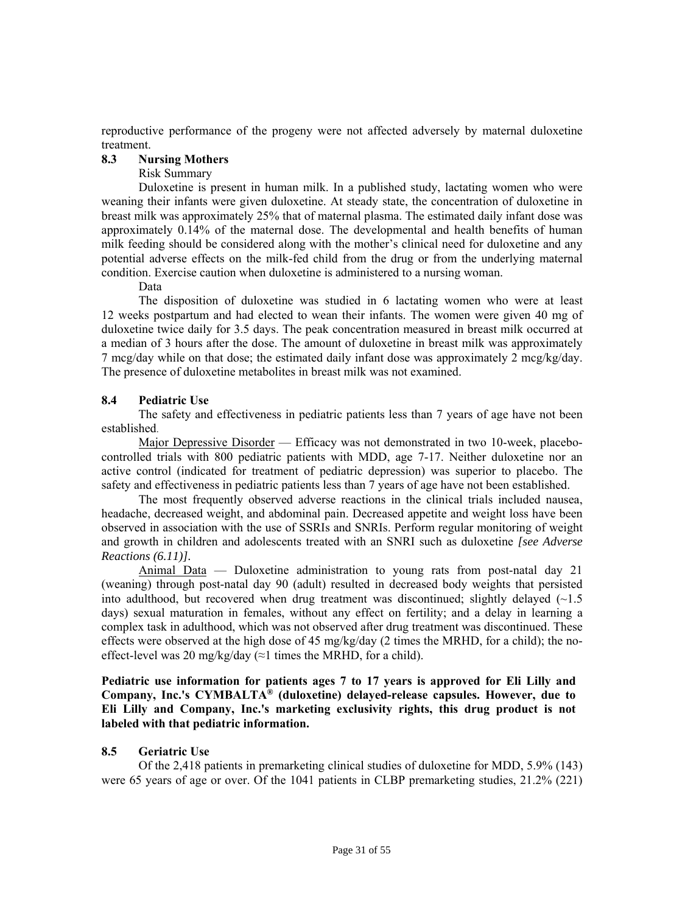<span id="page-30-3"></span><span id="page-30-0"></span>reproductive performance of the progeny were not affected adversely by maternal duloxetine treatment.

#### **8.3 Nursing Mothers**

#### Risk Summary

Duloxetine is present in human milk. In a published study, lactating women who were weaning their infants were given duloxetine. At steady state, the concentration of duloxetine in breast milk was approximately 25% that of maternal plasma. The estimated daily infant dose was approximately 0.14% of the maternal dose. The developmental and health benefits of human milk feeding should be considered along with the mother's clinical need for duloxetine and any potential adverse effects on the milk-fed child from the drug or from the underlying maternal condition. Exercise caution when duloxetine is administered to a nursing woman.

#### Data

<span id="page-30-4"></span><span id="page-30-1"></span>The disposition of duloxetine was studied in 6 lactating women who were at least 12 weeks postpartum and had elected to wean their infants. The women were given 40 mg of duloxetine twice daily for 3.5 days. The peak concentration measured in breast milk occurred at a median of 3 hours after the dose. The amount of duloxetine in breast milk was approximately 7 mcg/day while on that dose; the estimated daily infant dose was approximately 2 mcg/kg/day. The presence of duloxetine metabolites in breast milk was not examined.

#### **8.4 Pediatric Use**

 The safety and effectiveness in pediatric patients less than 7 years of age have not been established.

<span id="page-30-5"></span><span id="page-30-2"></span>Major Depressive Disorder — Efficacy was not demonstrated in two 10-week, placebocontrolled trials with 800 pediatric patients with MDD, age 7-17. Neither duloxetine nor an active control (indicated for treatment of pediatric depression) was superior to placebo. The safety and effectiveness in pediatric patients less than 7 years of age have not been established.

The most frequently observed adverse reactions in the clinical trials included nausea, headache, decreased weight, and abdominal pain. Decreased appetite and weight loss have been observed in association with the use of SSRIs and SNRIs. Perform regular monitoring of weight and growth in children and adolescents treated with an SNRI such as duloxetine *[see Adverse Reactions (6.11)].*

Animal Data — Duloxetine administration to young rats from post-natal day 21 (weaning) through post-natal day 90 (adult) resulted in decreased body weights that persisted into adulthood, but recovered when drug treatment was discontinued; slightly delayed  $\left(\sim\right)1.5$ days) sexual maturation in females, without any effect on fertility; and a delay in learning a complex task in adulthood, which was not observed after drug treatment was discontinued. These effects were observed at the high dose of 45 mg/kg/day (2 times the MRHD, for a child); the noeffect-level was 20 mg/kg/day ( $\approx$ 1 times the MRHD, for a child).

**Pediatric use information for patients ages 7 to 17 years is approved for Eli Lilly and Company, Inc.'s CYMBALTA® (duloxetine) delayed-release capsules. However, due to Eli Lilly and Company, Inc.'s marketing exclusivity rights, this drug product is not labeled with that pediatric information.** 

# **8.5 Geriatric Use**

Of the 2,418 patients in premarketing clinical studies of duloxetine for MDD, 5.9% (143) were 65 years of age or over. Of the 1041 patients in CLBP premarketing studies, 21.2% (221)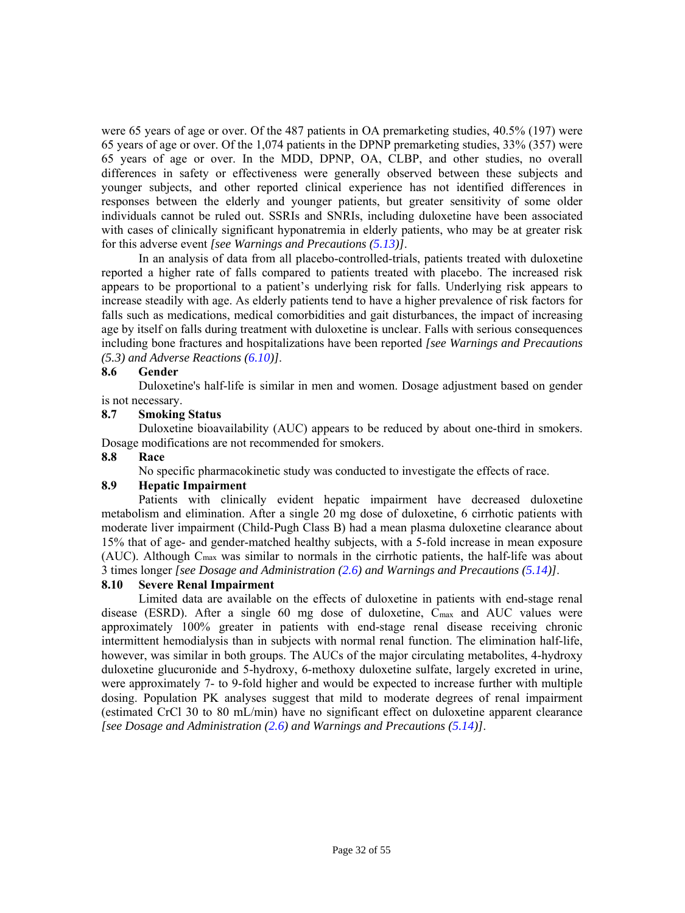were 65 years of age or over. Of the 487 patients in OA premarketing studies, 40.5% (197) were 65 years of age or over. Of the 1,074 patients in the DPNP premarketing studies, 33% (357) were 65 years of age or over. In the MDD, DPNP, OA, CLBP, and other studies, no overall differences in safety or effectiveness were generally observed between these subjects and younger subjects, and other reported clinical experience has not identified differences in responses between the elderly and younger patients, but greater sensitivity of some older individuals cannot be ruled out. SSRIs and SNRIs, including duloxetine have been associated with cases of clinically significant hyponatremia in elderly patients, who may be at greater risk for this adverse event *[see Warnings and Precautions [\(5.13\)](#page-16-3)]*.

In an analysis of data from all placebo-controlled-trials, patients treated with duloxetine reported a higher rate of falls compared to patients treated with placebo. The increased risk appears to be proportional to a patient's underlying risk for falls. Underlying risk appears to increase steadily with age. As elderly patients tend to have a higher prevalence of risk factors for falls such as medications, medical comorbidities and gait disturbances, the impact of increasing age by itself on falls during treatment with duloxetine is unclear. Falls with serious consequences including bone fractures and hospitalizations have been reported *[see Warnings and Precautions (5.3) and Adverse Reactions [\(6.10\)](#page-23-1)]*.

#### <span id="page-31-1"></span><span id="page-31-0"></span>**8.6 Gender**

Duloxetine's half-life is similar in men and women. Dosage adjustment based on gender is not necessary.

#### **8.7 Smoking Status**

Duloxetine bioavailability (AUC) appears to be reduced by about one-third in smokers. Dosage modifications are not recommended for smokers.

#### **8.8 Race**

No specific pharmacokinetic study was conducted to investigate the effects of race.

# **8.9 Hepatic Impairment**

Patients with clinically evident hepatic impairment have decreased duloxetine metabolism and elimination. After a single 20 mg dose of duloxetine, 6 cirrhotic patients with moderate liver impairment (Child-Pugh Class B) had a mean plasma duloxetine clearance about 15% that of age- and gender-matched healthy subjects, with a 5-fold increase in mean exposure (AUC). Although Cmax was similar to normals in the cirrhotic patients, the half-life was about 3 times longer *[see Dosage and Administration [\(2.6\)](#page-9-8) and Warnings and Precautions ([5.14\)\]](#page-16-2)*.

#### **8.10 Severe Renal Impairment**

Limited data are available on the effects of duloxetine in patients with end-stage renal disease (ESRD). After a single 60 mg dose of duloxetine, Cmax and AUC values were approximately 100% greater in patients with end-stage renal disease receiving chronic intermittent hemodialysis than in subjects with normal renal function. The elimination half-life, however, was similar in both groups. The AUCs of the major circulating metabolites, 4-hydroxy duloxetine glucuronide and 5-hydroxy, 6-methoxy duloxetine sulfate, largely excreted in urine, were approximately 7- to 9-fold higher and would be expected to increase further with multiple dosing. Population PK analyses suggest that mild to moderate degrees of renal impairment (estimated CrCl 30 to 80 mL/min) have no significant effect on duloxetine apparent clearance *[see Dosage and Administration [\(2.6\) a](#page-9-8)nd Warnings and Precautions [\(5.14](#page-16-2))]*.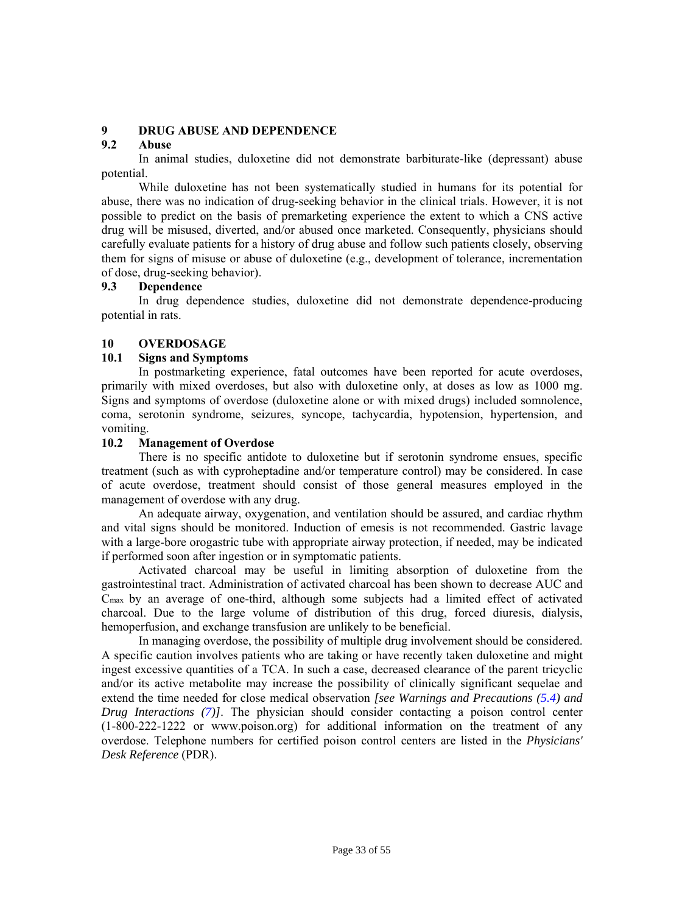# <span id="page-32-4"></span><span id="page-32-0"></span>**9 DRUG ABUSE AND DEPENDENCE**

# **9.2 Abuse**

In animal studies, duloxetine did not demonstrate barbiturate-like (depressant) abuse potential.

While duloxetine has not been systematically studied in humans for its potential for abuse, there was no indication of drug-seeking behavior in the clinical trials. However, it is not possible to predict on the basis of premarketing experience the extent to which a CNS active drug will be misused, diverted, and/or abused once marketed. Consequently, physicians should carefully evaluate patients for a history of drug abuse and follow such patients closely, observing them for signs of misuse or abuse of duloxetine (e.g., development of tolerance, incrementation of dose, drug-seeking behavior).

#### <span id="page-32-5"></span><span id="page-32-1"></span>**9.3 Dependence**

<span id="page-32-6"></span><span id="page-32-2"></span>In drug dependence studies, duloxetine did not demonstrate dependence-producing potential in rats.

#### **10 OVERDOSAGE**

#### **10.1 Signs and Symptoms**

In postmarketing experience, fatal outcomes have been reported for acute overdoses, primarily with mixed overdoses, but also with duloxetine only, at doses as low as 1000 mg. Signs and symptoms of overdose (duloxetine alone or with mixed drugs) included somnolence, coma, serotonin syndrome, seizures, syncope, tachycardia, hypotension, hypertension, and vomiting.

#### <span id="page-32-7"></span><span id="page-32-3"></span>**10.2 Management of Overdose**

There is no specific antidote to duloxetine but if serotonin syndrome ensues, specific treatment (such as with cyproheptadine and/or temperature control) may be considered. In case of acute overdose, treatment should consist of those general measures employed in the management of overdose with any drug.

An adequate airway, oxygenation, and ventilation should be assured, and cardiac rhythm and vital signs should be monitored. Induction of emesis is not recommended. Gastric lavage with a large-bore orogastric tube with appropriate airway protection, if needed, may be indicated if performed soon after ingestion or in symptomatic patients.

Activated charcoal may be useful in limiting absorption of duloxetine from the gastrointestinal tract. Administration of activated charcoal has been shown to decrease AUC and Cmax by an average of one-third, although some subjects had a limited effect of activated charcoal. Due to the large volume of distribution of this drug, forced diuresis, dialysis, hemoperfusion, and exchange transfusion are unlikely to be beneficial.

In managing overdose, the possibility of multiple drug involvement should be considered. A specific caution involves patients who are taking or have recently taken duloxetine and might ingest excessive quantities of a TCA. In such a case, decreased clearance of the parent tricyclic and/or its active metabolite may increase the possibility of clinically significant sequelae and extend the time needed for close medical observation *[see Warnings and Precautions [\(5.4\)](#page-13-1) and Drug Interactions [\(7\)](#page-27-4)]*. The physician should consider contacting a poison control center (1-800-222-1222 or www.poison.org) for additional information on the treatment of any overdose. Telephone numbers for certified poison control centers are listed in the *Physicians' Desk Reference* (PDR).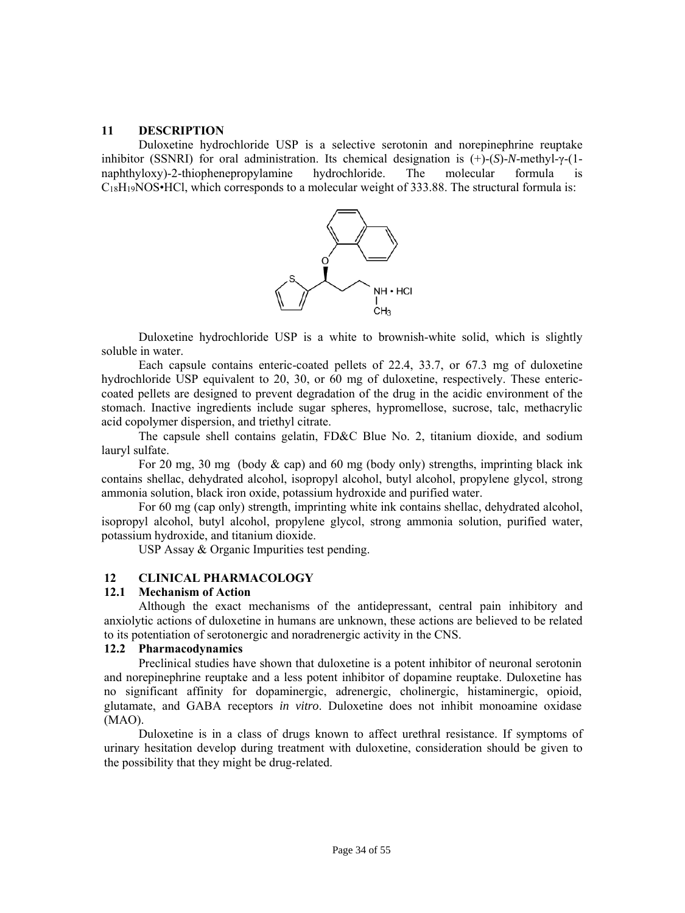#### <span id="page-33-2"></span><span id="page-33-0"></span>**11 DESCRIPTION**

Duloxetine hydrochloride USP is a selective serotonin and norepinephrine reuptake inhibitor (SSNRI) for oral administration. Its chemical designation is (+)-(*S*)-*N*-methyl-γ-(1 naphthyloxy)-2-thiophenepropylamine hydrochloride. The molecular formula is  $C<sub>18</sub>H<sub>19</sub>NOS<sup>•</sup>HCl$ , which corresponds to a molecular weight of 333.88. The structural formula is:



Duloxetine hydrochloride USP is a white to brownish-white solid, which is slightly soluble in water.

Each capsule contains enteric-coated pellets of 22.4, 33.7, or 67.3 mg of duloxetine hydrochloride USP equivalent to 20, 30, or 60 mg of duloxetine, respectively. These entericcoated pellets are designed to prevent degradation of the drug in the acidic environment of the stomach. Inactive ingredients include sugar spheres, hypromellose, sucrose, talc, methacrylic acid copolymer dispersion, and triethyl citrate.

The capsule shell contains gelatin, FD&C Blue No. 2, titanium dioxide, and sodium lauryl sulfate.

For 20 mg, 30 mg (body & cap) and 60 mg (body only) strengths, imprinting black ink contains shellac, dehydrated alcohol, isopropyl alcohol, butyl alcohol, propylene glycol, strong ammonia solution, black iron oxide, potassium hydroxide and purified water.

<span id="page-33-3"></span><span id="page-33-1"></span>For 60 mg (cap only) strength, imprinting white ink contains shellac, dehydrated alcohol, isopropyl alcohol, butyl alcohol, propylene glycol, strong ammonia solution, purified water, potassium hydroxide, and titanium dioxide.

USP Assay & Organic Impurities test pending.

# **12 CLINICAL PHARMACOLOGY**

#### **12.1 Mechanism of Action**

Although the exact mechanisms of the antidepressant, central pain inhibitory and anxiolytic actions of duloxetine in humans are unknown, these actions are believed to be related to its potentiation of serotonergic and noradrenergic activity in the CNS.

# **12.2 Pharmacodynamics**

Preclinical studies have shown that duloxetine is a potent inhibitor of neuronal serotonin and norepinephrine reuptake and a less potent inhibitor of dopamine reuptake. Duloxetine has no significant affinity for dopaminergic, adrenergic, cholinergic, histaminergic, opioid, glutamate, and GABA receptors *in vitro*. Duloxetine does not inhibit monoamine oxidase (MAO).

Duloxetine is in a class of drugs known to affect urethral resistance. If symptoms of urinary hesitation develop during treatment with duloxetine, consideration should be given to the possibility that they might be drug-related.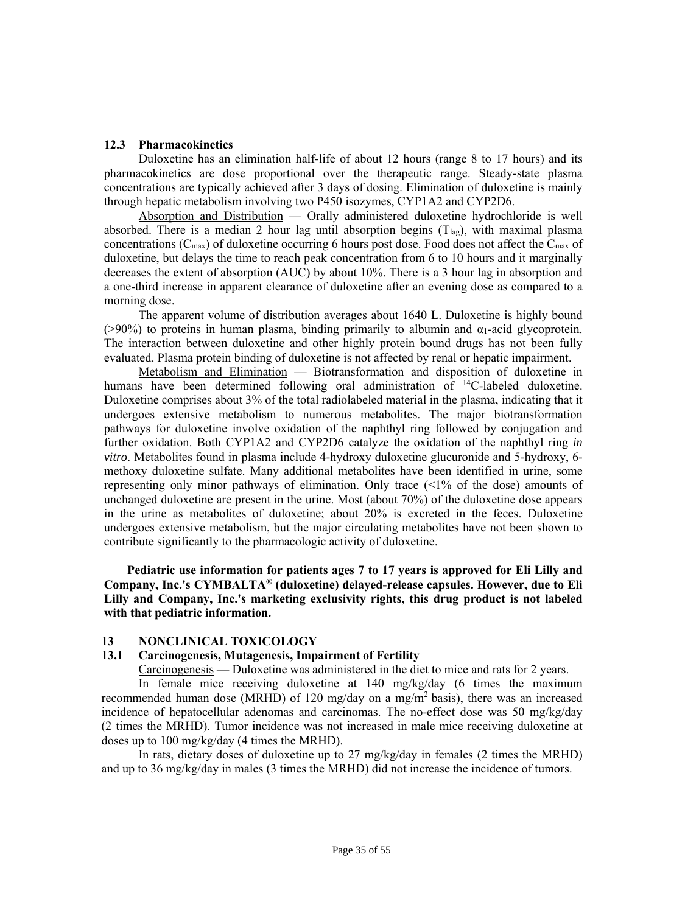#### <span id="page-34-2"></span><span id="page-34-0"></span>**12.3 Pharmacokinetics**

Duloxetine has an elimination half-life of about 12 hours (range 8 to 17 hours) and its pharmacokinetics are dose proportional over the therapeutic range. Steady-state plasma concentrations are typically achieved after 3 days of dosing. Elimination of duloxetine is mainly through hepatic metabolism involving two P450 isozymes, CYP1A2 and CYP2D6.

Absorption and Distribution — Orally administered duloxetine hydrochloride is well absorbed. There is a median 2 hour lag until absorption begins  $(T<sub>lag</sub>)$ , with maximal plasma concentrations (Cmax) of duloxetine occurring 6 hours post dose. Food does not affect the Cmax of duloxetine, but delays the time to reach peak concentration from 6 to 10 hours and it marginally decreases the extent of absorption (AUC) by about 10%. There is a 3 hour lag in absorption and a one-third increase in apparent clearance of duloxetine after an evening dose as compared to a morning dose.

The apparent volume of distribution averages about 1640 L. Duloxetine is highly bound ( $>90\%$ ) to proteins in human plasma, binding primarily to albumin and  $\alpha_1$ -acid glycoprotein. The interaction between duloxetine and other highly protein bound drugs has not been fully evaluated. Plasma protein binding of duloxetine is not affected by renal or hepatic impairment.

Metabolism and Elimination — Biotransformation and disposition of duloxetine in humans have been determined following oral administration of <sup>14</sup>C-labeled duloxetine. Duloxetine comprises about 3% of the total radiolabeled material in the plasma, indicating that it undergoes extensive metabolism to numerous metabolites. The major biotransformation pathways for duloxetine involve oxidation of the naphthyl ring followed by conjugation and further oxidation. Both CYP1A2 and CYP2D6 catalyze the oxidation of the naphthyl ring *in vitro*. Metabolites found in plasma include 4-hydroxy duloxetine glucuronide and 5-hydroxy, 6 methoxy duloxetine sulfate. Many additional metabolites have been identified in urine, some representing only minor pathways of elimination. Only trace (<1% of the dose) amounts of unchanged duloxetine are present in the urine. Most (about 70%) of the duloxetine dose appears in the urine as metabolites of duloxetine; about 20% is excreted in the feces. Duloxetine undergoes extensive metabolism, but the major circulating metabolites have not been shown to contribute significantly to the pharmacologic activity of duloxetine.

<span id="page-34-3"></span><span id="page-34-1"></span>**Pediatric use information for patients ages 7 to 17 years is approved for Eli Lilly and Company, Inc.'s CYMBALTA® (duloxetine) delayed-release capsules. However, due to Eli Lilly and Company, Inc.'s marketing exclusivity rights, this drug product is not labeled with that pediatric information.** 

#### **13 NONCLINICAL TOXICOLOGY**

#### **13.1 Carcinogenesis, Mutagenesis, Impairment of Fertility**

Carcinogenesis — Duloxetine was administered in the diet to mice and rats for 2 years.

In female mice receiving duloxetine at 140 mg/kg/day (6 times the maximum recommended human dose (MRHD) of 120 mg/day on a mg/m2 basis), there was an increased incidence of hepatocellular adenomas and carcinomas. The no-effect dose was 50 mg/kg/day (2 times the MRHD). Tumor incidence was not increased in male mice receiving duloxetine at doses up to 100 mg/kg/day (4 times the MRHD).

In rats, dietary doses of duloxetine up to 27 mg/kg/day in females (2 times the MRHD) and up to 36 mg/kg/day in males (3 times the MRHD) did not increase the incidence of tumors.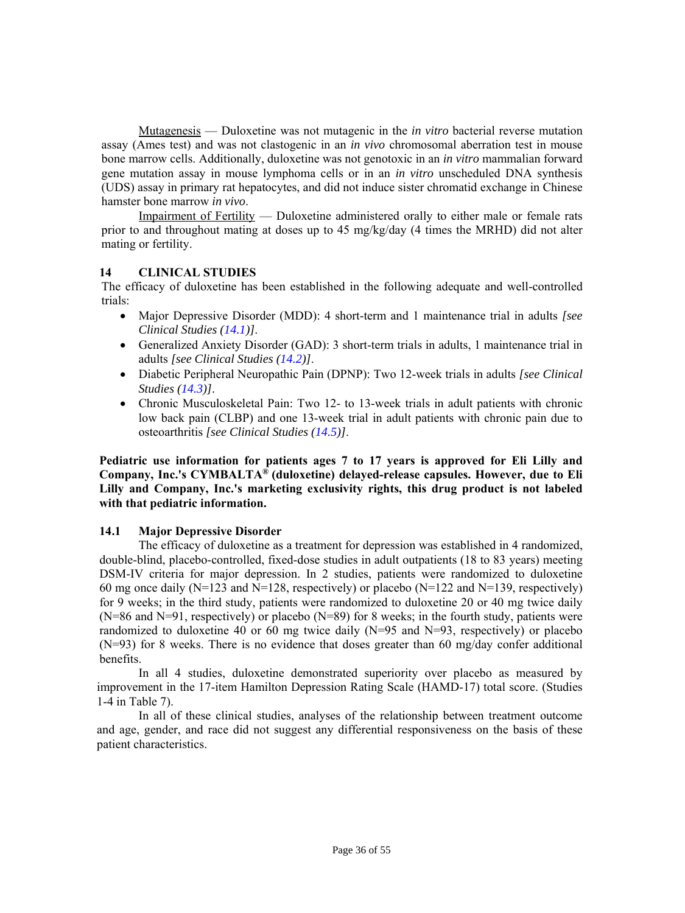Mutagenesis — Duloxetine was not mutagenic in the *in vitro* bacterial reverse mutation assay (Ames test) and was not clastogenic in an *in vivo* chromosomal aberration test in mouse bone marrow cells. Additionally, duloxetine was not genotoxic in an *in vitro* mammalian forward gene mutation assay in mouse lymphoma cells or in an *in vitro* unscheduled DNA synthesis (UDS) assay in primary rat hepatocytes, and did not induce sister chromatid exchange in Chinese hamster bone marrow *in vivo*.

Impairment of Fertility — Duloxetine administered orally to either male or female rats prior to and throughout mating at doses up to 45 mg/kg/day (4 times the MRHD) did not alter mating or fertility.

# <span id="page-35-0"></span>**14 CLINICAL STUDIES**

<span id="page-35-2"></span>The efficacy of duloxetine has been established in the following adequate and well-controlled trials:

- Major Depressive Disorder (MDD): 4 short-term and 1 maintenance trial in adults *[see Clinical Studies [\(14.1\)](#page-35-3)]*.
- Generalized Anxiety Disorder (GAD): 3 short-term trials in adults, 1 maintenance trial in adults *[see Clinical Studies [\(14.2\)](#page-37-1)]*.
- Diabetic Peripheral Neuropathic Pain (DPNP): Two 12-week trials in adults *[see Clinical Studies [\(14.3\)\]](#page-39-1)*.
- Chronic Musculoskeletal Pain: Two 12- to 13-week trials in adult patients with chronic low back pain (CLBP) and one 13-week trial in adult patients with chronic pain due to osteoarthritis *[see Clinical Studies [\(14.5\)\]](#page-40-1)*.

**Pediatric use information for patients ages 7 to 17 years is approved for Eli Lilly and Company, Inc.'s CYMBALTA® (duloxetine) delayed-release capsules. However, due to Eli Lilly and Company, Inc.'s marketing exclusivity rights, this drug product is not labeled with that pediatric information.** 

#### <span id="page-35-3"></span><span id="page-35-1"></span>**14.1 Major Depressive Disorder**

The efficacy of duloxetine as a treatment for depression was established in 4 randomized, double-blind, placebo-controlled, fixed-dose studies in adult outpatients (18 to 83 years) meeting DSM-IV criteria for major depression. In 2 studies, patients were randomized to duloxetine 60 mg once daily (N=123 and N=128, respectively) or placebo (N=122 and N=139, respectively) for 9 weeks; in the third study, patients were randomized to duloxetine 20 or 40 mg twice daily  $(N=86$  and  $N=91$ , respectively) or placebo  $(N=89)$  for 8 weeks; in the fourth study, patients were randomized to duloxetine 40 or 60 mg twice daily (N=95 and N=93, respectively) or placebo (N=93) for 8 weeks. There is no evidence that doses greater than 60 mg/day confer additional benefits.

In all 4 studies, duloxetine demonstrated superiority over placebo as measured by improvement in the 17-item Hamilton Depression Rating Scale (HAMD-17) total score. (Studies 1-4 in Table 7).

In all of these clinical studies, analyses of the relationship between treatment outcome and age, gender, and race did not suggest any differential responsiveness on the basis of these patient characteristics.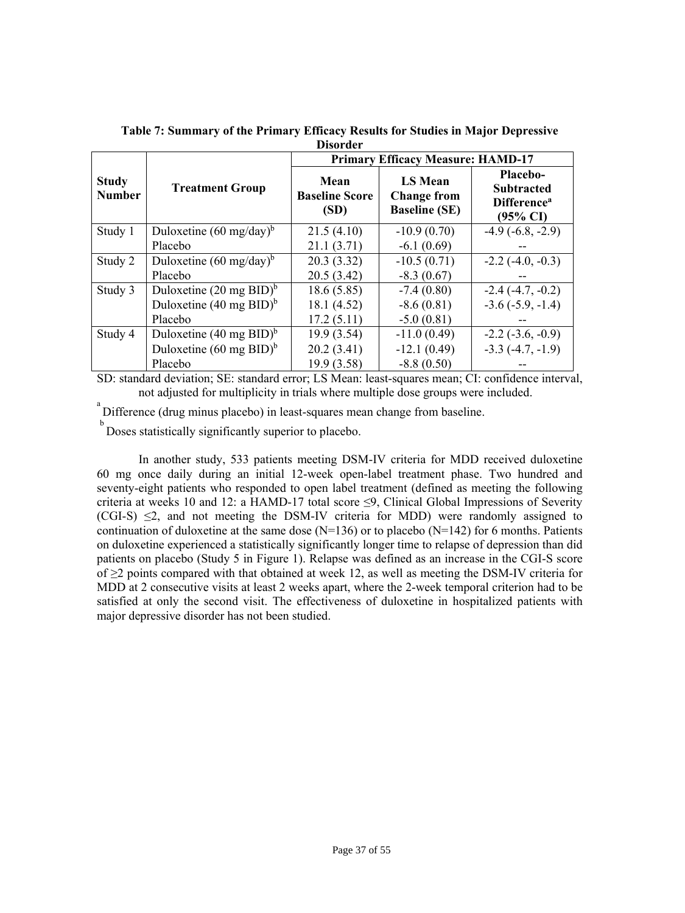|                               |                                    | <b>Primary Efficacy Measure: HAMD-17</b> |                                                              |                                                                                 |  |
|-------------------------------|------------------------------------|------------------------------------------|--------------------------------------------------------------|---------------------------------------------------------------------------------|--|
| <b>Study</b><br><b>Number</b> | <b>Treatment Group</b>             | Mean<br><b>Baseline Score</b><br>(SD)    | <b>LS Mean</b><br><b>Change from</b><br><b>Baseline (SE)</b> | Placebo-<br><b>Subtracted</b><br>Difference <sup>a</sup><br>$(95\% \text{ CI})$ |  |
| Study 1                       | Duloxetine $(60 \text{ mg/day})^b$ | 21.5(4.10)                               | $-10.9(0.70)$                                                | $-4.9(-6.8, -2.9)$                                                              |  |
|                               | Placebo                            | 21.1(3.71)                               | $-6.1(0.69)$                                                 |                                                                                 |  |
| Study 2                       | Duloxetine $(60 \text{ mg/day})^b$ | 20.3(3.32)                               | $-10.5(0.71)$                                                | $-2.2$ ( $-4.0, -0.3$ )                                                         |  |
|                               | Placebo                            | 20.5(3.42)                               | $-8.3(0.67)$                                                 |                                                                                 |  |
| Study 3                       | Duloxetine $(20 \text{ mg BID})^6$ | 18.6(5.85)                               | $-7.4(0.80)$                                                 | $-2.4(-4.7, -0.2)$                                                              |  |
|                               | Duloxetine $(40 \text{ mg BID})^b$ | 18.1(4.52)                               | $-8.6(0.81)$                                                 | $-3.6(-5.9, -1.4)$                                                              |  |
|                               | Placebo                            | 17.2(5.11)                               | $-5.0(0.81)$                                                 |                                                                                 |  |
| Study 4                       | Duloxetine $(40 \text{ mg BID})^b$ | 19.9(3.54)                               | $-11.0(0.49)$                                                | $-2.2$ ( $-3.6, -0.9$ )                                                         |  |
|                               | Duloxetine $(60 \text{ mg BID})^b$ | 20.2(3.41)                               | $-12.1(0.49)$                                                | $-3.3$ $(-4.7, -1.9)$                                                           |  |
|                               | Placebo                            | 19.9 (3.58)                              | $-8.8(0.50)$                                                 |                                                                                 |  |

**Table 7: Summary of the Primary Efficacy Results for Studies in Major Depressive Disorder** 

SD: standard deviation; SE: standard error; LS Mean: least-squares mean; CI: confidence interval, not adjusted for multiplicity in trials where multiple dose groups were included.

Difference (drug minus placebo) in least-squares mean change from baseline.

<sup>b</sup> Doses statistically significantly superior to placebo.

In another study, 533 patients meeting DSM-IV criteria for MDD received duloxetine 60 mg once daily during an initial 12-week open-label treatment phase. Two hundred and seventy-eight patients who responded to open label treatment (defined as meeting the following criteria at weeks 10 and 12: a HAMD-17 total score  $\leq$ 9, Clinical Global Impressions of Severity  $(CGI-S) \leq 2$ , and not meeting the DSM-IV criteria for MDD) were randomly assigned to continuation of duloxetine at the same dose ( $N=136$ ) or to placebo ( $N=142$ ) for 6 months. Patients on duloxetine experienced a statistically significantly longer time to relapse of depression than did patients on placebo (Study 5 in Figure 1). Relapse was defined as an increase in the CGI-S score of ≥2 points compared with that obtained at week 12, as well as meeting the DSM-IV criteria for MDD at 2 consecutive visits at least 2 weeks apart, where the 2-week temporal criterion had to be satisfied at only the second visit. The effectiveness of duloxetine in hospitalized patients with major depressive disorder has not been studied.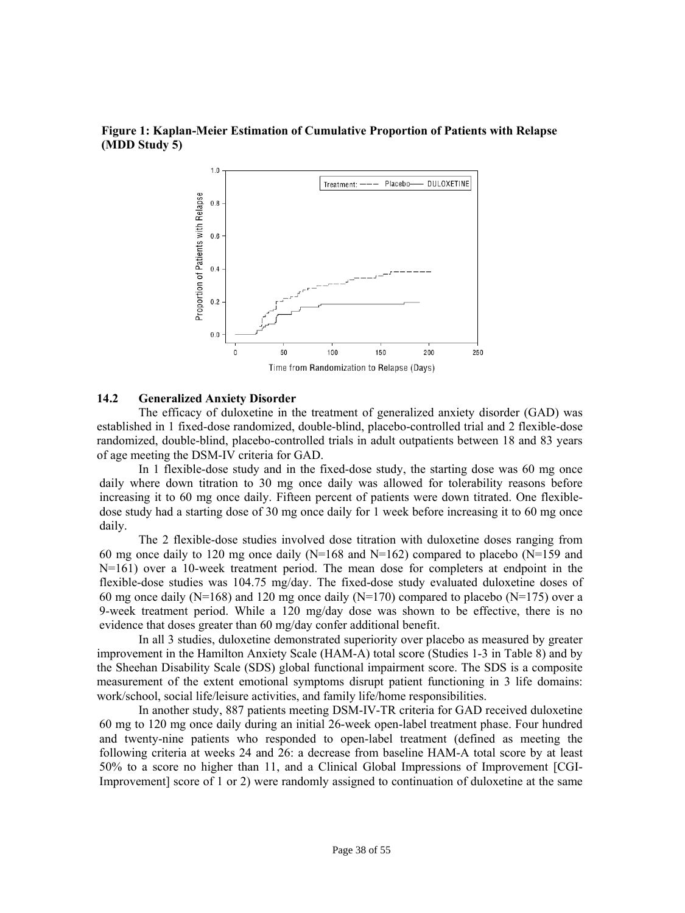#### **Figure 1: Kaplan-Meier Estimation of Cumulative Proportion of Patients with Relapse (MDD Study 5)**



#### <span id="page-37-1"></span><span id="page-37-0"></span>**14.2 Generalized Anxiety Disorder**

The efficacy of duloxetine in the treatment of generalized anxiety disorder (GAD) was established in 1 fixed-dose randomized, double-blind, placebo-controlled trial and 2 flexible-dose randomized, double-blind, placebo-controlled trials in adult outpatients between 18 and 83 years of age meeting the DSM-IV criteria for GAD.

In 1 flexible-dose study and in the fixed-dose study, the starting dose was 60 mg once daily where down titration to 30 mg once daily was allowed for tolerability reasons before increasing it to 60 mg once daily. Fifteen percent of patients were down titrated. One flexibledose study had a starting dose of 30 mg once daily for 1 week before increasing it to 60 mg once daily.

The 2 flexible-dose studies involved dose titration with duloxetine doses ranging from 60 mg once daily to 120 mg once daily (N=168 and N=162) compared to placebo (N=159 and N=161) over a 10-week treatment period. The mean dose for completers at endpoint in the flexible-dose studies was 104.75 mg/day. The fixed-dose study evaluated duloxetine doses of 60 mg once daily (N=168) and 120 mg once daily (N=170) compared to placebo (N=175) over a 9-week treatment period. While a 120 mg/day dose was shown to be effective, there is no evidence that doses greater than 60 mg/day confer additional benefit.

In all 3 studies, duloxetine demonstrated superiority over placebo as measured by greater improvement in the Hamilton Anxiety Scale (HAM-A) total score (Studies 1-3 in Table 8) and by the Sheehan Disability Scale (SDS) global functional impairment score. The SDS is a composite measurement of the extent emotional symptoms disrupt patient functioning in 3 life domains: work/school, social life/leisure activities, and family life/home responsibilities.

In another study, 887 patients meeting DSM-IV-TR criteria for GAD received duloxetine 60 mg to 120 mg once daily during an initial 26-week open-label treatment phase. Four hundred and twenty-nine patients who responded to open-label treatment (defined as meeting the following criteria at weeks 24 and 26: a decrease from baseline HAM-A total score by at least 50% to a score no higher than 11, and a Clinical Global Impressions of Improvement [CGI-Improvement] score of 1 or 2) were randomly assigned to continuation of duloxetine at the same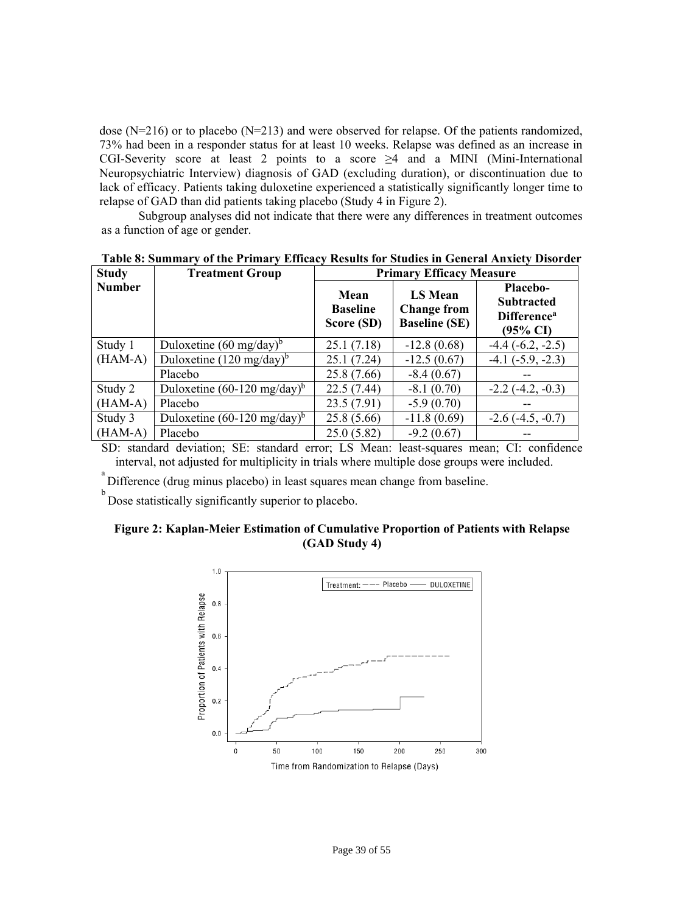dose (N=216) or to placebo (N=213) and were observed for relapse. Of the patients randomized, 73% had been in a responder status for at least 10 weeks. Relapse was defined as an increase in CGI-Severity score at least 2 points to a score  $\geq 4$  and a MINI (Mini-International Neuropsychiatric Interview) diagnosis of GAD (excluding duration), or discontinuation due to lack of efficacy. Patients taking duloxetine experienced a statistically significantly longer time to relapse of GAD than did patients taking placebo (Study 4 in Figure 2).

Subgroup analyses did not indicate that there were any differences in treatment outcomes as a function of age or gender.

| <b>Study</b>  | <b>Treatment Group</b>                 | <b>Primary Efficacy Measure</b>       |                                                              |                                                                                               |
|---------------|----------------------------------------|---------------------------------------|--------------------------------------------------------------|-----------------------------------------------------------------------------------------------|
| <b>Number</b> |                                        | Mean<br><b>Baseline</b><br>Score (SD) | <b>LS Mean</b><br><b>Change from</b><br><b>Baseline (SE)</b> | <b>Placebo-</b><br><b>Subtracted</b><br><b>Difference</b> <sup>a</sup><br>$(95\% \text{ CI})$ |
| Study 1       | Duloxetine $(60 \text{ mg/day})^6$     | 25.1(7.18)                            | $-12.8(0.68)$                                                | $-4.4$ $(-6.2, -2.5)$                                                                         |
| $(HAM-A)$     | Duloxetine $(120 \text{ mg/day})^b$    | 25.1(7.24)                            | $-12.5(0.67)$                                                | $-4.1$ $(-5.9, -2.3)$                                                                         |
|               | Placebo                                | 25.8 (7.66)                           | $-8.4(0.67)$                                                 |                                                                                               |
| Study 2       | Duloxetine $(60-120 \text{ mg/day})^b$ | 22.5(7.44)                            | $-8.1(0.70)$                                                 | $-2.2(-4.2, -0.3)$                                                                            |
| $(HAM-A)$     | Placebo                                | 23.5(7.91)                            | $-5.9(0.70)$                                                 |                                                                                               |
| Study 3       | Duloxetine $(60-120 \text{ mg/day})^6$ | 25.8 (5.66)                           | $-11.8(0.69)$                                                | $-2.6(-4.5, -0.7)$                                                                            |
| $(HAM-A)$     | Placebo                                | 25.0(5.82)                            | $-9.2(0.67)$                                                 |                                                                                               |

**Table 8: Summary of the Primary Efficacy Results for Studies in General Anxiety Disorder** 

SD: standard deviation; SE: standard error; LS Mean: least-squares mean; CI: confidence interval, not adjusted for multiplicity in trials where multiple dose groups were included.

Difference (drug minus placebo) in least squares mean change from baseline.

b Dose statistically significantly superior to placebo.

# **Figure 2: Kaplan-Meier Estimation of Cumulative Proportion of Patients with Relapse (GAD Study 4)**

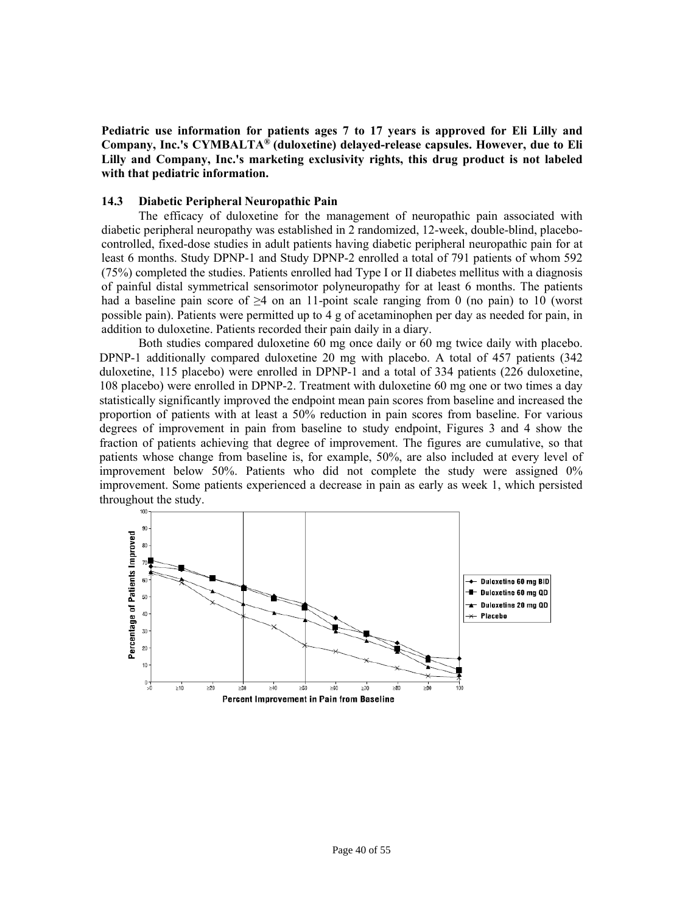**Pediatric use information for patients ages 7 to 17 years is approved for Eli Lilly and Company, Inc.'s CYMBALTA® (duloxetine) delayed-release capsules. However, due to Eli Lilly and Company, Inc.'s marketing exclusivity rights, this drug product is not labeled with that pediatric information.** 

#### <span id="page-39-1"></span><span id="page-39-0"></span>**14.3 Diabetic Peripheral Neuropathic Pain**

The efficacy of duloxetine for the management of neuropathic pain associated with diabetic peripheral neuropathy was established in 2 randomized, 12-week, double-blind, placebocontrolled, fixed-dose studies in adult patients having diabetic peripheral neuropathic pain for at least 6 months. Study DPNP-1 and Study DPNP-2 enrolled a total of 791 patients of whom 592 (75%) completed the studies. Patients enrolled had Type I or II diabetes mellitus with a diagnosis of painful distal symmetrical sensorimotor polyneuropathy for at least 6 months. The patients had a baseline pain score of  $\geq 4$  on an 11-point scale ranging from 0 (no pain) to 10 (worst possible pain). Patients were permitted up to 4 g of acetaminophen per day as needed for pain, in addition to duloxetine. Patients recorded their pain daily in a diary.

Both studies compared duloxetine 60 mg once daily or 60 mg twice daily with placebo. DPNP-1 additionally compared duloxetine 20 mg with placebo. A total of 457 patients (342 duloxetine, 115 placebo) were enrolled in DPNP-1 and a total of 334 patients (226 duloxetine, 108 placebo) were enrolled in DPNP-2. Treatment with duloxetine 60 mg one or two times a day statistically significantly improved the endpoint mean pain scores from baseline and increased the proportion of patients with at least a 50% reduction in pain scores from baseline. For various degrees of improvement in pain from baseline to study endpoint, Figures 3 and 4 show the fraction of patients achieving that degree of improvement. The figures are cumulative, so that patients whose change from baseline is, for example, 50%, are also included at every level of improvement below 50%. Patients who did not complete the study were assigned 0% improvement. Some patients experienced a decrease in pain as early as week 1, which persisted throughout the study.

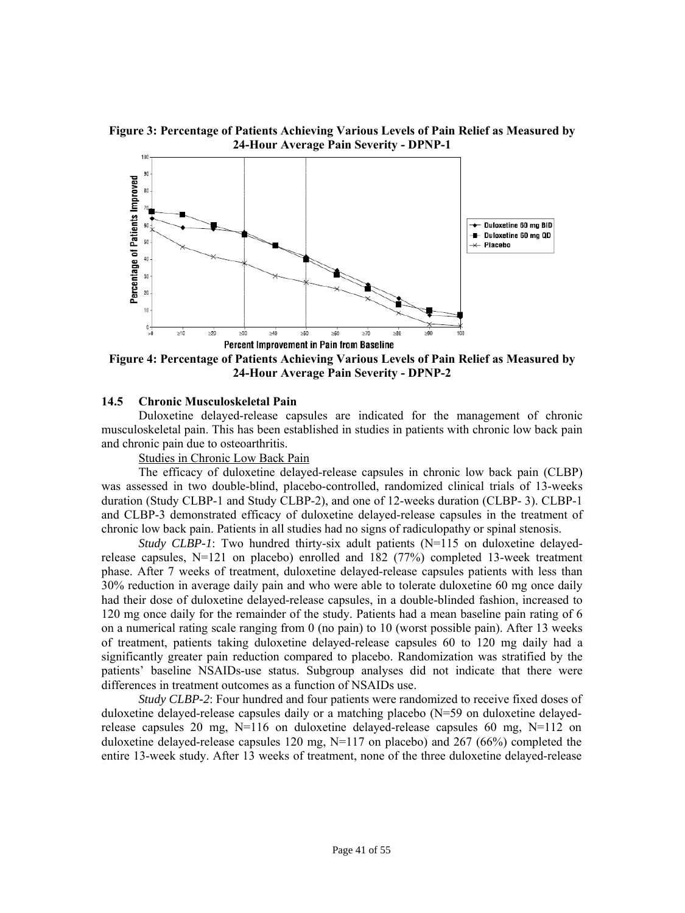**Figure 3: Percentage of Patients Achieving Various Levels of Pain Relief as Measured by 24-Hour Average Pain Severity - DPNP-1** 



**Figure 4: Percentage of Patients Achieving Various Levels of Pain Relief as Measured by 24-Hour Average Pain Severity - DPNP-2** 

#### <span id="page-40-1"></span><span id="page-40-0"></span>**14.5 Chronic Musculoskeletal Pain**

Duloxetine delayed-release capsules are indicated for the management of chronic musculoskeletal pain. This has been established in studies in patients with chronic low back pain and chronic pain due to osteoarthritis.

Studies in Chronic Low Back Pain

The efficacy of duloxetine delayed-release capsules in chronic low back pain (CLBP) was assessed in two double-blind, placebo-controlled, randomized clinical trials of 13-weeks duration (Study CLBP-1 and Study CLBP-2), and one of 12-weeks duration (CLBP- 3). CLBP-1 and CLBP-3 demonstrated efficacy of duloxetine delayed-release capsules in the treatment of chronic low back pain. Patients in all studies had no signs of radiculopathy or spinal stenosis.

*Study CLBP-1*: Two hundred thirty-six adult patients (N=115 on duloxetine delayedrelease capsules, N=121 on placebo) enrolled and 182 (77%) completed 13-week treatment phase. After 7 weeks of treatment, duloxetine delayed-release capsules patients with less than 30% reduction in average daily pain and who were able to tolerate duloxetine 60 mg once daily had their dose of duloxetine delayed-release capsules, in a double-blinded fashion, increased to 120 mg once daily for the remainder of the study. Patients had a mean baseline pain rating of 6 on a numerical rating scale ranging from 0 (no pain) to 10 (worst possible pain). After 13 weeks of treatment, patients taking duloxetine delayed-release capsules 60 to 120 mg daily had a significantly greater pain reduction compared to placebo. Randomization was stratified by the patients' baseline NSAIDs-use status. Subgroup analyses did not indicate that there were differences in treatment outcomes as a function of NSAIDs use.

*Study CLBP-2*: Four hundred and four patients were randomized to receive fixed doses of duloxetine delayed-release capsules daily or a matching placebo (N=59 on duloxetine delayedrelease capsules 20 mg,  $N=116$  on duloxetine delayed-release capsules 60 mg,  $N=112$  on duloxetine delayed-release capsules 120 mg,  $N=117$  on placebo) and 267 (66%) completed the entire 13-week study. After 13 weeks of treatment, none of the three duloxetine delayed-release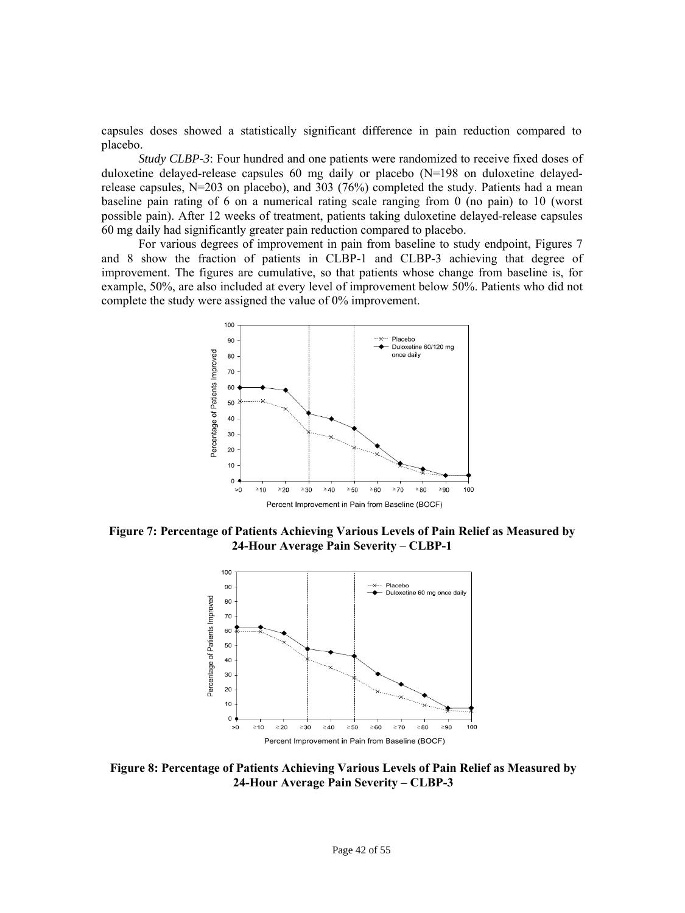capsules doses showed a statistically significant difference in pain reduction compared to placebo.

*Study CLBP-3*: Four hundred and one patients were randomized to receive fixed doses of duloxetine delayed-release capsules 60 mg daily or placebo (N=198 on duloxetine delayedrelease capsules, N=203 on placebo), and 303 (76%) completed the study. Patients had a mean baseline pain rating of 6 on a numerical rating scale ranging from 0 (no pain) to 10 (worst possible pain). After 12 weeks of treatment, patients taking duloxetine delayed-release capsules 60 mg daily had significantly greater pain reduction compared to placebo.

For various degrees of improvement in pain from baseline to study endpoint, Figures 7 and 8 show the fraction of patients in CLBP-1 and CLBP-3 achieving that degree of improvement. The figures are cumulative, so that patients whose change from baseline is, for example, 50%, are also included at every level of improvement below 50%. Patients who did not complete the study were assigned the value of 0% improvement.



**Figure 7: Percentage of Patients Achieving Various Levels of Pain Relief as Measured by 24-Hour Average Pain Severity – CLBP-1** 



**Figure 8: Percentage of Patients Achieving Various Levels of Pain Relief as Measured by 24-Hour Average Pain Severity – CLBP-3**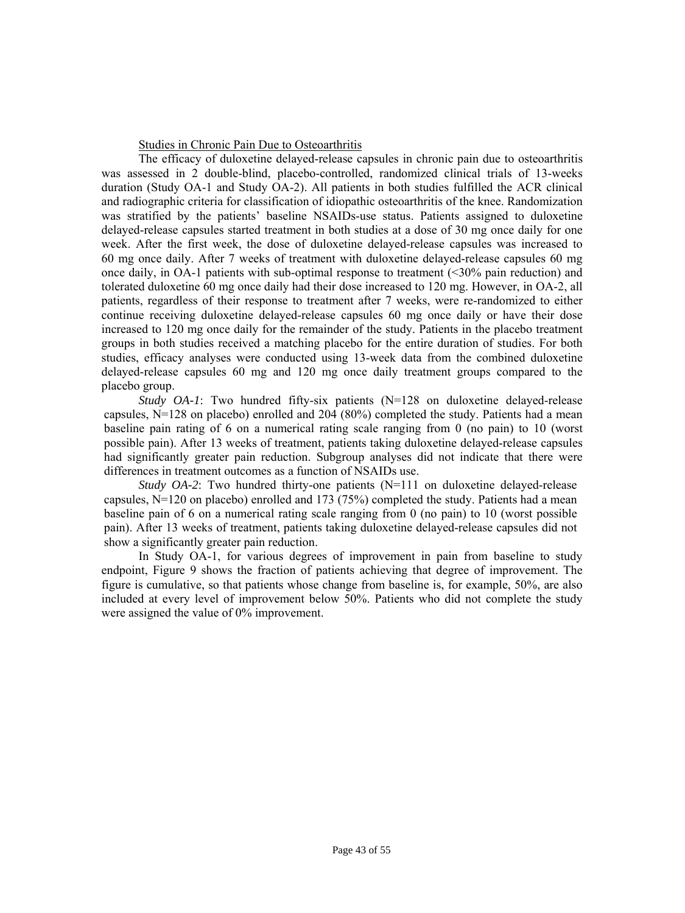#### Studies in Chronic Pain Due to Osteoarthritis

The efficacy of duloxetine delayed-release capsules in chronic pain due to osteoarthritis was assessed in 2 double-blind, placebo-controlled, randomized clinical trials of 13-weeks duration (Study OA-1 and Study OA-2). All patients in both studies fulfilled the ACR clinical and radiographic criteria for classification of idiopathic osteoarthritis of the knee. Randomization was stratified by the patients' baseline NSAIDs-use status. Patients assigned to duloxetine delayed-release capsules started treatment in both studies at a dose of 30 mg once daily for one week. After the first week, the dose of duloxetine delayed-release capsules was increased to 60 mg once daily. After 7 weeks of treatment with duloxetine delayed-release capsules 60 mg once daily, in OA-1 patients with sub-optimal response to treatment (<30% pain reduction) and tolerated duloxetine 60 mg once daily had their dose increased to 120 mg. However, in OA-2, all patients, regardless of their response to treatment after 7 weeks, were re-randomized to either continue receiving duloxetine delayed-release capsules 60 mg once daily or have their dose increased to 120 mg once daily for the remainder of the study. Patients in the placebo treatment groups in both studies received a matching placebo for the entire duration of studies. For both studies, efficacy analyses were conducted using 13-week data from the combined duloxetine delayed-release capsules 60 mg and 120 mg once daily treatment groups compared to the placebo group.

*Study OA-1*: Two hundred fifty-six patients (N=128 on duloxetine delayed-release capsules,  $N=128$  on placebo) enrolled and 204 (80%) completed the study. Patients had a mean baseline pain rating of 6 on a numerical rating scale ranging from 0 (no pain) to 10 (worst possible pain). After 13 weeks of treatment, patients taking duloxetine delayed-release capsules had significantly greater pain reduction. Subgroup analyses did not indicate that there were differences in treatment outcomes as a function of NSAIDs use.

*Study OA-2*: Two hundred thirty-one patients (N=111 on duloxetine delayed-release capsules, N=120 on placebo) enrolled and 173 (75%) completed the study. Patients had a mean baseline pain of 6 on a numerical rating scale ranging from 0 (no pain) to 10 (worst possible pain). After 13 weeks of treatment, patients taking duloxetine delayed-release capsules did not show a significantly greater pain reduction.

In Study OA-1, for various degrees of improvement in pain from baseline to study endpoint, Figure 9 shows the fraction of patients achieving that degree of improvement. The figure is cumulative, so that patients whose change from baseline is, for example, 50%, are also included at every level of improvement below 50%. Patients who did not complete the study were assigned the value of 0% improvement.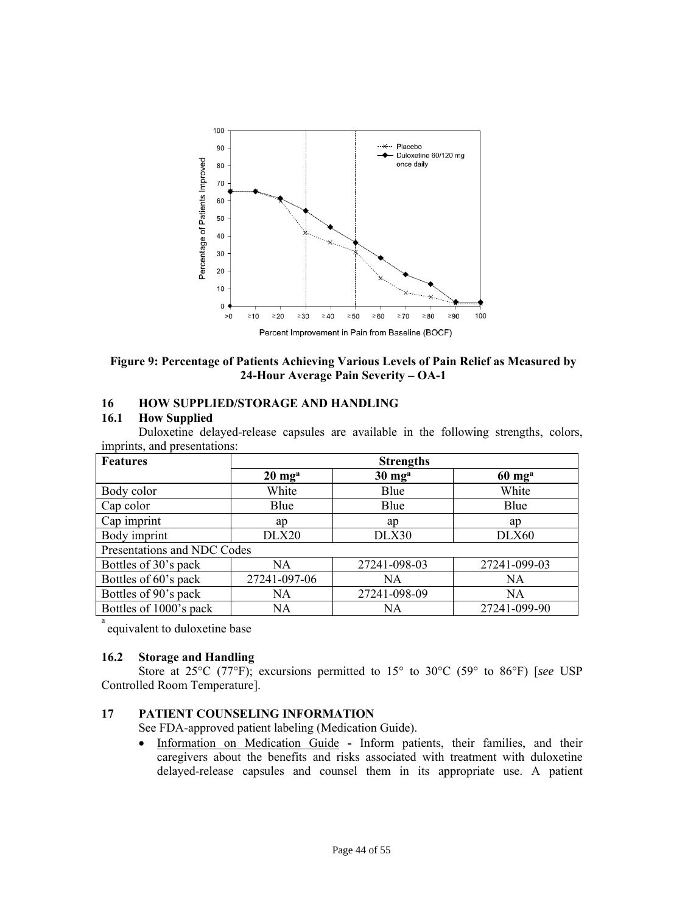

**Figure 9: Percentage of Patients Achieving Various Levels of Pain Relief as Measured by 24-Hour Average Pain Severity – OA-1** 

# <span id="page-43-3"></span><span id="page-43-0"></span>**16 HOW SUPPLIED/STORAGE AND HANDLING**

#### **16.1 How Supplied**

Duloxetine delayed-release capsules are available in the following strengths, colors, imprints, and presentations:

<span id="page-43-5"></span><span id="page-43-4"></span><span id="page-43-2"></span><span id="page-43-1"></span>

| <b>Features</b>             | <b>Strengths</b>           |                            |                            |  |  |
|-----------------------------|----------------------------|----------------------------|----------------------------|--|--|
|                             | $20 \text{ mg}^{\text{a}}$ | $30 \text{ mg}^{\text{a}}$ | $60 \text{ mg}^{\text{a}}$ |  |  |
| Body color                  | White                      | Blue                       | White                      |  |  |
| Cap color                   | Blue                       | Blue                       | Blue                       |  |  |
| Cap imprint                 | ap                         | ap                         | ap                         |  |  |
| Body imprint                | DLX20                      | DLX30                      | DLX60                      |  |  |
| Presentations and NDC Codes |                            |                            |                            |  |  |
| Bottles of 30's pack        | <b>NA</b>                  | 27241-098-03               | 27241-099-03               |  |  |
| Bottles of 60's pack        | 27241-097-06               | NA                         | <b>NA</b>                  |  |  |
| Bottles of 90's pack        | <b>NA</b>                  | 27241-098-09               | <b>NA</b>                  |  |  |
| Bottles of 1000's pack      | <b>NA</b>                  | NA                         | 27241-099-90               |  |  |
| a                           |                            |                            |                            |  |  |

equivalent to duloxetine base

#### **16.2 Storage and Handling**

Store at 25°C (77°F); excursions permitted to 15° to 30°C (59° to 86°F) [*see* USP Controlled Room Temperature].

# **17 PATIENT COUNSELING INFORMATION**

See FDA-approved patient labeling (Medication Guide).

 Information on Medication Guide **-** Inform patients, their families, and their caregivers about the benefits and risks associated with treatment with duloxetine delayed-release capsules and counsel them in its appropriate use. A patient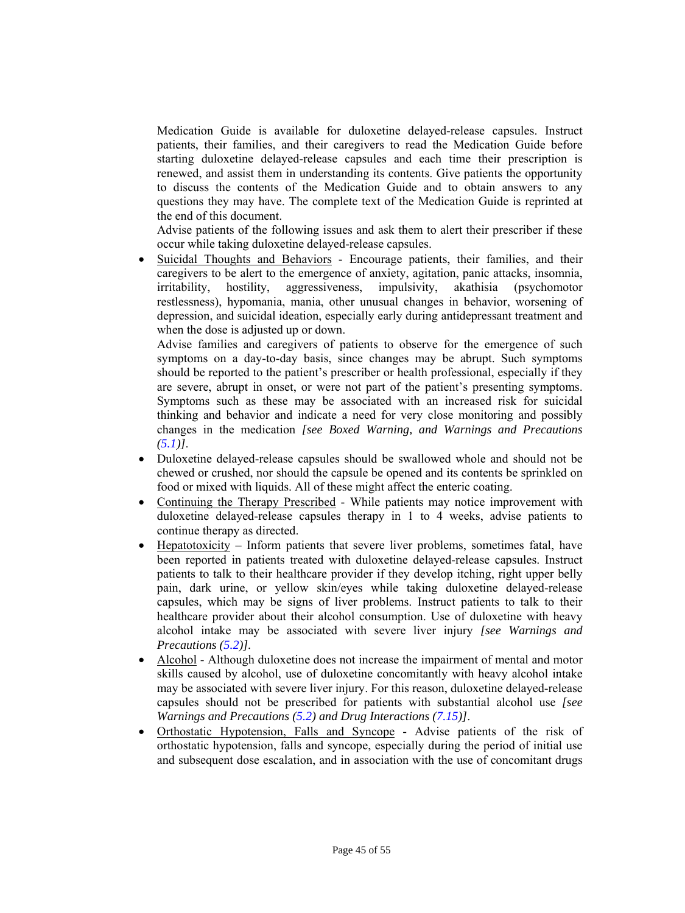Medication Guide is available for duloxetine delayed-release capsules. Instruct patients, their families, and their caregivers to read the Medication Guide before starting duloxetine delayed-release capsules and each time their prescription is renewed, and assist them in understanding its contents. Give patients the opportunity to discuss the contents of the Medication Guide and to obtain answers to any questions they may have. The complete text of the Medication Guide is reprinted at the end of this document.

Advise patients of the following issues and ask them to alert their prescriber if these occur while taking duloxetine delayed-release capsules.

 Suicidal Thoughts and Behaviors - Encourage patients, their families, and their caregivers to be alert to the emergence of anxiety, agitation, panic attacks, insomnia, irritability, hostility, aggressiveness, impulsivity, akathisia (psychomotor restlessness), hypomania, mania, other unusual changes in behavior, worsening of depression, and suicidal ideation, especially early during antidepressant treatment and when the dose is adjusted up or down.

Advise families and caregivers of patients to observe for the emergence of such symptoms on a day-to-day basis, since changes may be abrupt. Such symptoms should be reported to the patient's prescriber or health professional, especially if they are severe, abrupt in onset, or were not part of the patient's presenting symptoms. Symptoms such as these may be associated with an increased risk for suicidal thinking and behavior and indicate a need for very close monitoring and possibly changes in the medication *[see Boxed Warning, and Warnings and Precautions [\(5.1\)](#page-10-3)]*.

- Duloxetine delayed-release capsules should be swallowed whole and should not be chewed or crushed, nor should the capsule be opened and its contents be sprinkled on food or mixed with liquids. All of these might affect the enteric coating.
- Continuing the Therapy Prescribed While patients may notice improvement with duloxetine delayed-release capsules therapy in 1 to 4 weeks, advise patients to continue therapy as directed.
- Hepatotoxicity Inform patients that severe liver problems, sometimes fatal, have been reported in patients treated with duloxetine delayed-release capsules. Instruct patients to talk to their healthcare provider if they develop itching, right upper belly pain, dark urine, or yellow skin/eyes while taking duloxetine delayed-release capsules, which may be signs of liver problems. Instruct patients to talk to their healthcare provider about their alcohol consumption. Use of duloxetine with heavy alcohol intake may be associated with severe liver injury *[see Warnings and Precautions [\(5.2\)](#page-12-2)].*
- Alcohol Although duloxetine does not increase the impairment of mental and motor skills caused by alcohol, use of duloxetine concomitantly with heavy alcohol intake may be associated with severe liver injury. For this reason, duloxetine delayed-release capsules should not be prescribed for patients with substantial alcohol use *[see Warnings and Precautions [\(5.2](#page-12-2)) and Drug Interactions [\(7.15](#page-28-9))]*.
- Orthostatic Hypotension, Falls and Syncope Advise patients of the risk of orthostatic hypotension, falls and syncope, especially during the period of initial use and subsequent dose escalation, and in association with the use of concomitant drugs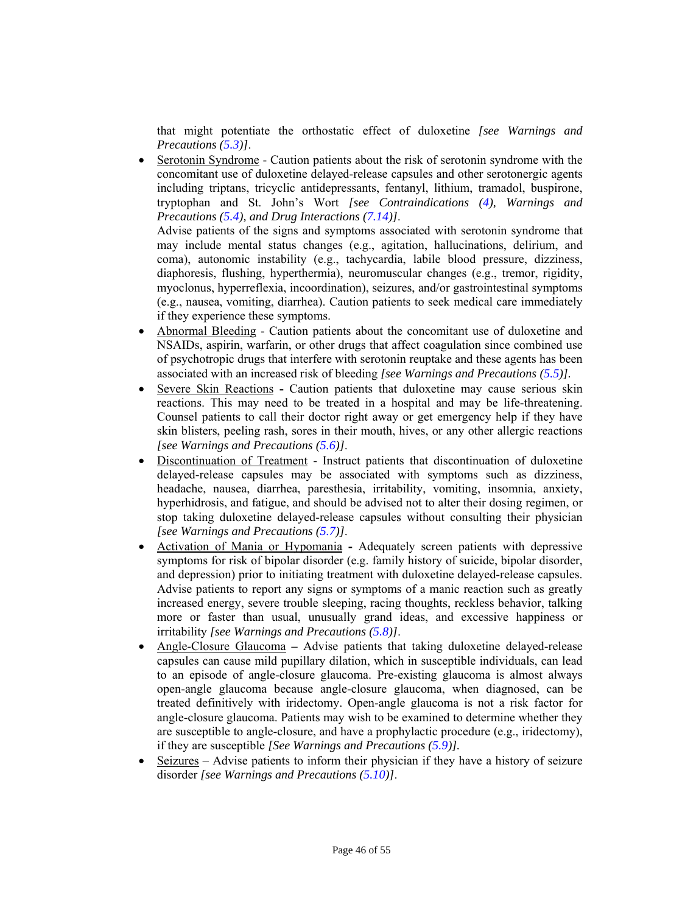that might potentiate the orthostatic effect of duloxetine *[see Warnings and Precautions [\(5.3\)](#page-12-3)]*.

- Serotonin Syndrome Caution patients about the risk of serotonin syndrome with the concomitant use of duloxetine delayed-release capsules and other serotonergic agents including triptans, tricyclic antidepressants, fentanyl, lithium, tramadol, buspirone, tryptophan and St. John's Wort *[see Contraindications [\(4\),](#page-10-5) Warnings and Precautions [\(5.4](#page-13-1)), and Drug Interactions [\(7.14\)\]](#page-28-9)*. Advise patients of the signs and symptoms associated with serotonin syndrome that may include mental status changes (e.g., agitation, hallucinations, delirium, and coma), autonomic instability (e.g., tachycardia, labile blood pressure, dizziness, diaphoresis, flushing, hyperthermia), neuromuscular changes (e.g., tremor, rigidity, myoclonus, hyperreflexia, incoordination), seizures, and/or gastrointestinal symptoms (e.g., nausea, vomiting, diarrhea). Caution patients to seek medical care immediately
	- if they experience these symptoms.
- Abnormal Bleeding Caution patients about the concomitant use of duloxetine and NSAIDs, aspirin, warfarin, or other drugs that affect coagulation since combined use of psychotropic drugs that interfere with serotonin reuptake and these agents has been associated with an increased risk of bleeding *[see Warnings and Precautions [\(5.5](#page-14-5))].*
- Severe Skin ReactionsCaution patients that duloxetine may cause serious skin reactions. This may need to be treated in a hospital and may be life-threatening. Counsel patients to call their doctor right away or get emergency help if they have skin blisters, peeling rash, sores in their mouth, hives, or any other allergic reactions *[see Warnings and Precautions [\(5.6\)\]](#page-14-6)*.
- Discontinuation of Treatment Instruct patients that discontinuation of duloxetine delayed-release capsules may be associated with symptoms such as dizziness, headache, nausea, diarrhea, paresthesia, irritability, vomiting, insomnia, anxiety, hyperhidrosis, and fatigue, and should be advised not to alter their dosing regimen, or stop taking duloxetine delayed-release capsules without consulting their physician *[see Warnings and Precautions ([5.7\)](#page-14-4)]*.
- Activation of Mania or HypomaniaAdequately screen patients with depressive symptoms for risk of bipolar disorder (e.g. family history of suicide, bipolar disorder, and depression) prior to initiating treatment with duloxetine delayed-release capsules. Advise patients to report any signs or symptoms of a manic reaction such as greatly increased energy, severe trouble sleeping, racing thoughts, reckless behavior, talking more or faster than usual, unusually grand ideas, and excessive happiness or irritability *[see Warnings and Precautions [\(5.8\)\]](#page-14-7)*.
- Angle-Closure GlaucomaAdvise patients that taking duloxetine delayed-release capsules can cause mild pupillary dilation, which in susceptible individuals, can lead to an episode of angle-closure glaucoma. Pre-existing glaucoma is almost always open-angle glaucoma because angle-closure glaucoma, when diagnosed, can be treated definitively with iridectomy. Open-angle glaucoma is not a risk factor for angle-closure glaucoma. Patients may wish to be examined to determine whether they are susceptible to angle-closure, and have a prophylactic procedure (e.g., iridectomy), if they are susceptible *[See Warnings and Precautions ([5.9\)\]](#page-15-4).*
- Seizures Advise patients to inform their physician if they have a history of seizure disorder *[see Warnings and Precautions [\(5.10\)](#page-15-5)]*.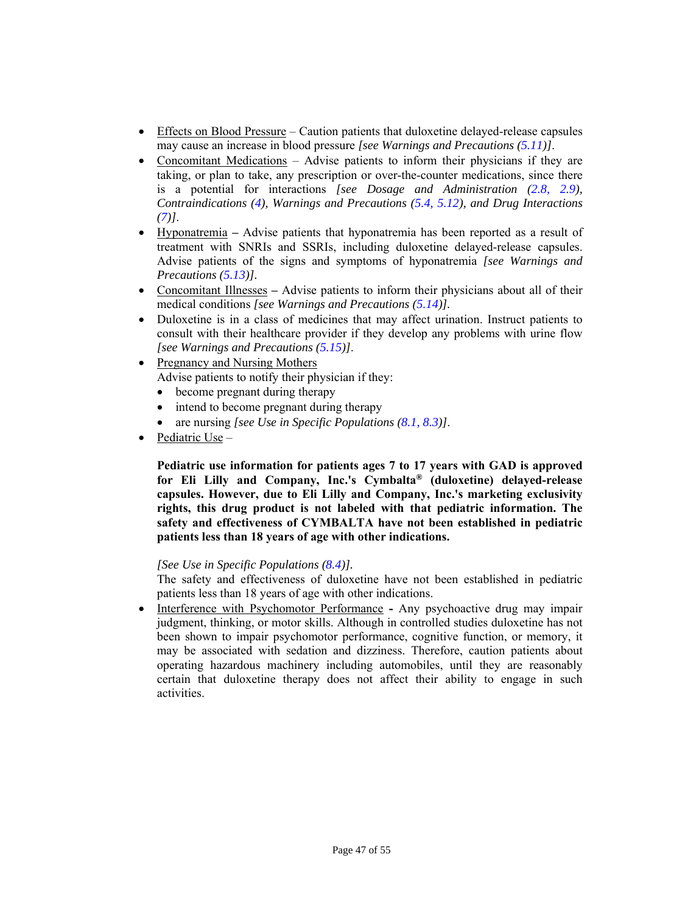- Effects on Blood Pressure Caution patients that duloxetine delayed-release capsules may cause an increase in blood pressure *[see Warnings and Precautions [\(5.11](#page-15-6))]*.
- Concomitant Medications Advise patients to inform their physicians if they are taking, or plan to take, any prescription or over-the-counter medications, since there is a potential for interactions *[see Dosage and Administration [\(2.8](#page-9-9), [2.9](#page-9-9)), Contraindications [\(4\),](#page-10-5) Warnings and Precautions [\(5.4](#page-13-1), [5.12](#page-15-7)), and Drug Interactions [\(7\)](#page-27-4)]*.
- HyponatremiaAdvise patients that hyponatremia has been reported as a result of treatment with SNRIs and SSRIs, including duloxetine delayed-release capsules. Advise patients of the signs and symptoms of hyponatremia *[see Warnings and Precautions [\(5.13](#page-16-3))].*
- Concomitant IllnessesAdvise patients to inform their physicians about all of their medical conditions *[see Warnings and Precautions [\(5.14\)](#page-16-2)].*
- Duloxetine is in a class of medicines that may affect urination. Instruct patients to consult with their healthcare provider if they develop any problems with urine flow *[see Warnings and Precautions ([5.15](#page-17-3))]*.
- Pregnancy and Nursing Mothers Advise patients to notify their physician if they:
	- become pregnant during therapy
	- intend to become pregnant during therapy
	- are nursing *[see Use in Specific Populations [\(8.1,](#page-29-2) [8.3\)\]](#page-30-3)*.
- Pediatric Use  $-$

**Pediatric use information for patients ages 7 to 17 years with GAD is approved for Eli Lilly and Company, Inc.'s Cymbalta® (duloxetine) delayed-release capsules. However, due to Eli Lilly and Company, Inc.'s marketing exclusivity rights, this drug product is not labeled with that pediatric information. The safety and effectiveness of CYMBALTA have not been established in pediatric patients less than 18 years of age with other indications.** 

# *[See Use in Specific Populations [\(8.4\)\].](#page-30-4)*

The safety and effectiveness of duloxetine have not been established in pediatric patients less than 18 years of age with other indications.

• Interference with Psychomotor Performance - Any psychoactive drug may impair judgment, thinking, or motor skills. Although in controlled studies duloxetine has not been shown to impair psychomotor performance, cognitive function, or memory, it may be associated with sedation and dizziness. Therefore, caution patients about operating hazardous machinery including automobiles, until they are reasonably certain that duloxetine therapy does not affect their ability to engage in such activities.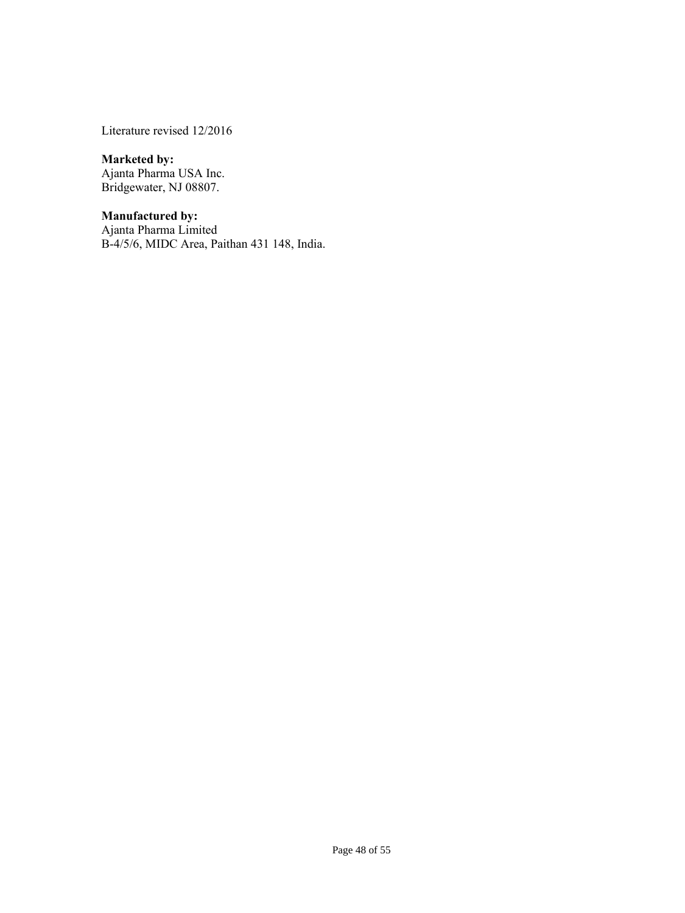Literature revised 12/2016

#### **Marketed by:**

Ajanta Pharma USA Inc. Bridgewater, NJ 08807.

# **Manufactured by:**

Ajanta Pharma Limited B-4/5/6, MIDC Area, Paithan 431 148, India.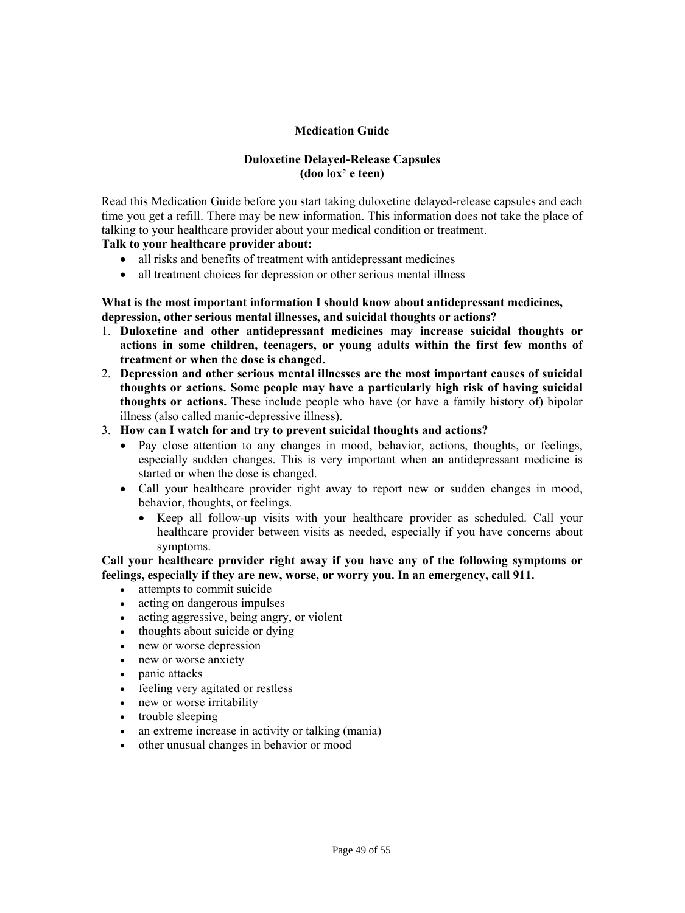# **Medication Guide**

# **Duloxetine Delayed-Release Capsules (doo lox' e teen)**

<span id="page-48-0"></span>Read this Medication Guide before you start taking duloxetine delayed-release capsules and each time you get a refill. There may be new information. This information does not take the place of talking to your healthcare provider about your medical condition or treatment.

# **Talk to your healthcare provider about:**

- all risks and benefits of treatment with antidepressant medicines
- all treatment choices for depression or other serious mental illness

# **What is the most important information I should know about antidepressant medicines, depression, other serious mental illnesses, and suicidal thoughts or actions?**

- 1. **Duloxetine and other antidepressant medicines may increase suicidal thoughts or actions in some children, teenagers, or young adults within the first few months of treatment or when the dose is changed.**
- 2. **Depression and other serious mental illnesses are the most important causes of suicidal thoughts or actions. Some people may have a particularly high risk of having suicidal thoughts or actions.** These include people who have (or have a family history of) bipolar illness (also called manic-depressive illness).
- 3. **How can I watch for and try to prevent suicidal thoughts and actions?** 
	- Pay close attention to any changes in mood, behavior, actions, thoughts, or feelings, especially sudden changes. This is very important when an antidepressant medicine is started or when the dose is changed.
	- Call your healthcare provider right away to report new or sudden changes in mood, behavior, thoughts, or feelings.
		- Keep all follow-up visits with your healthcare provider as scheduled. Call your healthcare provider between visits as needed, especially if you have concerns about symptoms.

# **Call your healthcare provider right away if you have any of the following symptoms or feelings, especially if they are new, worse, or worry you. In an emergency, call 911.**

- attempts to commit suicide
- acting on dangerous impulses
- acting aggressive, being angry, or violent
- thoughts about suicide or dying
- new or worse depression
- new or worse anxiety
- panic attacks
- feeling very agitated or restless
- new or worse irritability
- trouble sleeping
- an extreme increase in activity or talking (mania)
- other unusual changes in behavior or mood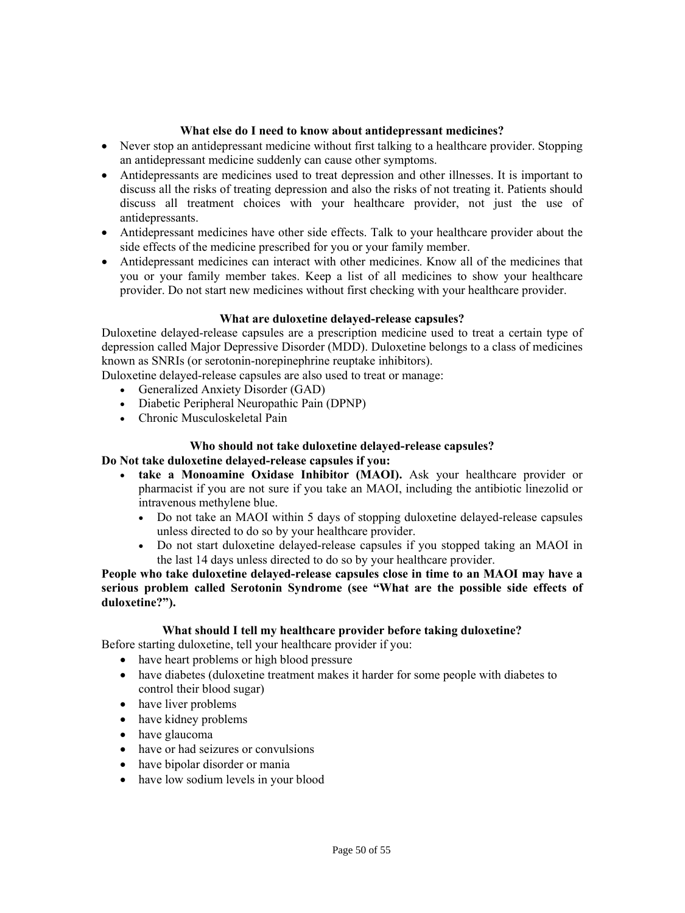# **What else do I need to know about antidepressant medicines?**

- Never stop an antidepressant medicine without first talking to a healthcare provider. Stopping an antidepressant medicine suddenly can cause other symptoms.
- Antidepressants are medicines used to treat depression and other illnesses. It is important to discuss all the risks of treating depression and also the risks of not treating it. Patients should discuss all treatment choices with your healthcare provider, not just the use of antidepressants.
- Antidepressant medicines have other side effects. Talk to your healthcare provider about the side effects of the medicine prescribed for you or your family member.
- Antidepressant medicines can interact with other medicines. Know all of the medicines that you or your family member takes. Keep a list of all medicines to show your healthcare provider. Do not start new medicines without first checking with your healthcare provider.

# **What are duloxetine delayed-release capsules?**

Duloxetine delayed-release capsules are a prescription medicine used to treat a certain type of depression called Major Depressive Disorder (MDD). Duloxetine belongs to a class of medicines known as SNRIs (or serotonin-norepinephrine reuptake inhibitors).

Duloxetine delayed-release capsules are also used to treat or manage:

- Generalized Anxiety Disorder (GAD)
- Diabetic Peripheral Neuropathic Pain (DPNP)
- Chronic Musculoskeletal Pain

# **Who should not take duloxetine delayed-release capsules?**

#### **Do Not take duloxetine delayed-release capsules if you:**

- **take a Monoamine Oxidase Inhibitor (MAOI).** Ask your healthcare provider or pharmacist if you are not sure if you take an MAOI, including the antibiotic linezolid or intravenous methylene blue.
	- Do not take an MAOI within 5 days of stopping duloxetine delayed-release capsules unless directed to do so by your healthcare provider.
	- Do not start duloxetine delayed-release capsules if you stopped taking an MAOI in the last 14 days unless directed to do so by your healthcare provider.

# **People who take duloxetine delayed-release capsules close in time to an MAOI may have a serious problem called Serotonin Syndrome (see "What are the possible side effects of duloxetine?").**

# **What should I tell my healthcare provider before taking duloxetine?**

Before starting duloxetine, tell your healthcare provider if you:

- have heart problems or high blood pressure
- have diabetes (duloxetine treatment makes it harder for some people with diabetes to control their blood sugar)
- have liver problems
- have kidney problems
- have glaucoma
- have or had seizures or convulsions
- have bipolar disorder or mania
- have low sodium levels in your blood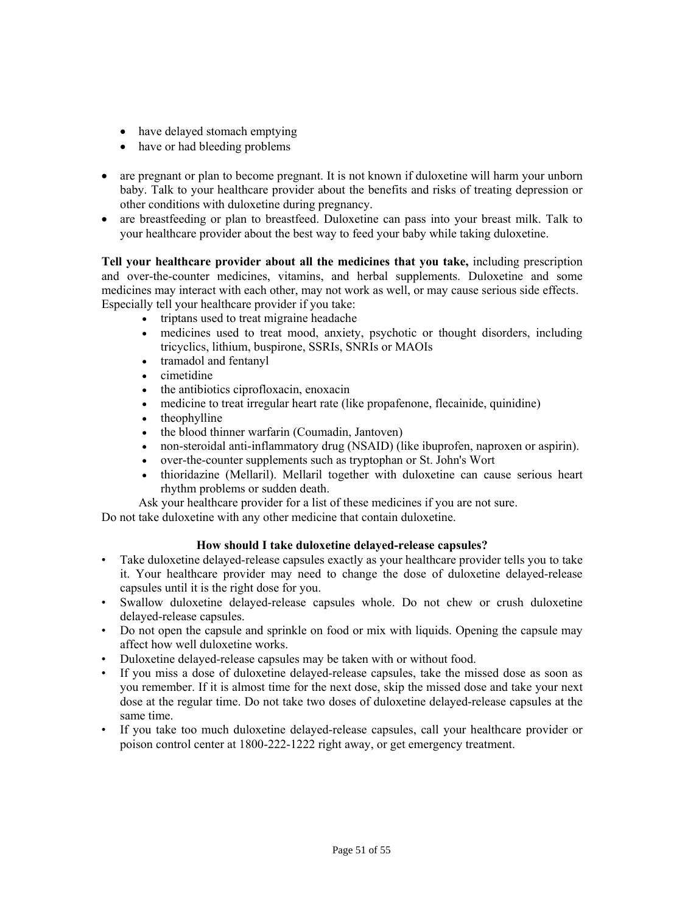- have delayed stomach emptying
- have or had bleeding problems
- are pregnant or plan to become pregnant. It is not known if duloxetine will harm your unborn baby. Talk to your healthcare provider about the benefits and risks of treating depression or other conditions with duloxetine during pregnancy.
- are breastfeeding or plan to breastfeed. Duloxetine can pass into your breast milk. Talk to your healthcare provider about the best way to feed your baby while taking duloxetine.

**Tell your healthcare provider about all the medicines that you take,** including prescription and over-the-counter medicines, vitamins, and herbal supplements. Duloxetine and some medicines may interact with each other, may not work as well, or may cause serious side effects. Especially tell your healthcare provider if you take:

- triptans used to treat migraine headache
- medicines used to treat mood, anxiety, psychotic or thought disorders, including tricyclics, lithium, buspirone, SSRIs, SNRIs or MAOIs
- tramadol and fentanyl
- cimetidine
- $\bullet$  the antibiotics ciprofloxacin, enoxacin
- medicine to treat irregular heart rate (like propafenone, flecainide, quinidine)
- theophylline
- the blood thinner warfarin (Coumadin, Jantoven)
- non-steroidal anti-inflammatory drug (NSAID) (like ibuprofen, naproxen or aspirin).
- over-the-counter supplements such as tryptophan or St. John's Wort
- thioridazine (Mellaril). Mellaril together with duloxetine can cause serious heart rhythm problems or sudden death.

Ask your healthcare provider for a list of these medicines if you are not sure.

Do not take duloxetine with any other medicine that contain duloxetine.

# **How should I take duloxetine delayed-release capsules?**

- Take duloxetine delayed-release capsules exactly as your healthcare provider tells you to take it. Your healthcare provider may need to change the dose of duloxetine delayed-release capsules until it is the right dose for you.
- Swallow duloxetine delayed-release capsules whole. Do not chew or crush duloxetine delayed-release capsules.
- Do not open the capsule and sprinkle on food or mix with liquids. Opening the capsule may affect how well duloxetine works.
- Duloxetine delayed-release capsules may be taken with or without food.
- If you miss a dose of duloxetine delayed-release capsules, take the missed dose as soon as you remember. If it is almost time for the next dose, skip the missed dose and take your next dose at the regular time. Do not take two doses of duloxetine delayed-release capsules at the same time.
- If you take too much duloxetine delayed-release capsules, call your healthcare provider or poison control center at 1800-222-1222 right away, or get emergency treatment.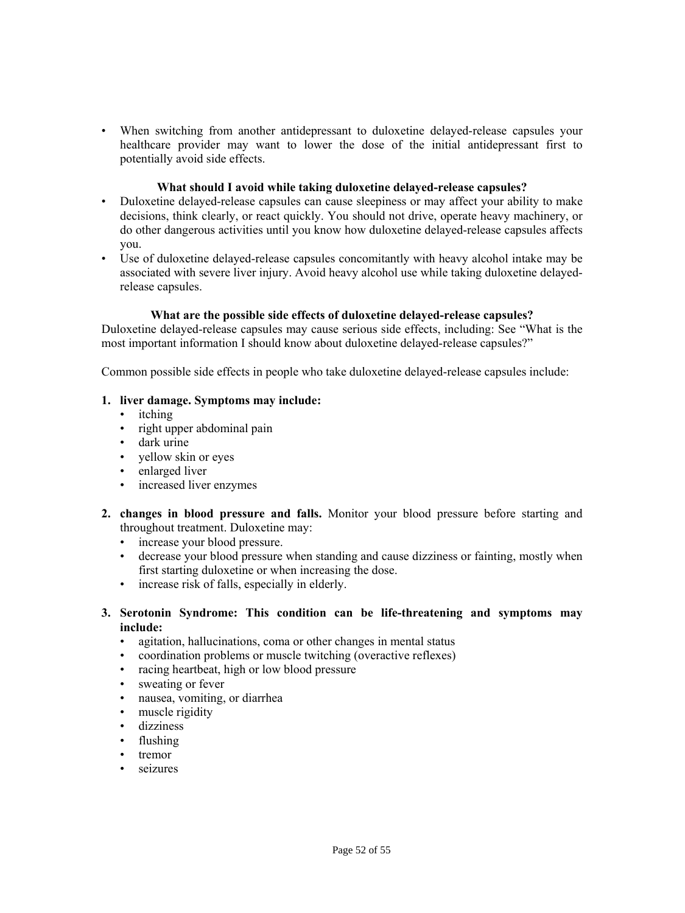• When switching from another antidepressant to duloxetine delayed-release capsules your healthcare provider may want to lower the dose of the initial antidepressant first to potentially avoid side effects.

#### **What should I avoid while taking duloxetine delayed-release capsules?**

- Duloxetine delayed-release capsules can cause sleepiness or may affect your ability to make decisions, think clearly, or react quickly. You should not drive, operate heavy machinery, or do other dangerous activities until you know how duloxetine delayed-release capsules affects you.
- Use of duloxetine delayed-release capsules concomitantly with heavy alcohol intake may be associated with severe liver injury. Avoid heavy alcohol use while taking duloxetine delayedrelease capsules.

#### **What are the possible side effects of duloxetine delayed-release capsules?**

Duloxetine delayed-release capsules may cause serious side effects, including: See "What is the most important information I should know about duloxetine delayed-release capsules?"

Common possible side effects in people who take duloxetine delayed-release capsules include:

#### **1. liver damage. Symptoms may include:**

- itching
- right upper abdominal pain
- dark urine
- yellow skin or eyes
- enlarged liver
- increased liver enzymes
- **2. changes in blood pressure and falls.** Monitor your blood pressure before starting and throughout treatment. Duloxetine may:
	- increase your blood pressure.
	- decrease your blood pressure when standing and cause dizziness or fainting, mostly when first starting duloxetine or when increasing the dose.
	- increase risk of falls, especially in elderly.

# **3. Serotonin Syndrome: This condition can be life-threatening and symptoms may include:**

- agitation, hallucinations, coma or other changes in mental status
- coordination problems or muscle twitching (overactive reflexes)
- racing heartbeat, high or low blood pressure
- sweating or fever
- nausea, vomiting, or diarrhea
- muscle rigidity
- dizziness
- flushing
- tremor
- seizures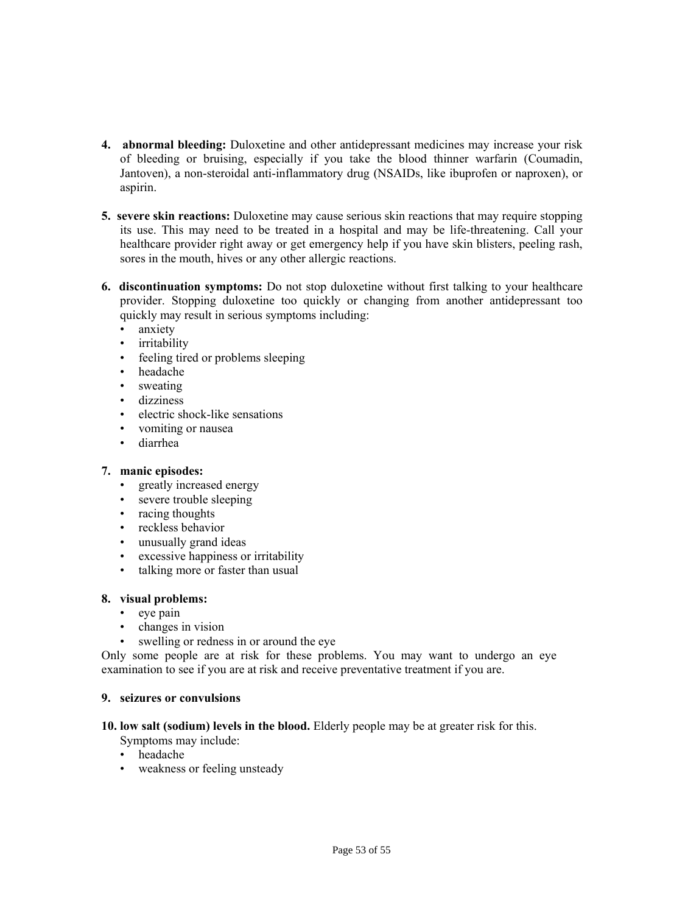- **4. abnormal bleeding:** Duloxetine and other antidepressant medicines may increase your risk of bleeding or bruising, especially if you take the blood thinner warfarin (Coumadin, Jantoven), a non-steroidal anti-inflammatory drug (NSAIDs, like ibuprofen or naproxen), or aspirin.
- **5. severe skin reactions:** Duloxetine may cause serious skin reactions that may require stopping its use. This may need to be treated in a hospital and may be life-threatening. Call your healthcare provider right away or get emergency help if you have skin blisters, peeling rash, sores in the mouth, hives or any other allergic reactions.
- **6. discontinuation symptoms:** Do not stop duloxetine without first talking to your healthcare provider. Stopping duloxetine too quickly or changing from another antidepressant too quickly may result in serious symptoms including:
	- anxiety
	- irritability
	- feeling tired or problems sleeping
	- headache
	- sweating
	- dizziness
	- electric shock-like sensations
	- vomiting or nausea
	- diarrhea

# **7. manic episodes:**

- greatly increased energy
- severe trouble sleeping
- racing thoughts
- reckless behavior
- unusually grand ideas
- excessive happiness or irritability
- talking more or faster than usual

# **8. visual problems:**

- eye pain
- changes in vision
- swelling or redness in or around the eye

Only some people are at risk for these problems. You may want to undergo an eye examination to see if you are at risk and receive preventative treatment if you are.

# **9. seizures or convulsions**

- **10. low salt (sodium) levels in the blood.** Elderly people may be at greater risk for this. Symptoms may include:
	- headache
	- weakness or feeling unsteady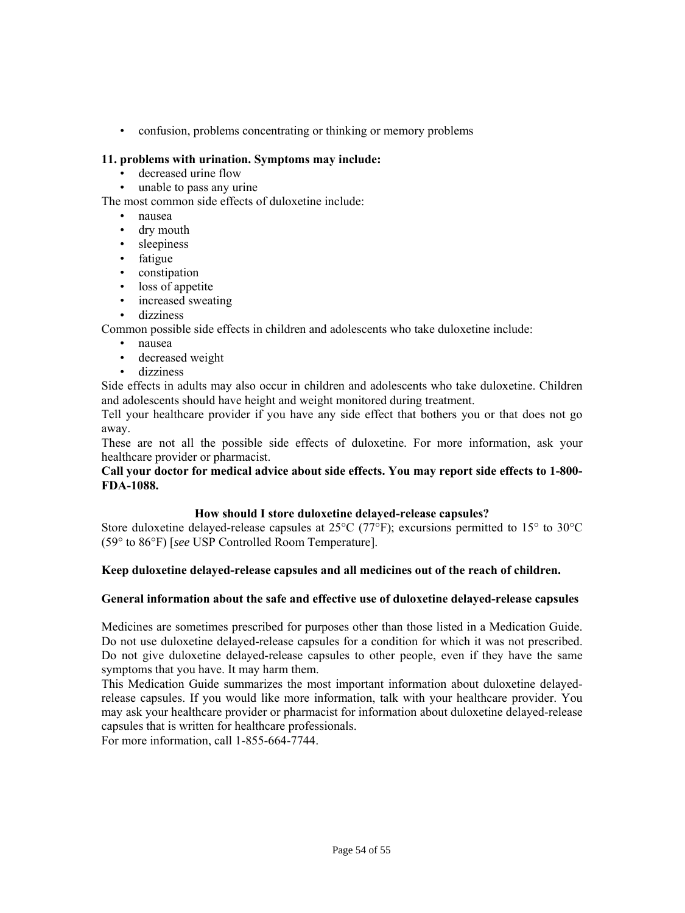• confusion, problems concentrating or thinking or memory problems

# **11. problems with urination. Symptoms may include:**

- decreased urine flow
- unable to pass any urine

The most common side effects of duloxetine include:

- nausea
- dry mouth
- sleepiness
- fatigue
- constipation
- loss of appetite
- increased sweating
- dizziness

Common possible side effects in children and adolescents who take duloxetine include:

- nausea
- decreased weight
- dizziness

Side effects in adults may also occur in children and adolescents who take duloxetine. Children and adolescents should have height and weight monitored during treatment.

Tell your healthcare provider if you have any side effect that bothers you or that does not go away.

These are not all the possible side effects of duloxetine. For more information, ask your healthcare provider or pharmacist.

# **Call your doctor for medical advice about side effects. You may report side effects to 1-800- FDA-1088.**

# **How should I store duloxetine delayed-release capsules?**

Store duloxetine delayed-release capsules at 25°C (77°F); excursions permitted to 15° to 30°C (59° to 86°F) [*see* USP Controlled Room Temperature].

# **Keep duloxetine delayed-release capsules and all medicines out of the reach of children.**

# **General information about the safe and effective use of duloxetine delayed-release capsules**

Medicines are sometimes prescribed for purposes other than those listed in a Medication Guide. Do not use duloxetine delayed-release capsules for a condition for which it was not prescribed. Do not give duloxetine delayed-release capsules to other people, even if they have the same symptoms that you have. It may harm them.

This Medication Guide summarizes the most important information about duloxetine delayedrelease capsules. If you would like more information, talk with your healthcare provider. You may ask your healthcare provider or pharmacist for information about duloxetine delayed-release capsules that is written for healthcare professionals.

For more information, call 1-855-664-7744.